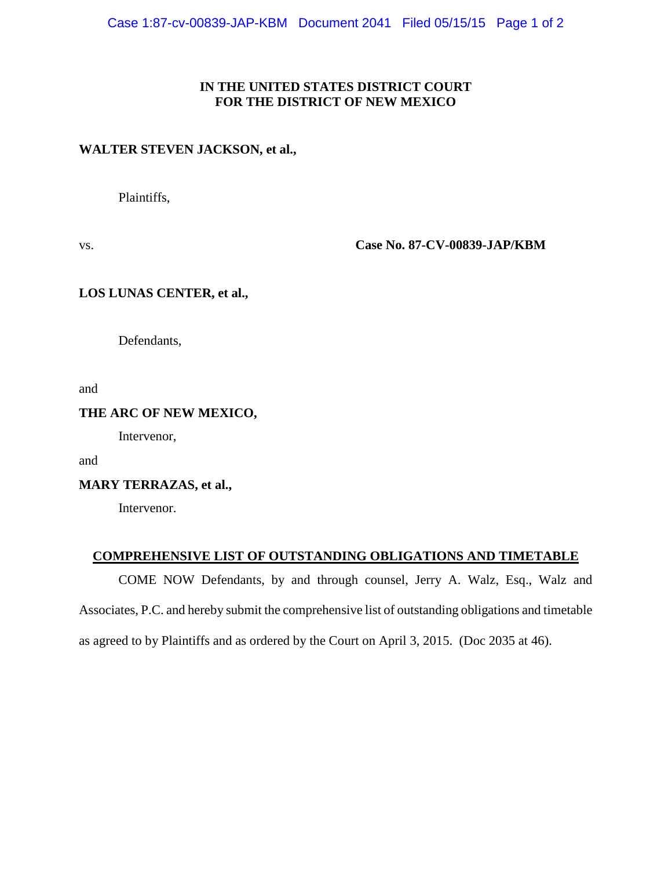#### **IN THE UNITED STATES DISTRICT COURT FOR THE DISTRICT OF NEW MEXICO**

#### **WALTER STEVEN JACKSON, et al.,**

Plaintiffs,

vs. **Case No. 87-CV-00839-JAP/KBM**

#### **LOS LUNAS CENTER, et al.,**

Defendants,

and

#### **THE ARC OF NEW MEXICO,**

Intervenor,

and

#### **MARY TERRAZAS, et al.,**

Intervenor.

#### **COMPREHENSIVE LIST OF OUTSTANDING OBLIGATIONS AND TIMETABLE**

COME NOW Defendants, by and through counsel, Jerry A. Walz, Esq., Walz and Associates, P.C. and hereby submit the comprehensive list of outstanding obligations and timetable as agreed to by Plaintiffs and as ordered by the Court on April 3, 2015. (Doc 2035 at 46).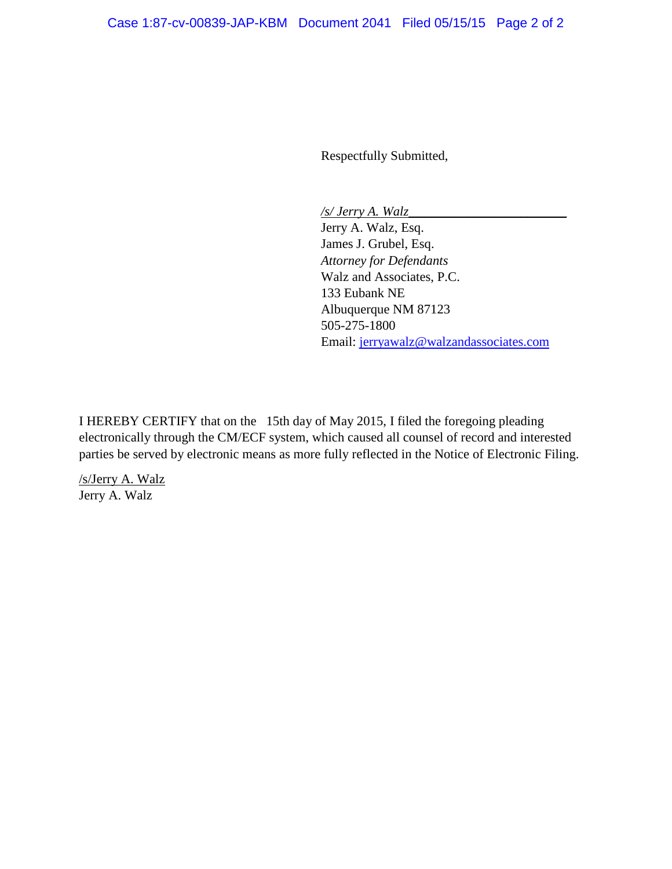Respectfully Submitted,

*/s/ Jerry A. Walz\_\_\_\_\_\_\_\_\_\_\_\_\_\_\_\_\_\_\_\_\_\_\_\_*

Jerry A. Walz, Esq. James J. Grubel, Esq. *Attorney for Defendants* Walz and Associates, P.C. 133 Eubank NE Albuquerque NM 87123 505-275-1800 Email: [jerryawalz@walzandassociates.com](mailto:jerryawalz@walzandassociates.com)

I HEREBY CERTIFY that on the 15th day of May 2015, I filed the foregoing pleading electronically through the CM/ECF system, which caused all counsel of record and interested parties be served by electronic means as more fully reflected in the Notice of Electronic Filing.

/s/Jerry A. Walz Jerry A. Walz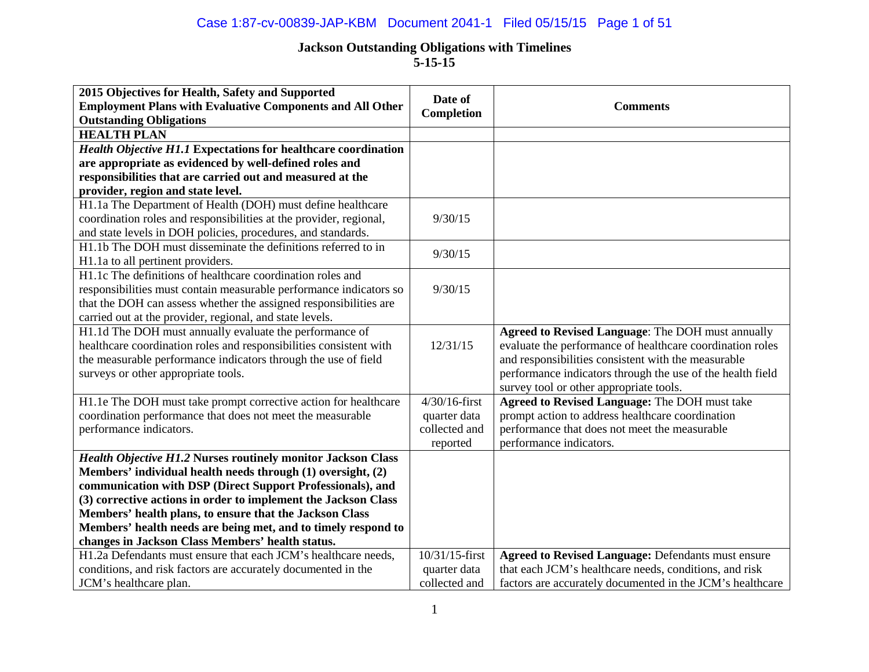## Case 1:87-cv-00839-JAP-KBM Document 2041-1 Filed 05/15/15 Page 1 of 51

| 2015 Objectives for Health, Safety and Supported                                                   | Date of          |                                                            |
|----------------------------------------------------------------------------------------------------|------------------|------------------------------------------------------------|
| <b>Employment Plans with Evaluative Components and All Other</b><br><b>Outstanding Obligations</b> | Completion       | <b>Comments</b>                                            |
| <b>HEALTH PLAN</b>                                                                                 |                  |                                                            |
| <b>Health Objective H1.1 Expectations for healthcare coordination</b>                              |                  |                                                            |
| are appropriate as evidenced by well-defined roles and                                             |                  |                                                            |
| responsibilities that are carried out and measured at the                                          |                  |                                                            |
| provider, region and state level.                                                                  |                  |                                                            |
| H1.1a The Department of Health (DOH) must define healthcare                                        |                  |                                                            |
| coordination roles and responsibilities at the provider, regional,                                 | 9/30/15          |                                                            |
| and state levels in DOH policies, procedures, and standards.                                       |                  |                                                            |
| H1.1b The DOH must disseminate the definitions referred to in                                      | 9/30/15          |                                                            |
| H1.1a to all pertinent providers.                                                                  |                  |                                                            |
| H1.1c The definitions of healthcare coordination roles and                                         |                  |                                                            |
| responsibilities must contain measurable performance indicators so                                 | 9/30/15          |                                                            |
| that the DOH can assess whether the assigned responsibilities are                                  |                  |                                                            |
| carried out at the provider, regional, and state levels.                                           |                  |                                                            |
| H1.1d The DOH must annually evaluate the performance of                                            |                  | <b>Agreed to Revised Language: The DOH must annually</b>   |
| healthcare coordination roles and responsibilities consistent with                                 | 12/31/15         | evaluate the performance of healthcare coordination roles  |
| the measurable performance indicators through the use of field                                     |                  | and responsibilities consistent with the measurable        |
| surveys or other appropriate tools.                                                                |                  | performance indicators through the use of the health field |
|                                                                                                    |                  | survey tool or other appropriate tools.                    |
| H1.1e The DOH must take prompt corrective action for healthcare                                    | $4/30/16$ -first | <b>Agreed to Revised Language: The DOH must take</b>       |
| coordination performance that does not meet the measurable                                         | quarter data     | prompt action to address healthcare coordination           |
| performance indicators.                                                                            | collected and    | performance that does not meet the measurable              |
|                                                                                                    | reported         | performance indicators.                                    |
| <b>Health Objective H1.2 Nurses routinely monitor Jackson Class</b>                                |                  |                                                            |
| Members' individual health needs through (1) oversight, (2)                                        |                  |                                                            |
| communication with DSP (Direct Support Professionals), and                                         |                  |                                                            |
| (3) corrective actions in order to implement the Jackson Class                                     |                  |                                                            |
| Members' health plans, to ensure that the Jackson Class                                            |                  |                                                            |
| Members' health needs are being met, and to timely respond to                                      |                  |                                                            |
| changes in Jackson Class Members' health status.                                                   |                  |                                                            |
| H1.2a Defendants must ensure that each JCM's healthcare needs,                                     | 10/31/15-first   | <b>Agreed to Revised Language: Defendants must ensure</b>  |
| conditions, and risk factors are accurately documented in the                                      | quarter data     | that each JCM's healthcare needs, conditions, and risk     |
| JCM's healthcare plan.                                                                             | collected and    | factors are accurately documented in the JCM's healthcare  |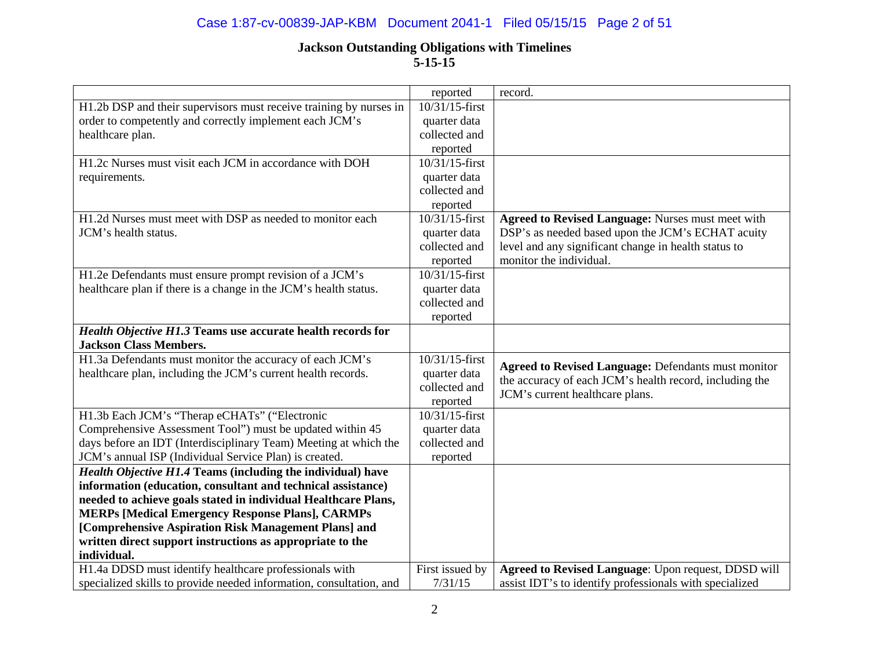## Case 1:87-cv-00839-JAP-KBM Document 2041-1 Filed 05/15/15 Page 2 of 51

|                                                                     | reported          | record.                                                    |
|---------------------------------------------------------------------|-------------------|------------------------------------------------------------|
| H1.2b DSP and their supervisors must receive training by nurses in  | $10/31/15$ -first |                                                            |
| order to competently and correctly implement each JCM's             | quarter data      |                                                            |
| healthcare plan.                                                    | collected and     |                                                            |
|                                                                     | reported          |                                                            |
| H1.2c Nurses must visit each JCM in accordance with DOH             | $10/31/15$ -first |                                                            |
| requirements.                                                       | quarter data      |                                                            |
|                                                                     | collected and     |                                                            |
|                                                                     | reported          |                                                            |
| H1.2d Nurses must meet with DSP as needed to monitor each           | 10/31/15-first    | Agreed to Revised Language: Nurses must meet with          |
| JCM's health status.                                                | quarter data      | DSP's as needed based upon the JCM's ECHAT acuity          |
|                                                                     | collected and     | level and any significant change in health status to       |
|                                                                     | reported          | monitor the individual.                                    |
| H1.2e Defendants must ensure prompt revision of a JCM's             | 10/31/15-first    |                                                            |
| healthcare plan if there is a change in the JCM's health status.    | quarter data      |                                                            |
|                                                                     | collected and     |                                                            |
|                                                                     | reported          |                                                            |
| Health Objective H1.3 Teams use accurate health records for         |                   |                                                            |
| <b>Jackson Class Members.</b>                                       |                   |                                                            |
| H1.3a Defendants must monitor the accuracy of each JCM's            | 10/31/15-first    |                                                            |
| healthcare plan, including the JCM's current health records.        | quarter data      | <b>Agreed to Revised Language: Defendants must monitor</b> |
|                                                                     | collected and     | the accuracy of each JCM's health record, including the    |
|                                                                     | reported          | JCM's current healthcare plans.                            |
| H1.3b Each JCM's "Therap eCHATs" ("Electronic                       | 10/31/15-first    |                                                            |
| Comprehensive Assessment Tool") must be updated within 45           | quarter data      |                                                            |
| days before an IDT (Interdisciplinary Team) Meeting at which the    | collected and     |                                                            |
| JCM's annual ISP (Individual Service Plan) is created.              | reported          |                                                            |
| Health Objective H1.4 Teams (including the individual) have         |                   |                                                            |
| information (education, consultant and technical assistance)        |                   |                                                            |
| needed to achieve goals stated in individual Healthcare Plans,      |                   |                                                            |
| <b>MERPs [Medical Emergency Response Plans], CARMPs</b>             |                   |                                                            |
| [Comprehensive Aspiration Risk Management Plans] and                |                   |                                                            |
| written direct support instructions as appropriate to the           |                   |                                                            |
| individual.                                                         |                   |                                                            |
| H1.4a DDSD must identify healthcare professionals with              | First issued by   | Agreed to Revised Language: Upon request, DDSD will        |
| specialized skills to provide needed information, consultation, and | 7/31/15           | assist IDT's to identify professionals with specialized    |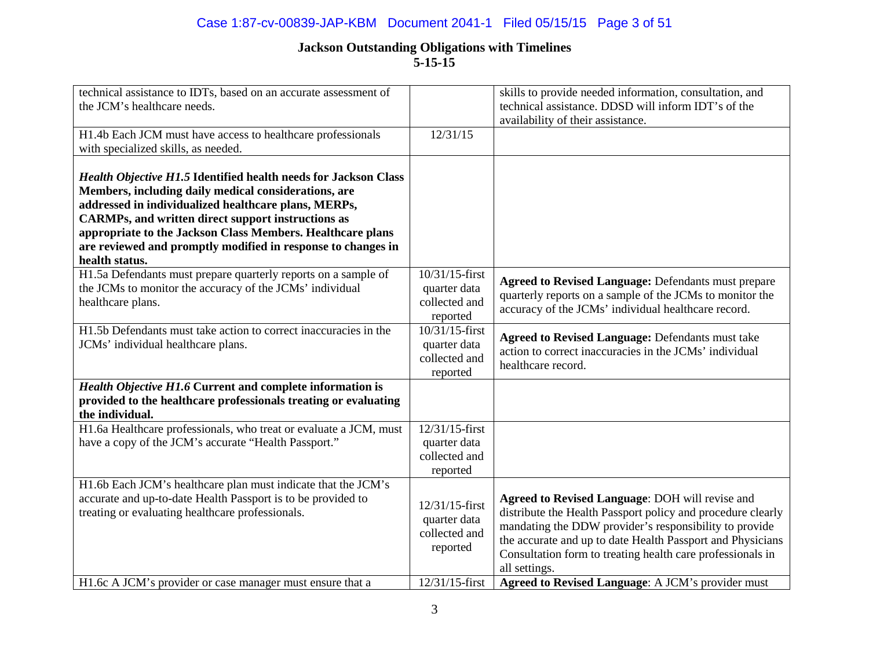## Case 1:87-cv-00839-JAP-KBM Document 2041-1 Filed 05/15/15 Page 3 of 51

| technical assistance to IDTs, based on an accurate assessment of<br>the JCM's healthcare needs.                                                                                                                                                                                                                                                                                                     |                                                                               | skills to provide needed information, consultation, and<br>technical assistance. DDSD will inform IDT's of the<br>availability of their assistance.                                                                                                                                                                                                                        |
|-----------------------------------------------------------------------------------------------------------------------------------------------------------------------------------------------------------------------------------------------------------------------------------------------------------------------------------------------------------------------------------------------------|-------------------------------------------------------------------------------|----------------------------------------------------------------------------------------------------------------------------------------------------------------------------------------------------------------------------------------------------------------------------------------------------------------------------------------------------------------------------|
| H1.4b Each JCM must have access to healthcare professionals<br>with specialized skills, as needed.                                                                                                                                                                                                                                                                                                  | 12/31/15                                                                      |                                                                                                                                                                                                                                                                                                                                                                            |
| <b>Health Objective H1.5 Identified health needs for Jackson Class</b><br>Members, including daily medical considerations, are<br>addressed in individualized healthcare plans, MERPs,<br><b>CARMPs, and written direct support instructions as</b><br>appropriate to the Jackson Class Members. Healthcare plans<br>are reviewed and promptly modified in response to changes in<br>health status. |                                                                               |                                                                                                                                                                                                                                                                                                                                                                            |
| H1.5a Defendants must prepare quarterly reports on a sample of<br>the JCMs to monitor the accuracy of the JCMs' individual<br>healthcare plans.                                                                                                                                                                                                                                                     | 10/31/15-first<br>quarter data<br>collected and<br>reported                   | <b>Agreed to Revised Language: Defendants must prepare</b><br>quarterly reports on a sample of the JCMs to monitor the<br>accuracy of the JCMs' individual healthcare record.                                                                                                                                                                                              |
| H1.5b Defendants must take action to correct inaccuracies in the<br>JCMs' individual healthcare plans.                                                                                                                                                                                                                                                                                              | 10/31/15-first<br>quarter data<br>collected and<br>reported                   | <b>Agreed to Revised Language: Defendants must take</b><br>action to correct inaccuracies in the JCMs' individual<br>healthcare record.                                                                                                                                                                                                                                    |
| Health Objective H1.6 Current and complete information is<br>provided to the healthcare professionals treating or evaluating<br>the individual.                                                                                                                                                                                                                                                     |                                                                               |                                                                                                                                                                                                                                                                                                                                                                            |
| H1.6a Healthcare professionals, who treat or evaluate a JCM, must<br>have a copy of the JCM's accurate "Health Passport."                                                                                                                                                                                                                                                                           | 12/31/15-first<br>quarter data<br>collected and<br>reported                   |                                                                                                                                                                                                                                                                                                                                                                            |
| H1.6b Each JCM's healthcare plan must indicate that the JCM's<br>accurate and up-to-date Health Passport is to be provided to<br>treating or evaluating healthcare professionals.<br>H1.6c A JCM's provider or case manager must ensure that a                                                                                                                                                      | 12/31/15-first<br>quarter data<br>collected and<br>reported<br>12/31/15-first | Agreed to Revised Language: DOH will revise and<br>distribute the Health Passport policy and procedure clearly<br>mandating the DDW provider's responsibility to provide<br>the accurate and up to date Health Passport and Physicians<br>Consultation form to treating health care professionals in<br>all settings.<br>Agreed to Revised Language: A JCM's provider must |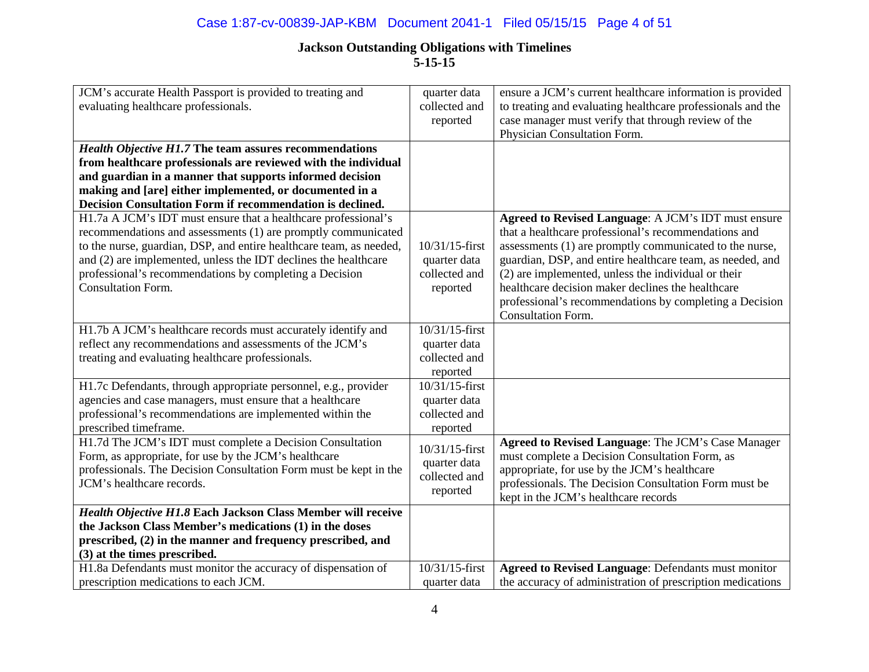## Case 1:87-cv-00839-JAP-KBM Document 2041-1 Filed 05/15/15 Page 4 of 51

| JCM's accurate Health Passport is provided to treating and          | quarter data   | ensure a JCM's current healthcare information is provided   |
|---------------------------------------------------------------------|----------------|-------------------------------------------------------------|
| evaluating healthcare professionals.                                | collected and  | to treating and evaluating healthcare professionals and the |
|                                                                     | reported       | case manager must verify that through review of the         |
|                                                                     |                | Physician Consultation Form.                                |
| <b>Health Objective H1.7 The team assures recommendations</b>       |                |                                                             |
| from healthcare professionals are reviewed with the individual      |                |                                                             |
| and guardian in a manner that supports informed decision            |                |                                                             |
| making and [are] either implemented, or documented in a             |                |                                                             |
| Decision Consultation Form if recommendation is declined.           |                |                                                             |
| H1.7a A JCM's IDT must ensure that a healthcare professional's      |                | Agreed to Revised Language: A JCM's IDT must ensure         |
| recommendations and assessments (1) are promptly communicated       |                | that a healthcare professional's recommendations and        |
| to the nurse, guardian, DSP, and entire healthcare team, as needed, | 10/31/15-first | assessments (1) are promptly communicated to the nurse,     |
| and (2) are implemented, unless the IDT declines the healthcare     | quarter data   | guardian, DSP, and entire healthcare team, as needed, and   |
| professional's recommendations by completing a Decision             | collected and  | (2) are implemented, unless the individual or their         |
| <b>Consultation Form.</b>                                           | reported       | healthcare decision maker declines the healthcare           |
|                                                                     |                | professional's recommendations by completing a Decision     |
|                                                                     |                | <b>Consultation Form.</b>                                   |
| H1.7b A JCM's healthcare records must accurately identify and       | 10/31/15-first |                                                             |
| reflect any recommendations and assessments of the JCM's            | quarter data   |                                                             |
| treating and evaluating healthcare professionals.                   | collected and  |                                                             |
|                                                                     | reported       |                                                             |
| H1.7c Defendants, through appropriate personnel, e.g., provider     | 10/31/15-first |                                                             |
| agencies and case managers, must ensure that a healthcare           | quarter data   |                                                             |
| professional's recommendations are implemented within the           | collected and  |                                                             |
| prescribed timeframe.                                               | reported       |                                                             |
| H1.7d The JCM's IDT must complete a Decision Consultation           | 10/31/15-first | Agreed to Revised Language: The JCM's Case Manager          |
| Form, as appropriate, for use by the JCM's healthcare               | quarter data   | must complete a Decision Consultation Form, as              |
| professionals. The Decision Consultation Form must be kept in the   | collected and  | appropriate, for use by the JCM's healthcare                |
| JCM's healthcare records.                                           |                | professionals. The Decision Consultation Form must be       |
|                                                                     | reported       | kept in the JCM's healthcare records                        |
| Health Objective H1.8 Each Jackson Class Member will receive        |                |                                                             |
| the Jackson Class Member's medications (1) in the doses             |                |                                                             |
| prescribed, (2) in the manner and frequency prescribed, and         |                |                                                             |
| (3) at the times prescribed.                                        |                |                                                             |
| H1.8a Defendants must monitor the accuracy of dispensation of       | 10/31/15-first | <b>Agreed to Revised Language: Defendants must monitor</b>  |
| prescription medications to each JCM.                               | quarter data   | the accuracy of administration of prescription medications  |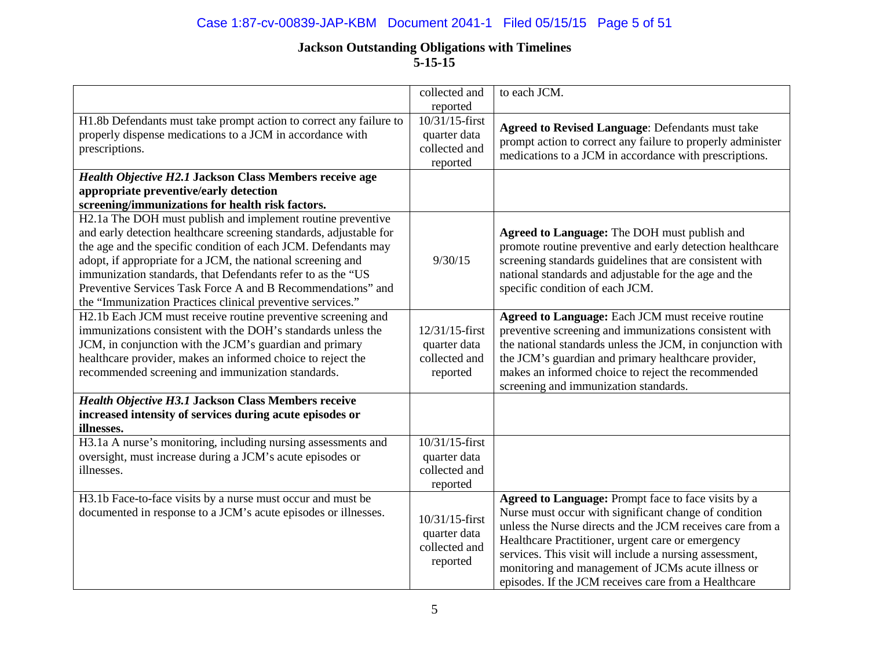## Case 1:87-cv-00839-JAP-KBM Document 2041-1 Filed 05/15/15 Page 5 of 51

|                                                                    | collected and<br>reported | to each JCM.                                                |
|--------------------------------------------------------------------|---------------------------|-------------------------------------------------------------|
| H1.8b Defendants must take prompt action to correct any failure to | 10/31/15-first            |                                                             |
| properly dispense medications to a JCM in accordance with          | quarter data              | <b>Agreed to Revised Language: Defendants must take</b>     |
| prescriptions.                                                     | collected and             | prompt action to correct any failure to properly administer |
|                                                                    | reported                  | medications to a JCM in accordance with prescriptions.      |
| Health Objective H2.1 Jackson Class Members receive age            |                           |                                                             |
| appropriate preventive/early detection                             |                           |                                                             |
| screening/immunizations for health risk factors.                   |                           |                                                             |
| H2.1a The DOH must publish and implement routine preventive        |                           |                                                             |
| and early detection healthcare screening standards, adjustable for |                           | Agreed to Language: The DOH must publish and                |
| the age and the specific condition of each JCM. Defendants may     |                           | promote routine preventive and early detection healthcare   |
| adopt, if appropriate for a JCM, the national screening and        | 9/30/15                   | screening standards guidelines that are consistent with     |
| immunization standards, that Defendants refer to as the "US        |                           | national standards and adjustable for the age and the       |
| Preventive Services Task Force A and B Recommendations" and        |                           | specific condition of each JCM.                             |
| the "Immunization Practices clinical preventive services."         |                           |                                                             |
| H2.1b Each JCM must receive routine preventive screening and       |                           | Agreed to Language: Each JCM must receive routine           |
| immunizations consistent with the DOH's standards unless the       | 12/31/15-first            | preventive screening and immunizations consistent with      |
| JCM, in conjunction with the JCM's guardian and primary            | quarter data              | the national standards unless the JCM, in conjunction with  |
| healthcare provider, makes an informed choice to reject the        | collected and             | the JCM's guardian and primary healthcare provider,         |
| recommended screening and immunization standards.                  | reported                  | makes an informed choice to reject the recommended          |
|                                                                    |                           | screening and immunization standards.                       |
| Health Objective H3.1 Jackson Class Members receive                |                           |                                                             |
| increased intensity of services during acute episodes or           |                           |                                                             |
| illnesses.                                                         |                           |                                                             |
| H3.1a A nurse's monitoring, including nursing assessments and      | 10/31/15-first            |                                                             |
| oversight, must increase during a JCM's acute episodes or          | quarter data              |                                                             |
| illnesses.                                                         | collected and             |                                                             |
|                                                                    | reported                  |                                                             |
| H3.1b Face-to-face visits by a nurse must occur and must be        |                           | Agreed to Language: Prompt face to face visits by a         |
| documented in response to a JCM's acute episodes or illnesses.     | 10/31/15-first            | Nurse must occur with significant change of condition       |
|                                                                    | quarter data              | unless the Nurse directs and the JCM receives care from a   |
|                                                                    | collected and             | Healthcare Practitioner, urgent care or emergency           |
|                                                                    | reported                  | services. This visit will include a nursing assessment,     |
|                                                                    |                           | monitoring and management of JCMs acute illness or          |
|                                                                    |                           | episodes. If the JCM receives care from a Healthcare        |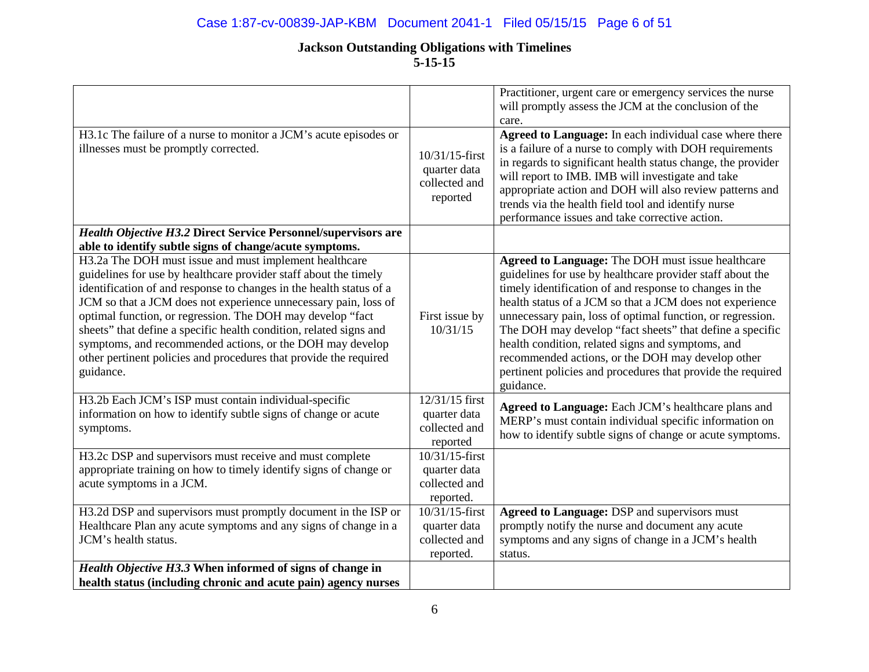## Case 1:87-cv-00839-JAP-KBM Document 2041-1 Filed 05/15/15 Page 6 of 51

| H3.1c The failure of a nurse to monitor a JCM's acute episodes or                                                                                                                                                                                                                                                                                                                                                                                                                                                                                       |                                                              | Practitioner, urgent care or emergency services the nurse<br>will promptly assess the JCM at the conclusion of the<br>care.<br>Agreed to Language: In each individual case where there                                                                                                                                                                                                                                                                                                                                                                |
|---------------------------------------------------------------------------------------------------------------------------------------------------------------------------------------------------------------------------------------------------------------------------------------------------------------------------------------------------------------------------------------------------------------------------------------------------------------------------------------------------------------------------------------------------------|--------------------------------------------------------------|-------------------------------------------------------------------------------------------------------------------------------------------------------------------------------------------------------------------------------------------------------------------------------------------------------------------------------------------------------------------------------------------------------------------------------------------------------------------------------------------------------------------------------------------------------|
| illnesses must be promptly corrected.                                                                                                                                                                                                                                                                                                                                                                                                                                                                                                                   | 10/31/15-first<br>quarter data<br>collected and<br>reported  | is a failure of a nurse to comply with DOH requirements<br>in regards to significant health status change, the provider<br>will report to IMB. IMB will investigate and take<br>appropriate action and DOH will also review patterns and<br>trends via the health field tool and identify nurse<br>performance issues and take corrective action.                                                                                                                                                                                                     |
| Health Objective H3.2 Direct Service Personnel/supervisors are<br>able to identify subtle signs of change/acute symptoms.                                                                                                                                                                                                                                                                                                                                                                                                                               |                                                              |                                                                                                                                                                                                                                                                                                                                                                                                                                                                                                                                                       |
| H3.2a The DOH must issue and must implement healthcare<br>guidelines for use by healthcare provider staff about the timely<br>identification of and response to changes in the health status of a<br>JCM so that a JCM does not experience unnecessary pain, loss of<br>optimal function, or regression. The DOH may develop "fact<br>sheets" that define a specific health condition, related signs and<br>symptoms, and recommended actions, or the DOH may develop<br>other pertinent policies and procedures that provide the required<br>guidance. | First issue by<br>10/31/15                                   | Agreed to Language: The DOH must issue healthcare<br>guidelines for use by healthcare provider staff about the<br>timely identification of and response to changes in the<br>health status of a JCM so that a JCM does not experience<br>unnecessary pain, loss of optimal function, or regression.<br>The DOH may develop "fact sheets" that define a specific<br>health condition, related signs and symptoms, and<br>recommended actions, or the DOH may develop other<br>pertinent policies and procedures that provide the required<br>guidance. |
| H3.2b Each JCM's ISP must contain individual-specific<br>information on how to identify subtle signs of change or acute<br>symptoms.                                                                                                                                                                                                                                                                                                                                                                                                                    | 12/31/15 first<br>quarter data<br>collected and<br>reported  | Agreed to Language: Each JCM's healthcare plans and<br>MERP's must contain individual specific information on<br>how to identify subtle signs of change or acute symptoms.                                                                                                                                                                                                                                                                                                                                                                            |
| H3.2c DSP and supervisors must receive and must complete<br>appropriate training on how to timely identify signs of change or<br>acute symptoms in a JCM.                                                                                                                                                                                                                                                                                                                                                                                               | 10/31/15-first<br>quarter data<br>collected and<br>reported. |                                                                                                                                                                                                                                                                                                                                                                                                                                                                                                                                                       |
| H3.2d DSP and supervisors must promptly document in the ISP or<br>Healthcare Plan any acute symptoms and any signs of change in a<br>JCM's health status.                                                                                                                                                                                                                                                                                                                                                                                               | 10/31/15-first<br>quarter data<br>collected and<br>reported. | Agreed to Language: DSP and supervisors must<br>promptly notify the nurse and document any acute<br>symptoms and any signs of change in a JCM's health<br>status.                                                                                                                                                                                                                                                                                                                                                                                     |
| Health Objective H3.3 When informed of signs of change in<br>health status (including chronic and acute pain) agency nurses                                                                                                                                                                                                                                                                                                                                                                                                                             |                                                              |                                                                                                                                                                                                                                                                                                                                                                                                                                                                                                                                                       |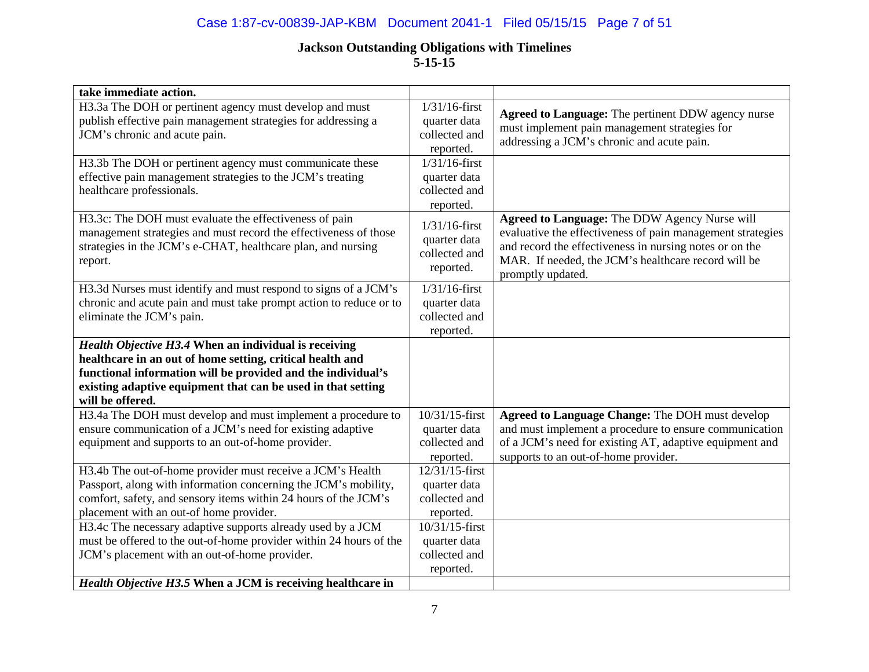## Case 1:87-cv-00839-JAP-KBM Document 2041-1 Filed 05/15/15 Page 7 of 51

| take immediate action.                                                                                                                                                                                |                                                                |                                                                                                                                                                                                                                                    |
|-------------------------------------------------------------------------------------------------------------------------------------------------------------------------------------------------------|----------------------------------------------------------------|----------------------------------------------------------------------------------------------------------------------------------------------------------------------------------------------------------------------------------------------------|
| H3.3a The DOH or pertinent agency must develop and must<br>publish effective pain management strategies for addressing a                                                                              | $1/31/16$ -first<br>quarter data                               | Agreed to Language: The pertinent DDW agency nurse                                                                                                                                                                                                 |
| JCM's chronic and acute pain.                                                                                                                                                                         | collected and<br>reported.                                     | must implement pain management strategies for<br>addressing a JCM's chronic and acute pain.                                                                                                                                                        |
| H3.3b The DOH or pertinent agency must communicate these<br>effective pain management strategies to the JCM's treating<br>healthcare professionals.                                                   | $1/31/16$ -first<br>quarter data<br>collected and              |                                                                                                                                                                                                                                                    |
|                                                                                                                                                                                                       | reported.                                                      |                                                                                                                                                                                                                                                    |
| H3.3c: The DOH must evaluate the effectiveness of pain<br>management strategies and must record the effectiveness of those<br>strategies in the JCM's e-CHAT, healthcare plan, and nursing<br>report. | $1/31/16$ -first<br>quarter data<br>collected and<br>reported. | Agreed to Language: The DDW Agency Nurse will<br>evaluative the effectiveness of pain management strategies<br>and record the effectiveness in nursing notes or on the<br>MAR. If needed, the JCM's healthcare record will be<br>promptly updated. |
| H3.3d Nurses must identify and must respond to signs of a JCM's                                                                                                                                       | $1/31/16$ -first                                               |                                                                                                                                                                                                                                                    |
| chronic and acute pain and must take prompt action to reduce or to<br>eliminate the JCM's pain.                                                                                                       | quarter data<br>collected and<br>reported.                     |                                                                                                                                                                                                                                                    |
| Health Objective H3.4 When an individual is receiving                                                                                                                                                 |                                                                |                                                                                                                                                                                                                                                    |
| healthcare in an out of home setting, critical health and<br>functional information will be provided and the individual's                                                                             |                                                                |                                                                                                                                                                                                                                                    |
| existing adaptive equipment that can be used in that setting<br>will be offered.                                                                                                                      |                                                                |                                                                                                                                                                                                                                                    |
| H3.4a The DOH must develop and must implement a procedure to                                                                                                                                          | 10/31/15-first                                                 | Agreed to Language Change: The DOH must develop                                                                                                                                                                                                    |
| ensure communication of a JCM's need for existing adaptive                                                                                                                                            | quarter data                                                   | and must implement a procedure to ensure communication                                                                                                                                                                                             |
| equipment and supports to an out-of-home provider.                                                                                                                                                    | collected and                                                  | of a JCM's need for existing AT, adaptive equipment and                                                                                                                                                                                            |
|                                                                                                                                                                                                       | reported.<br>12/31/15-first                                    | supports to an out-of-home provider.                                                                                                                                                                                                               |
| H3.4b The out-of-home provider must receive a JCM's Health<br>Passport, along with information concerning the JCM's mobility,                                                                         |                                                                |                                                                                                                                                                                                                                                    |
| comfort, safety, and sensory items within 24 hours of the JCM's                                                                                                                                       | quarter data<br>collected and                                  |                                                                                                                                                                                                                                                    |
| placement with an out-of home provider.                                                                                                                                                               | reported.                                                      |                                                                                                                                                                                                                                                    |
| H3.4c The necessary adaptive supports already used by a JCM                                                                                                                                           | 10/31/15-first                                                 |                                                                                                                                                                                                                                                    |
| must be offered to the out-of-home provider within 24 hours of the                                                                                                                                    | quarter data                                                   |                                                                                                                                                                                                                                                    |
| JCM's placement with an out-of-home provider.                                                                                                                                                         | collected and                                                  |                                                                                                                                                                                                                                                    |
|                                                                                                                                                                                                       | reported.                                                      |                                                                                                                                                                                                                                                    |
| Health Objective H3.5 When a JCM is receiving healthcare in                                                                                                                                           |                                                                |                                                                                                                                                                                                                                                    |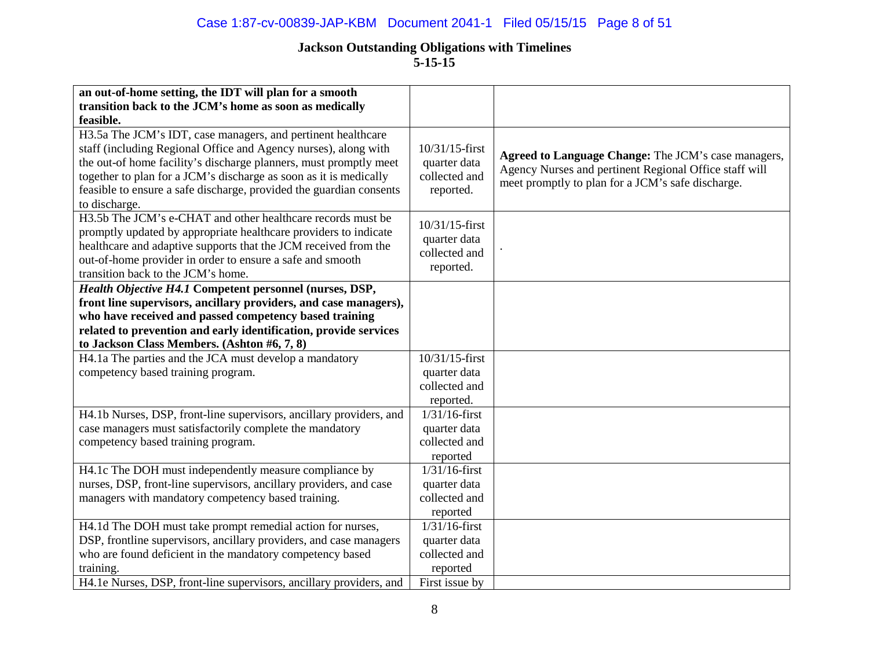## Case 1:87-cv-00839-JAP-KBM Document 2041-1 Filed 05/15/15 Page 8 of 51

| an out-of-home setting, the IDT will plan for a smooth<br>transition back to the JCM's home as soon as medically<br>feasible.                                                                                                                                                                                                                                     |                                                                                 |                                                                                                                                                                    |
|-------------------------------------------------------------------------------------------------------------------------------------------------------------------------------------------------------------------------------------------------------------------------------------------------------------------------------------------------------------------|---------------------------------------------------------------------------------|--------------------------------------------------------------------------------------------------------------------------------------------------------------------|
| H3.5a The JCM's IDT, case managers, and pertinent healthcare<br>staff (including Regional Office and Agency nurses), along with<br>the out-of home facility's discharge planners, must promptly meet<br>together to plan for a JCM's discharge as soon as it is medically<br>feasible to ensure a safe discharge, provided the guardian consents<br>to discharge. | 10/31/15-first<br>quarter data<br>collected and<br>reported.                    | Agreed to Language Change: The JCM's case managers,<br>Agency Nurses and pertinent Regional Office staff will<br>meet promptly to plan for a JCM's safe discharge. |
| H3.5b The JCM's e-CHAT and other healthcare records must be<br>promptly updated by appropriate healthcare providers to indicate<br>healthcare and adaptive supports that the JCM received from the<br>out-of-home provider in order to ensure a safe and smooth<br>transition back to the JCM's home.                                                             | 10/31/15-first<br>quarter data<br>collected and<br>reported.                    |                                                                                                                                                                    |
| Health Objective H4.1 Competent personnel (nurses, DSP,<br>front line supervisors, ancillary providers, and case managers),<br>who have received and passed competency based training<br>related to prevention and early identification, provide services<br>to Jackson Class Members. (Ashton #6, 7, 8)                                                          |                                                                                 |                                                                                                                                                                    |
| H4.1a The parties and the JCA must develop a mandatory<br>competency based training program.                                                                                                                                                                                                                                                                      | 10/31/15-first<br>quarter data<br>collected and<br>reported.                    |                                                                                                                                                                    |
| H4.1b Nurses, DSP, front-line supervisors, ancillary providers, and<br>case managers must satisfactorily complete the mandatory<br>competency based training program.                                                                                                                                                                                             | $1/31/16$ -first<br>quarter data<br>collected and<br>reported                   |                                                                                                                                                                    |
| H4.1c The DOH must independently measure compliance by<br>nurses, DSP, front-line supervisors, ancillary providers, and case<br>managers with mandatory competency based training.                                                                                                                                                                                | $1/31/16$ -first<br>quarter data<br>collected and<br>reported                   |                                                                                                                                                                    |
| H4.1d The DOH must take prompt remedial action for nurses,<br>DSP, frontline supervisors, ancillary providers, and case managers<br>who are found deficient in the mandatory competency based<br>training.                                                                                                                                                        | $1/31/16$ -first<br>quarter data<br>collected and<br>reported<br>First issue by |                                                                                                                                                                    |
| H4.1e Nurses, DSP, front-line supervisors, ancillary providers, and                                                                                                                                                                                                                                                                                               |                                                                                 |                                                                                                                                                                    |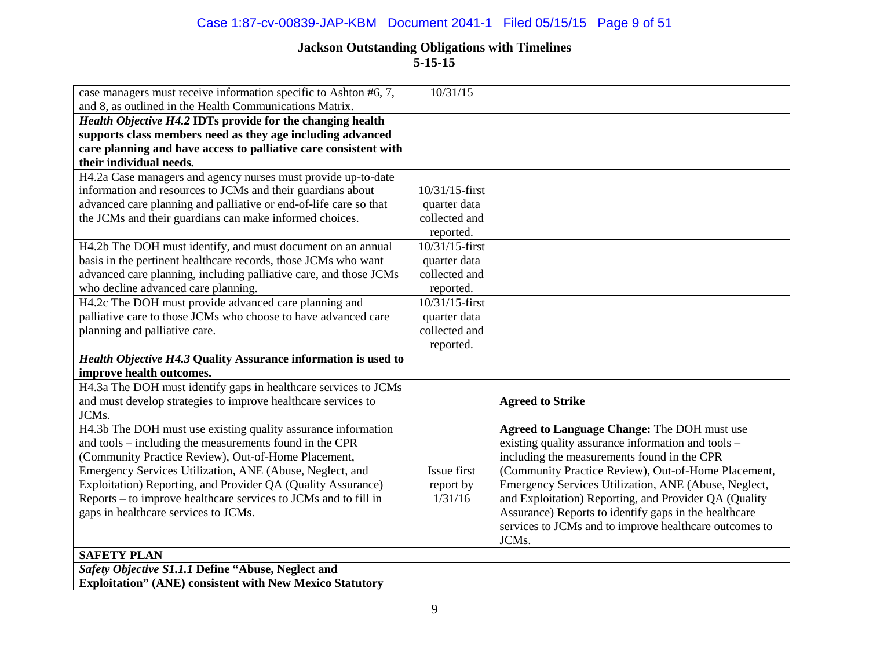## Case 1:87-cv-00839-JAP-KBM Document 2041-1 Filed 05/15/15 Page 9 of 51

| case managers must receive information specific to Ashton #6, 7,<br>and 8, as outlined in the Health Communications Matrix. | 10/31/15       |                                                        |
|-----------------------------------------------------------------------------------------------------------------------------|----------------|--------------------------------------------------------|
| Health Objective H4.2 IDTs provide for the changing health                                                                  |                |                                                        |
| supports class members need as they age including advanced                                                                  |                |                                                        |
| care planning and have access to palliative care consistent with                                                            |                |                                                        |
| their individual needs.                                                                                                     |                |                                                        |
| H4.2a Case managers and agency nurses must provide up-to-date                                                               |                |                                                        |
| information and resources to JCMs and their guardians about                                                                 | 10/31/15-first |                                                        |
| advanced care planning and palliative or end-of-life care so that                                                           | quarter data   |                                                        |
| the JCMs and their guardians can make informed choices.                                                                     | collected and  |                                                        |
|                                                                                                                             | reported.      |                                                        |
| H4.2b The DOH must identify, and must document on an annual                                                                 | 10/31/15-first |                                                        |
| basis in the pertinent healthcare records, those JCMs who want                                                              | quarter data   |                                                        |
| advanced care planning, including palliative care, and those JCMs                                                           | collected and  |                                                        |
| who decline advanced care planning.                                                                                         | reported.      |                                                        |
| H4.2c The DOH must provide advanced care planning and                                                                       | 10/31/15-first |                                                        |
| palliative care to those JCMs who choose to have advanced care                                                              | quarter data   |                                                        |
| planning and palliative care.                                                                                               | collected and  |                                                        |
|                                                                                                                             | reported.      |                                                        |
| Health Objective H4.3 Quality Assurance information is used to                                                              |                |                                                        |
| improve health outcomes.                                                                                                    |                |                                                        |
| H4.3a The DOH must identify gaps in healthcare services to JCMs                                                             |                |                                                        |
| and must develop strategies to improve healthcare services to                                                               |                | <b>Agreed to Strike</b>                                |
| JCMs.                                                                                                                       |                |                                                        |
| H4.3b The DOH must use existing quality assurance information                                                               |                | <b>Agreed to Language Change: The DOH must use</b>     |
| and tools – including the measurements found in the CPR                                                                     |                | existing quality assurance information and tools -     |
| (Community Practice Review), Out-of-Home Placement,                                                                         |                | including the measurements found in the CPR            |
| Emergency Services Utilization, ANE (Abuse, Neglect, and                                                                    | Issue first    | (Community Practice Review), Out-of-Home Placement,    |
| Exploitation) Reporting, and Provider QA (Quality Assurance)                                                                | report by      | Emergency Services Utilization, ANE (Abuse, Neglect,   |
| Reports – to improve healthcare services to JCMs and to fill in                                                             | 1/31/16        | and Exploitation) Reporting, and Provider QA (Quality  |
| gaps in healthcare services to JCMs.                                                                                        |                | Assurance) Reports to identify gaps in the healthcare  |
|                                                                                                                             |                | services to JCMs and to improve healthcare outcomes to |
|                                                                                                                             |                | JCMs.                                                  |
| <b>SAFETY PLAN</b>                                                                                                          |                |                                                        |
| Safety Objective S1.1.1 Define "Abuse, Neglect and                                                                          |                |                                                        |
| <b>Exploitation" (ANE) consistent with New Mexico Statutory</b>                                                             |                |                                                        |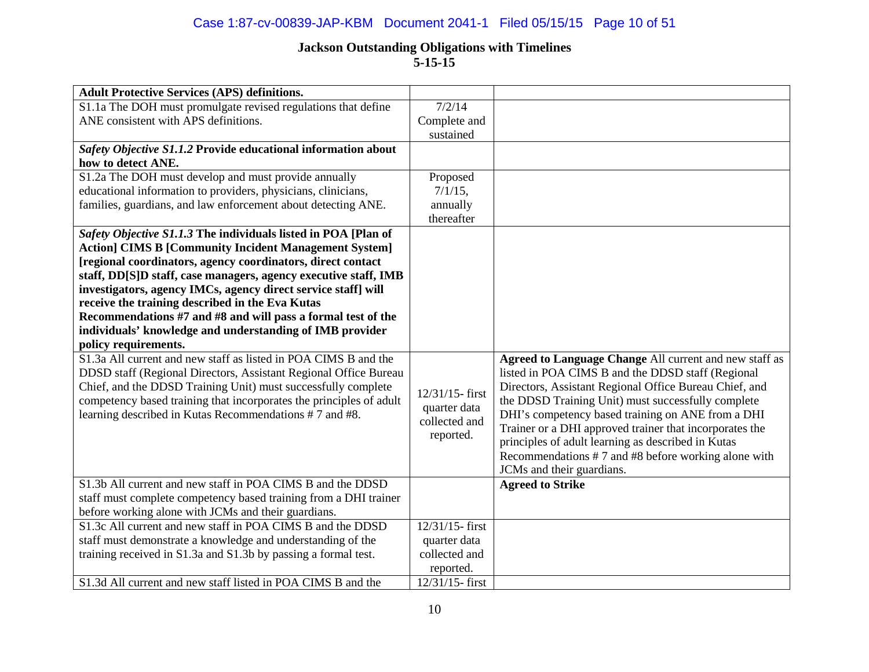## Case 1:87-cv-00839-JAP-KBM Document 2041-1 Filed 05/15/15 Page 10 of 51

| <b>Adult Protective Services (APS) definitions.</b>                 |                                 |                                                                                  |
|---------------------------------------------------------------------|---------------------------------|----------------------------------------------------------------------------------|
| S1.1a The DOH must promulgate revised regulations that define       | 7/2/14                          |                                                                                  |
| ANE consistent with APS definitions.                                | Complete and                    |                                                                                  |
|                                                                     | sustained                       |                                                                                  |
| Safety Objective S1.1.2 Provide educational information about       |                                 |                                                                                  |
| how to detect ANE.                                                  |                                 |                                                                                  |
| S1.2a The DOH must develop and must provide annually                | Proposed                        |                                                                                  |
| educational information to providers, physicians, clinicians,       | $7/1/15$ ,                      |                                                                                  |
| families, guardians, and law enforcement about detecting ANE.       | annually                        |                                                                                  |
|                                                                     | thereafter                      |                                                                                  |
| Safety Objective S1.1.3 The individuals listed in POA [Plan of      |                                 |                                                                                  |
| <b>Action] CIMS B [Community Incident Management System]</b>        |                                 |                                                                                  |
| [regional coordinators, agency coordinators, direct contact         |                                 |                                                                                  |
| staff, DD[S]D staff, case managers, agency executive staff, IMB     |                                 |                                                                                  |
| investigators, agency IMCs, agency direct service staff] will       |                                 |                                                                                  |
| receive the training described in the Eva Kutas                     |                                 |                                                                                  |
| Recommendations #7 and #8 and will pass a formal test of the        |                                 |                                                                                  |
| individuals' knowledge and understanding of IMB provider            |                                 |                                                                                  |
| policy requirements.                                                |                                 |                                                                                  |
| S1.3a All current and new staff as listed in POA CIMS B and the     |                                 | Agreed to Language Change All current and new staff as                           |
| DDSD staff (Regional Directors, Assistant Regional Office Bureau    |                                 | listed in POA CIMS B and the DDSD staff (Regional                                |
| Chief, and the DDSD Training Unit) must successfully complete       | 12/31/15-first                  | Directors, Assistant Regional Office Bureau Chief, and                           |
| competency based training that incorporates the principles of adult | quarter data                    | the DDSD Training Unit) must successfully complete                               |
| learning described in Kutas Recommendations #7 and #8.              | collected and                   | DHI's competency based training on ANE from a DHI                                |
|                                                                     | reported.                       | Trainer or a DHI approved trainer that incorporates the                          |
|                                                                     |                                 | principles of adult learning as described in Kutas                               |
|                                                                     |                                 | Recommendations #7 and #8 before working alone with<br>JCMs and their guardians. |
| S1.3b All current and new staff in POA CIMS B and the DDSD          |                                 |                                                                                  |
| staff must complete competency based training from a DHI trainer    |                                 | <b>Agreed to Strike</b>                                                          |
| before working alone with JCMs and their guardians.                 |                                 |                                                                                  |
| S1.3c All current and new staff in POA CIMS B and the DDSD          | 12/31/15-first                  |                                                                                  |
| staff must demonstrate a knowledge and understanding of the         | quarter data                    |                                                                                  |
| training received in S1.3a and S1.3b by passing a formal test.      | collected and                   |                                                                                  |
|                                                                     |                                 |                                                                                  |
| S1.3d All current and new staff listed in POA CIMS B and the        | reported.<br>$12/31/15$ - first |                                                                                  |
|                                                                     |                                 |                                                                                  |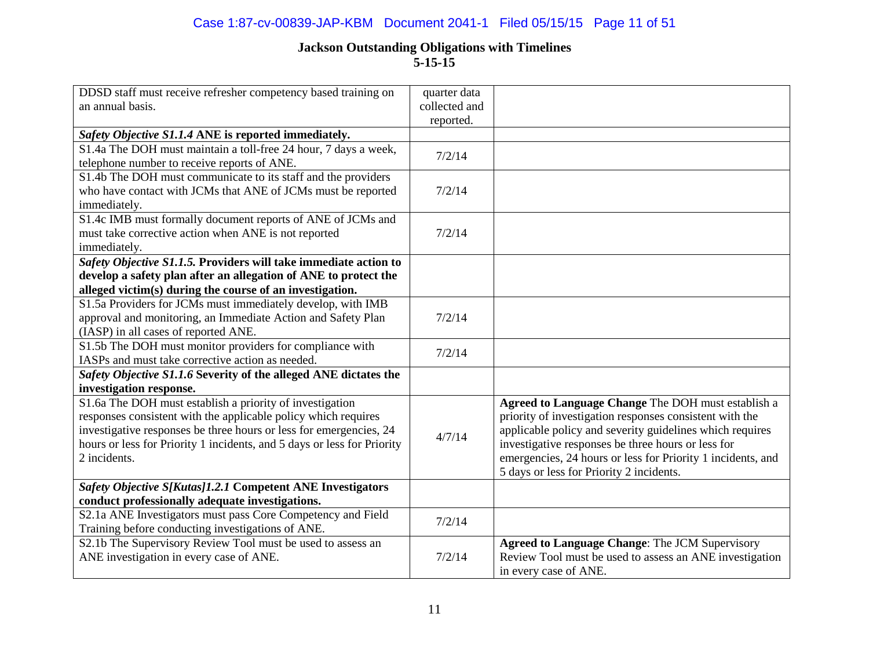### Case 1:87-cv-00839-JAP-KBM Document 2041-1 Filed 05/15/15 Page 11 of 51

| DDSD staff must receive refresher competency based training on<br>an annual basis.                                                                                                                                                                                                          | quarter data<br>collected and<br>reported. |                                                                                                                                                                                                                                                                                                                                            |
|---------------------------------------------------------------------------------------------------------------------------------------------------------------------------------------------------------------------------------------------------------------------------------------------|--------------------------------------------|--------------------------------------------------------------------------------------------------------------------------------------------------------------------------------------------------------------------------------------------------------------------------------------------------------------------------------------------|
| Safety Objective S1.1.4 ANE is reported immediately.                                                                                                                                                                                                                                        |                                            |                                                                                                                                                                                                                                                                                                                                            |
| S1.4a The DOH must maintain a toll-free 24 hour, 7 days a week,<br>telephone number to receive reports of ANE.                                                                                                                                                                              | 7/2/14                                     |                                                                                                                                                                                                                                                                                                                                            |
| S1.4b The DOH must communicate to its staff and the providers<br>who have contact with JCMs that ANE of JCMs must be reported<br>immediately.                                                                                                                                               | 7/2/14                                     |                                                                                                                                                                                                                                                                                                                                            |
| S1.4c IMB must formally document reports of ANE of JCMs and<br>must take corrective action when ANE is not reported<br>immediately.                                                                                                                                                         | 7/2/14                                     |                                                                                                                                                                                                                                                                                                                                            |
| Safety Objective S1.1.5. Providers will take immediate action to                                                                                                                                                                                                                            |                                            |                                                                                                                                                                                                                                                                                                                                            |
| develop a safety plan after an allegation of ANE to protect the                                                                                                                                                                                                                             |                                            |                                                                                                                                                                                                                                                                                                                                            |
| alleged victim(s) during the course of an investigation.                                                                                                                                                                                                                                    |                                            |                                                                                                                                                                                                                                                                                                                                            |
| S1.5a Providers for JCMs must immediately develop, with IMB<br>approval and monitoring, an Immediate Action and Safety Plan<br>(IASP) in all cases of reported ANE.                                                                                                                         | 7/2/14                                     |                                                                                                                                                                                                                                                                                                                                            |
| S1.5b The DOH must monitor providers for compliance with<br>IASPs and must take corrective action as needed.                                                                                                                                                                                | 7/2/14                                     |                                                                                                                                                                                                                                                                                                                                            |
| Safety Objective S1.1.6 Severity of the alleged ANE dictates the                                                                                                                                                                                                                            |                                            |                                                                                                                                                                                                                                                                                                                                            |
| investigation response.                                                                                                                                                                                                                                                                     |                                            |                                                                                                                                                                                                                                                                                                                                            |
| S1.6a The DOH must establish a priority of investigation<br>responses consistent with the applicable policy which requires<br>investigative responses be three hours or less for emergencies, 24<br>hours or less for Priority 1 incidents, and 5 days or less for Priority<br>2 incidents. | 4/7/14                                     | Agreed to Language Change The DOH must establish a<br>priority of investigation responses consistent with the<br>applicable policy and severity guidelines which requires<br>investigative responses be three hours or less for<br>emergencies, 24 hours or less for Priority 1 incidents, and<br>5 days or less for Priority 2 incidents. |
| Safety Objective S[Kutas]1.2.1 Competent ANE Investigators                                                                                                                                                                                                                                  |                                            |                                                                                                                                                                                                                                                                                                                                            |
| conduct professionally adequate investigations.                                                                                                                                                                                                                                             |                                            |                                                                                                                                                                                                                                                                                                                                            |
| S2.1a ANE Investigators must pass Core Competency and Field<br>Training before conducting investigations of ANE.                                                                                                                                                                            | 7/2/14                                     |                                                                                                                                                                                                                                                                                                                                            |
| S2.1b The Supervisory Review Tool must be used to assess an<br>ANE investigation in every case of ANE.                                                                                                                                                                                      | 7/2/14                                     | <b>Agreed to Language Change: The JCM Supervisory</b><br>Review Tool must be used to assess an ANE investigation<br>in every case of ANE.                                                                                                                                                                                                  |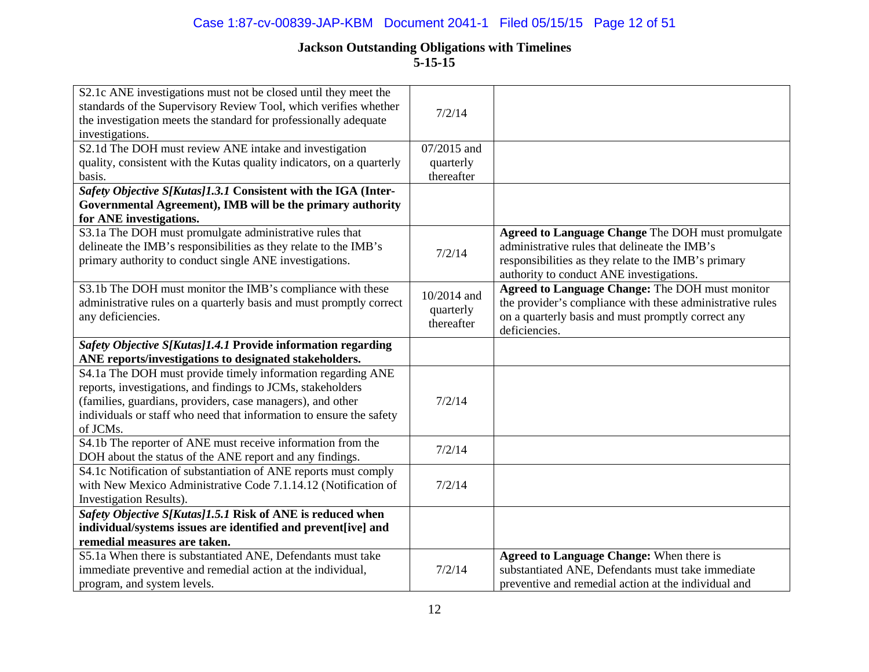## Case 1:87-cv-00839-JAP-KBM Document 2041-1 Filed 05/15/15 Page 12 of 51

| S2.1c ANE investigations must not be closed until they meet the<br>standards of the Supervisory Review Tool, which verifies whether<br>the investigation meets the standard for professionally adequate<br>investigations. | 7/2/14                  |                                                                                                                                                                                                               |
|----------------------------------------------------------------------------------------------------------------------------------------------------------------------------------------------------------------------------|-------------------------|---------------------------------------------------------------------------------------------------------------------------------------------------------------------------------------------------------------|
| S2.1d The DOH must review ANE intake and investigation                                                                                                                                                                     | 07/2015 and             |                                                                                                                                                                                                               |
| quality, consistent with the Kutas quality indicators, on a quarterly                                                                                                                                                      | quarterly               |                                                                                                                                                                                                               |
| basis.                                                                                                                                                                                                                     | thereafter              |                                                                                                                                                                                                               |
| Safety Objective S[Kutas]1.3.1 Consistent with the IGA (Inter-                                                                                                                                                             |                         |                                                                                                                                                                                                               |
| Governmental Agreement), IMB will be the primary authority                                                                                                                                                                 |                         |                                                                                                                                                                                                               |
| for ANE investigations.                                                                                                                                                                                                    |                         |                                                                                                                                                                                                               |
| S3.1a The DOH must promulgate administrative rules that<br>delineate the IMB's responsibilities as they relate to the IMB's<br>primary authority to conduct single ANE investigations.                                     | 7/2/14                  | <b>Agreed to Language Change The DOH must promulgate</b><br>administrative rules that delineate the IMB's<br>responsibilities as they relate to the IMB's primary<br>authority to conduct ANE investigations. |
| S3.1b The DOH must monitor the IMB's compliance with these                                                                                                                                                                 | 10/2014 and             | Agreed to Language Change: The DOH must monitor                                                                                                                                                               |
| administrative rules on a quarterly basis and must promptly correct                                                                                                                                                        |                         | the provider's compliance with these administrative rules                                                                                                                                                     |
| any deficiencies.                                                                                                                                                                                                          | quarterly<br>thereafter | on a quarterly basis and must promptly correct any                                                                                                                                                            |
|                                                                                                                                                                                                                            |                         | deficiencies.                                                                                                                                                                                                 |
| Safety Objective S[Kutas]1.4.1 Provide information regarding                                                                                                                                                               |                         |                                                                                                                                                                                                               |
| ANE reports/investigations to designated stakeholders.                                                                                                                                                                     |                         |                                                                                                                                                                                                               |
| S4.1a The DOH must provide timely information regarding ANE                                                                                                                                                                |                         |                                                                                                                                                                                                               |
| reports, investigations, and findings to JCMs, stakeholders                                                                                                                                                                |                         |                                                                                                                                                                                                               |
| (families, guardians, providers, case managers), and other                                                                                                                                                                 | 7/2/14                  |                                                                                                                                                                                                               |
| individuals or staff who need that information to ensure the safety                                                                                                                                                        |                         |                                                                                                                                                                                                               |
| of JCMs.                                                                                                                                                                                                                   |                         |                                                                                                                                                                                                               |
| S4.1b The reporter of ANE must receive information from the                                                                                                                                                                | 7/2/14                  |                                                                                                                                                                                                               |
| DOH about the status of the ANE report and any findings.                                                                                                                                                                   |                         |                                                                                                                                                                                                               |
| S4.1c Notification of substantiation of ANE reports must comply                                                                                                                                                            |                         |                                                                                                                                                                                                               |
| with New Mexico Administrative Code 7.1.14.12 (Notification of                                                                                                                                                             | 7/2/14                  |                                                                                                                                                                                                               |
| Investigation Results).                                                                                                                                                                                                    |                         |                                                                                                                                                                                                               |
| Safety Objective S[Kutas]1.5.1 Risk of ANE is reduced when                                                                                                                                                                 |                         |                                                                                                                                                                                                               |
| individual/systems issues are identified and prevent[ive] and                                                                                                                                                              |                         |                                                                                                                                                                                                               |
| remedial measures are taken.                                                                                                                                                                                               |                         |                                                                                                                                                                                                               |
| S5.1a When there is substantiated ANE, Defendants must take                                                                                                                                                                |                         | <b>Agreed to Language Change: When there is</b>                                                                                                                                                               |
| immediate preventive and remedial action at the individual,                                                                                                                                                                | 7/2/14                  | substantiated ANE, Defendants must take immediate                                                                                                                                                             |
| program, and system levels.                                                                                                                                                                                                |                         | preventive and remedial action at the individual and                                                                                                                                                          |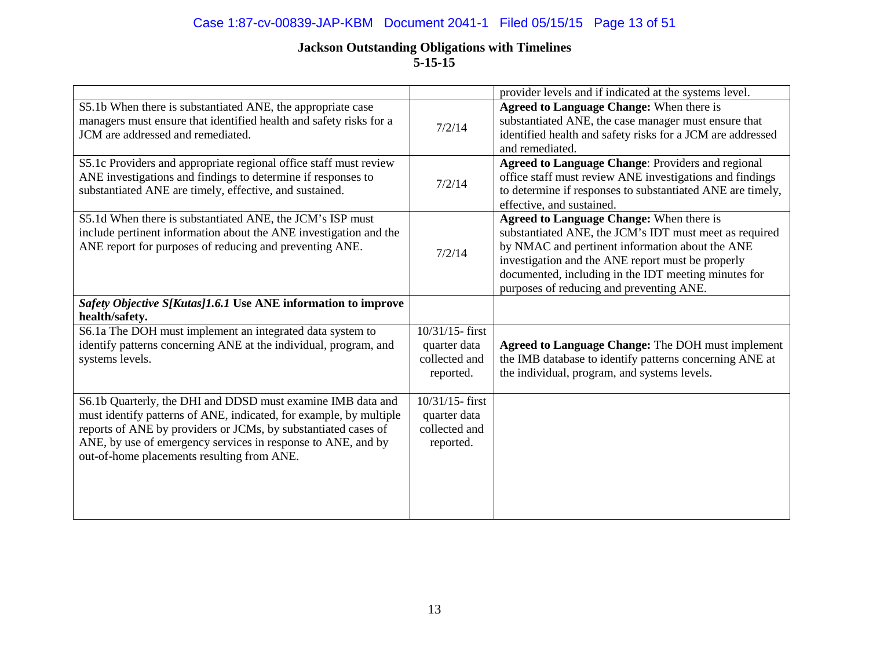## Case 1:87-cv-00839-JAP-KBM Document 2041-1 Filed 05/15/15 Page 13 of 51

|                                                                                                                                                                                                                                                                                                                   |                                                                  | provider levels and if indicated at the systems level.                                                                                                                                                                                                                                                                |
|-------------------------------------------------------------------------------------------------------------------------------------------------------------------------------------------------------------------------------------------------------------------------------------------------------------------|------------------------------------------------------------------|-----------------------------------------------------------------------------------------------------------------------------------------------------------------------------------------------------------------------------------------------------------------------------------------------------------------------|
| S5.1b When there is substantiated ANE, the appropriate case<br>managers must ensure that identified health and safety risks for a<br>JCM are addressed and remediated.                                                                                                                                            | 7/2/14                                                           | Agreed to Language Change: When there is<br>substantiated ANE, the case manager must ensure that<br>identified health and safety risks for a JCM are addressed<br>and remediated.                                                                                                                                     |
| S5.1c Providers and appropriate regional office staff must review<br>ANE investigations and findings to determine if responses to<br>substantiated ANE are timely, effective, and sustained.                                                                                                                      | 7/2/14                                                           | Agreed to Language Change: Providers and regional<br>office staff must review ANE investigations and findings<br>to determine if responses to substantiated ANE are timely,<br>effective, and sustained.                                                                                                              |
| S5.1d When there is substantiated ANE, the JCM's ISP must<br>include pertinent information about the ANE investigation and the<br>ANE report for purposes of reducing and preventing ANE.                                                                                                                         | 7/2/14                                                           | <b>Agreed to Language Change: When there is</b><br>substantiated ANE, the JCM's IDT must meet as required<br>by NMAC and pertinent information about the ANE<br>investigation and the ANE report must be properly<br>documented, including in the IDT meeting minutes for<br>purposes of reducing and preventing ANE. |
| Safety Objective S[Kutas]1.6.1 Use ANE information to improve<br>health/safety.                                                                                                                                                                                                                                   |                                                                  |                                                                                                                                                                                                                                                                                                                       |
| S6.1a The DOH must implement an integrated data system to<br>identify patterns concerning ANE at the individual, program, and<br>systems levels.                                                                                                                                                                  | 10/31/15-first<br>quarter data<br>collected and<br>reported.     | <b>Agreed to Language Change: The DOH must implement</b><br>the IMB database to identify patterns concerning ANE at<br>the individual, program, and systems levels.                                                                                                                                                   |
| S6.1b Quarterly, the DHI and DDSD must examine IMB data and<br>must identify patterns of ANE, indicated, for example, by multiple<br>reports of ANE by providers or JCMs, by substantiated cases of<br>ANE, by use of emergency services in response to ANE, and by<br>out-of-home placements resulting from ANE. | $10/31/15$ - first<br>quarter data<br>collected and<br>reported. |                                                                                                                                                                                                                                                                                                                       |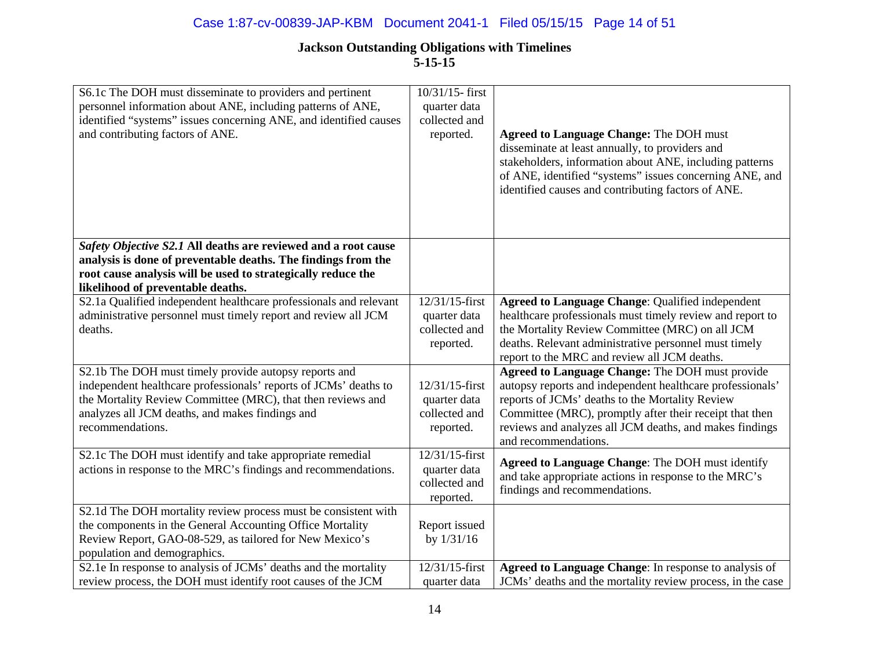| S6.1c The DOH must disseminate to providers and pertinent<br>personnel information about ANE, including patterns of ANE,<br>identified "systems" issues concerning ANE, and identified causes<br>and contributing factors of ANE.                               | 10/31/15-first<br>quarter data<br>collected and<br>reported. | <b>Agreed to Language Change: The DOH must</b><br>disseminate at least annually, to providers and<br>stakeholders, information about ANE, including patterns<br>of ANE, identified "systems" issues concerning ANE, and<br>identified causes and contributing factors of ANE.                                        |
|-----------------------------------------------------------------------------------------------------------------------------------------------------------------------------------------------------------------------------------------------------------------|--------------------------------------------------------------|----------------------------------------------------------------------------------------------------------------------------------------------------------------------------------------------------------------------------------------------------------------------------------------------------------------------|
| Safety Objective S2.1 All deaths are reviewed and a root cause<br>analysis is done of preventable deaths. The findings from the<br>root cause analysis will be used to strategically reduce the<br>likelihood of preventable deaths.                            |                                                              |                                                                                                                                                                                                                                                                                                                      |
| S2.1a Qualified independent healthcare professionals and relevant<br>administrative personnel must timely report and review all JCM<br>deaths.                                                                                                                  | 12/31/15-first<br>quarter data<br>collected and<br>reported. | Agreed to Language Change: Qualified independent<br>healthcare professionals must timely review and report to<br>the Mortality Review Committee (MRC) on all JCM<br>deaths. Relevant administrative personnel must timely<br>report to the MRC and review all JCM deaths.                                            |
| S2.1b The DOH must timely provide autopsy reports and<br>independent healthcare professionals' reports of JCMs' deaths to<br>the Mortality Review Committee (MRC), that then reviews and<br>analyzes all JCM deaths, and makes findings and<br>recommendations. | 12/31/15-first<br>quarter data<br>collected and<br>reported. | <b>Agreed to Language Change: The DOH must provide</b><br>autopsy reports and independent healthcare professionals'<br>reports of JCMs' deaths to the Mortality Review<br>Committee (MRC), promptly after their receipt that then<br>reviews and analyzes all JCM deaths, and makes findings<br>and recommendations. |
| S2.1c The DOH must identify and take appropriate remedial<br>actions in response to the MRC's findings and recommendations.                                                                                                                                     | 12/31/15-first<br>quarter data<br>collected and<br>reported. | <b>Agreed to Language Change: The DOH must identify</b><br>and take appropriate actions in response to the MRC's<br>findings and recommendations.                                                                                                                                                                    |
| S2.1d The DOH mortality review process must be consistent with<br>the components in the General Accounting Office Mortality<br>Review Report, GAO-08-529, as tailored for New Mexico's<br>population and demographics.                                          | Report issued<br>by $1/31/16$                                |                                                                                                                                                                                                                                                                                                                      |
| S2.1e In response to analysis of JCMs' deaths and the mortality<br>review process, the DOH must identify root causes of the JCM                                                                                                                                 | 12/31/15-first<br>quarter data                               | Agreed to Language Change: In response to analysis of<br>JCMs' deaths and the mortality review process, in the case                                                                                                                                                                                                  |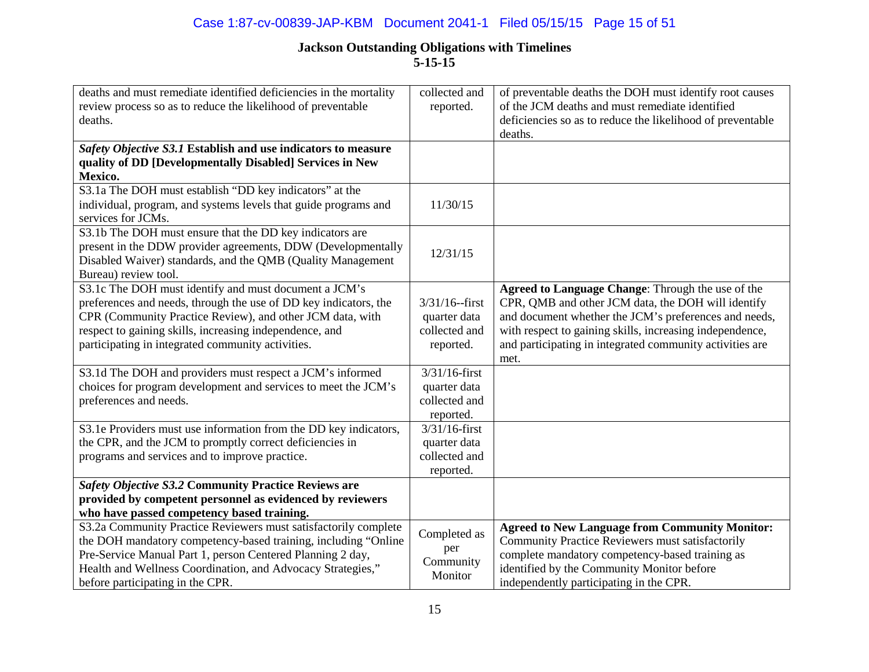### Case 1:87-cv-00839-JAP-KBM Document 2041-1 Filed 05/15/15 Page 15 of 51

| deaths and must remediate identified deficiencies in the mortality | collected and    | of preventable deaths the DOH must identify root causes    |
|--------------------------------------------------------------------|------------------|------------------------------------------------------------|
| review process so as to reduce the likelihood of preventable       | reported.        | of the JCM deaths and must remediate identified            |
| deaths.                                                            |                  | deficiencies so as to reduce the likelihood of preventable |
|                                                                    |                  | deaths.                                                    |
| Safety Objective S3.1 Establish and use indicators to measure      |                  |                                                            |
| quality of DD [Developmentally Disabled] Services in New           |                  |                                                            |
| Mexico.                                                            |                  |                                                            |
| S3.1a The DOH must establish "DD key indicators" at the            |                  |                                                            |
| individual, program, and systems levels that guide programs and    | 11/30/15         |                                                            |
| services for JCMs.                                                 |                  |                                                            |
| S3.1b The DOH must ensure that the DD key indicators are           |                  |                                                            |
| present in the DDW provider agreements, DDW (Developmentally       | 12/31/15         |                                                            |
| Disabled Waiver) standards, and the QMB (Quality Management        |                  |                                                            |
| Bureau) review tool.                                               |                  |                                                            |
| S3.1c The DOH must identify and must document a JCM's              |                  | Agreed to Language Change: Through the use of the          |
| preferences and needs, through the use of DD key indicators, the   | $3/31/16$ -first | CPR, QMB and other JCM data, the DOH will identify         |
| CPR (Community Practice Review), and other JCM data, with          | quarter data     | and document whether the JCM's preferences and needs,      |
| respect to gaining skills, increasing independence, and            | collected and    | with respect to gaining skills, increasing independence,   |
| participating in integrated community activities.                  | reported.        | and participating in integrated community activities are   |
|                                                                    |                  | met.                                                       |
| S3.1d The DOH and providers must respect a JCM's informed          | $3/31/16$ -first |                                                            |
| choices for program development and services to meet the JCM's     | quarter data     |                                                            |
| preferences and needs.                                             | collected and    |                                                            |
|                                                                    | reported.        |                                                            |
| S3.1e Providers must use information from the DD key indicators,   | $3/31/16$ -first |                                                            |
| the CPR, and the JCM to promptly correct deficiencies in           | quarter data     |                                                            |
| programs and services and to improve practice.                     | collected and    |                                                            |
|                                                                    | reported.        |                                                            |
| <b>Safety Objective S3.2 Community Practice Reviews are</b>        |                  |                                                            |
| provided by competent personnel as evidenced by reviewers          |                  |                                                            |
| who have passed competency based training.                         |                  |                                                            |
| S3.2a Community Practice Reviewers must satisfactorily complete    | Completed as     | <b>Agreed to New Language from Community Monitor:</b>      |
| the DOH mandatory competency-based training, including "Online     |                  | Community Practice Reviewers must satisfactorily           |
| Pre-Service Manual Part 1, person Centered Planning 2 day,         | per<br>Community | complete mandatory competency-based training as            |
| Health and Wellness Coordination, and Advocacy Strategies,"        |                  | identified by the Community Monitor before                 |
| before participating in the CPR.                                   | Monitor          | independently participating in the CPR.                    |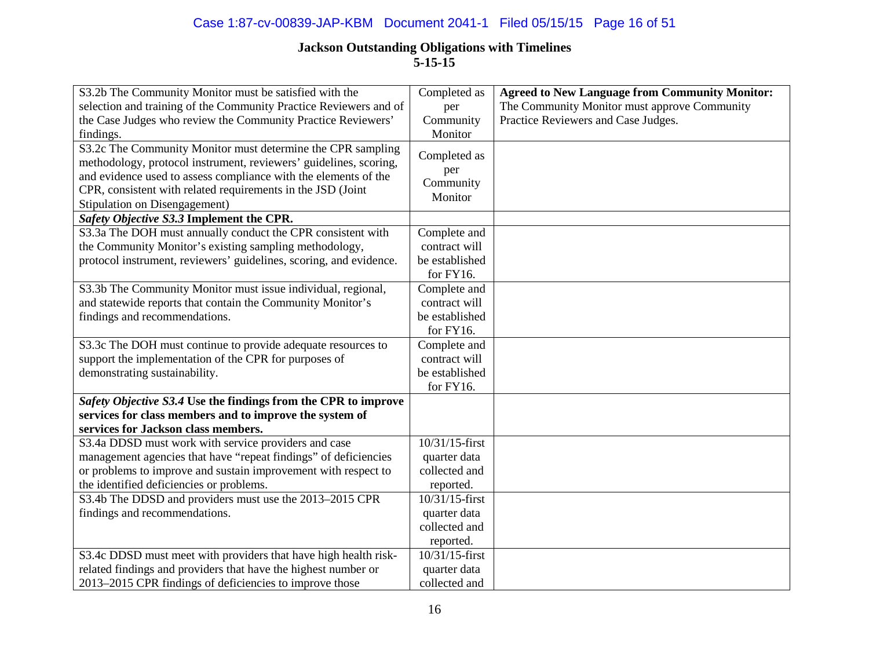## Case 1:87-cv-00839-JAP-KBM Document 2041-1 Filed 05/15/15 Page 16 of 51

| S3.2b The Community Monitor must be satisfied with the                                                                                                                                                                                                                                              | Completed as                                                 | <b>Agreed to New Language from Community Monitor:</b> |
|-----------------------------------------------------------------------------------------------------------------------------------------------------------------------------------------------------------------------------------------------------------------------------------------------------|--------------------------------------------------------------|-------------------------------------------------------|
| selection and training of the Community Practice Reviewers and of                                                                                                                                                                                                                                   | per                                                          | The Community Monitor must approve Community          |
| the Case Judges who review the Community Practice Reviewers'                                                                                                                                                                                                                                        | Community                                                    | Practice Reviewers and Case Judges.                   |
| findings.                                                                                                                                                                                                                                                                                           | Monitor                                                      |                                                       |
| S3.2c The Community Monitor must determine the CPR sampling<br>methodology, protocol instrument, reviewers' guidelines, scoring,<br>and evidence used to assess compliance with the elements of the<br>CPR, consistent with related requirements in the JSD (Joint<br>Stipulation on Disengagement) | Completed as<br>per<br>Community<br>Monitor                  |                                                       |
| Safety Objective S3.3 Implement the CPR.                                                                                                                                                                                                                                                            |                                                              |                                                       |
| S3.3a The DOH must annually conduct the CPR consistent with<br>the Community Monitor's existing sampling methodology,<br>protocol instrument, reviewers' guidelines, scoring, and evidence.                                                                                                         | Complete and<br>contract will<br>be established<br>for FY16. |                                                       |
| S3.3b The Community Monitor must issue individual, regional,                                                                                                                                                                                                                                        | Complete and                                                 |                                                       |
| and statewide reports that contain the Community Monitor's                                                                                                                                                                                                                                          | contract will                                                |                                                       |
| findings and recommendations.                                                                                                                                                                                                                                                                       | be established                                               |                                                       |
|                                                                                                                                                                                                                                                                                                     | for FY16.                                                    |                                                       |
| S3.3c The DOH must continue to provide adequate resources to                                                                                                                                                                                                                                        | Complete and                                                 |                                                       |
| support the implementation of the CPR for purposes of                                                                                                                                                                                                                                               | contract will                                                |                                                       |
| demonstrating sustainability.                                                                                                                                                                                                                                                                       | be established                                               |                                                       |
|                                                                                                                                                                                                                                                                                                     | for FY16.                                                    |                                                       |
| Safety Objective S3.4 Use the findings from the CPR to improve                                                                                                                                                                                                                                      |                                                              |                                                       |
| services for class members and to improve the system of                                                                                                                                                                                                                                             |                                                              |                                                       |
| services for Jackson class members.                                                                                                                                                                                                                                                                 |                                                              |                                                       |
| S3.4a DDSD must work with service providers and case                                                                                                                                                                                                                                                | 10/31/15-first                                               |                                                       |
| management agencies that have "repeat findings" of deficiencies                                                                                                                                                                                                                                     | quarter data                                                 |                                                       |
| or problems to improve and sustain improvement with respect to                                                                                                                                                                                                                                      | collected and                                                |                                                       |
| the identified deficiencies or problems.                                                                                                                                                                                                                                                            | reported.                                                    |                                                       |
| S3.4b The DDSD and providers must use the 2013-2015 CPR                                                                                                                                                                                                                                             | 10/31/15-first                                               |                                                       |
| findings and recommendations.                                                                                                                                                                                                                                                                       | quarter data                                                 |                                                       |
|                                                                                                                                                                                                                                                                                                     | collected and                                                |                                                       |
|                                                                                                                                                                                                                                                                                                     | reported.                                                    |                                                       |
| S3.4c DDSD must meet with providers that have high health risk-                                                                                                                                                                                                                                     | 10/31/15-first                                               |                                                       |
| related findings and providers that have the highest number or                                                                                                                                                                                                                                      | quarter data                                                 |                                                       |
| 2013–2015 CPR findings of deficiencies to improve those                                                                                                                                                                                                                                             | collected and                                                |                                                       |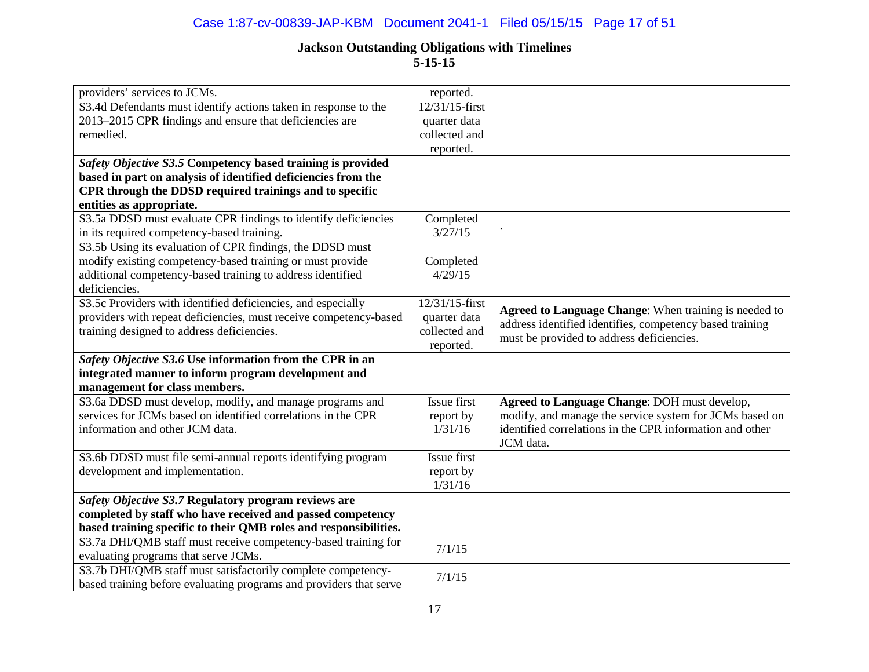| providers' services to JCMs.                                       | reported.      |                                                          |
|--------------------------------------------------------------------|----------------|----------------------------------------------------------|
| S3.4d Defendants must identify actions taken in response to the    | 12/31/15-first |                                                          |
| 2013–2015 CPR findings and ensure that deficiencies are            | quarter data   |                                                          |
| remedied.                                                          | collected and  |                                                          |
|                                                                    | reported.      |                                                          |
| Safety Objective S3.5 Competency based training is provided        |                |                                                          |
| based in part on analysis of identified deficiencies from the      |                |                                                          |
| CPR through the DDSD required trainings and to specific            |                |                                                          |
| entities as appropriate.                                           |                |                                                          |
| S3.5a DDSD must evaluate CPR findings to identify deficiencies     | Completed      |                                                          |
| in its required competency-based training.                         | 3/27/15        |                                                          |
| S3.5b Using its evaluation of CPR findings, the DDSD must          |                |                                                          |
| modify existing competency-based training or must provide          | Completed      |                                                          |
| additional competency-based training to address identified         | 4/29/15        |                                                          |
| deficiencies.                                                      |                |                                                          |
| S3.5c Providers with identified deficiencies, and especially       | 12/31/15-first |                                                          |
| providers with repeat deficiencies, must receive competency-based  | quarter data   | Agreed to Language Change: When training is needed to    |
| training designed to address deficiencies.                         | collected and  | address identified identifies, competency based training |
|                                                                    | reported.      | must be provided to address deficiencies.                |
| Safety Objective S3.6 Use information from the CPR in an           |                |                                                          |
| integrated manner to inform program development and                |                |                                                          |
| management for class members.                                      |                |                                                          |
| S3.6a DDSD must develop, modify, and manage programs and           | Issue first    | Agreed to Language Change: DOH must develop,             |
| services for JCMs based on identified correlations in the CPR      | report by      | modify, and manage the service system for JCMs based on  |
| information and other JCM data.                                    | 1/31/16        | identified correlations in the CPR information and other |
|                                                                    |                | JCM data.                                                |
| S3.6b DDSD must file semi-annual reports identifying program       | Issue first    |                                                          |
| development and implementation.                                    | report by      |                                                          |
|                                                                    | 1/31/16        |                                                          |
| Safety Objective S3.7 Regulatory program reviews are               |                |                                                          |
| completed by staff who have received and passed competency         |                |                                                          |
| based training specific to their QMB roles and responsibilities.   |                |                                                          |
| S3.7a DHI/QMB staff must receive competency-based training for     | 7/1/15         |                                                          |
| evaluating programs that serve JCMs.                               |                |                                                          |
| S3.7b DHI/QMB staff must satisfactorily complete competency-       | 7/1/15         |                                                          |
| based training before evaluating programs and providers that serve |                |                                                          |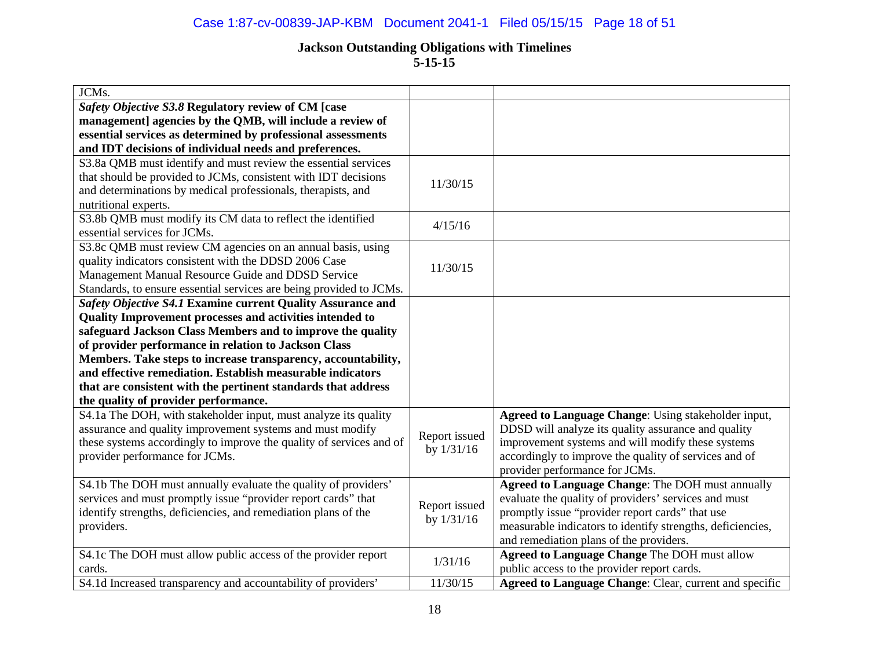## Case 1:87-cv-00839-JAP-KBM Document 2041-1 Filed 05/15/15 Page 18 of 51

## **Jackson Outstanding Obligations with Timelines**

**5-15-15**

| JCMs.                                                               |               |                                                            |
|---------------------------------------------------------------------|---------------|------------------------------------------------------------|
| Safety Objective S3.8 Regulatory review of CM [case                 |               |                                                            |
| management] agencies by the QMB, will include a review of           |               |                                                            |
| essential services as determined by professional assessments        |               |                                                            |
| and IDT decisions of individual needs and preferences.              |               |                                                            |
| S3.8a QMB must identify and must review the essential services      |               |                                                            |
| that should be provided to JCMs, consistent with IDT decisions      | 11/30/15      |                                                            |
| and determinations by medical professionals, therapists, and        |               |                                                            |
| nutritional experts.                                                |               |                                                            |
| S3.8b QMB must modify its CM data to reflect the identified         | 4/15/16       |                                                            |
| essential services for JCMs.                                        |               |                                                            |
| S3.8c QMB must review CM agencies on an annual basis, using         |               |                                                            |
| quality indicators consistent with the DDSD 2006 Case               | 11/30/15      |                                                            |
| Management Manual Resource Guide and DDSD Service                   |               |                                                            |
| Standards, to ensure essential services are being provided to JCMs. |               |                                                            |
| Safety Objective S4.1 Examine current Quality Assurance and         |               |                                                            |
| Quality Improvement processes and activities intended to            |               |                                                            |
| safeguard Jackson Class Members and to improve the quality          |               |                                                            |
| of provider performance in relation to Jackson Class                |               |                                                            |
| Members. Take steps to increase transparency, accountability,       |               |                                                            |
| and effective remediation. Establish measurable indicators          |               |                                                            |
| that are consistent with the pertinent standards that address       |               |                                                            |
| the quality of provider performance.                                |               |                                                            |
| S4.1a The DOH, with stakeholder input, must analyze its quality     |               | Agreed to Language Change: Using stakeholder input,        |
| assurance and quality improvement systems and must modify           | Report issued | DDSD will analyze its quality assurance and quality        |
| these systems accordingly to improve the quality of services and of | by $1/31/16$  | improvement systems and will modify these systems          |
| provider performance for JCMs.                                      |               | accordingly to improve the quality of services and of      |
|                                                                     |               | provider performance for JCMs.                             |
| S4.1b The DOH must annually evaluate the quality of providers'      |               | Agreed to Language Change: The DOH must annually           |
| services and must promptly issue "provider report cards" that       | Report issued | evaluate the quality of providers' services and must       |
| identify strengths, deficiencies, and remediation plans of the      | by 1/31/16    | promptly issue "provider report cards" that use            |
| providers.                                                          |               | measurable indicators to identify strengths, deficiencies, |
|                                                                     |               | and remediation plans of the providers.                    |
| S4.1c The DOH must allow public access of the provider report       | 1/31/16       | Agreed to Language Change The DOH must allow               |
| cards.                                                              |               | public access to the provider report cards.                |
| S4.1d Increased transparency and accountability of providers'       | 11/30/15      | Agreed to Language Change: Clear, current and specific     |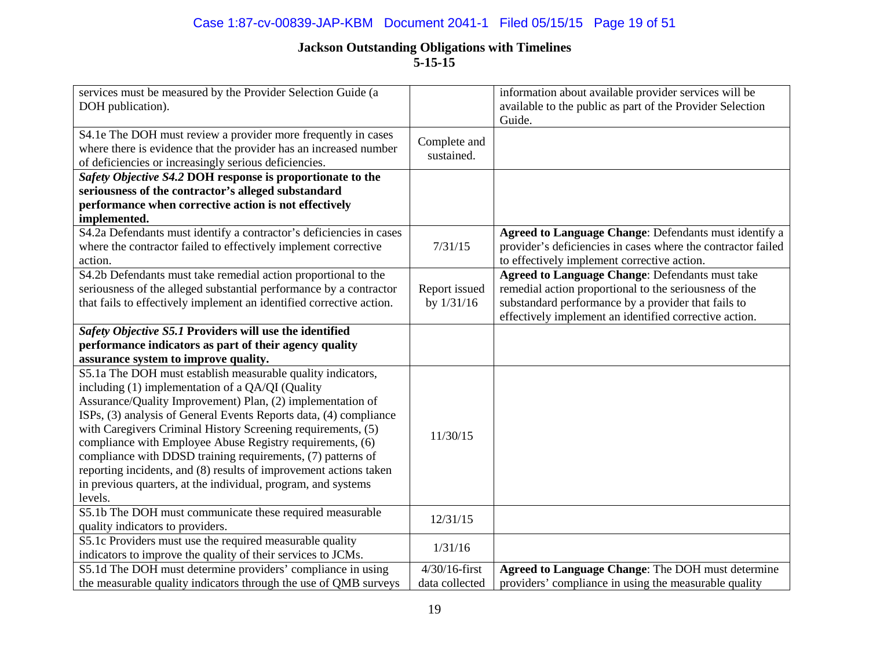### Case 1:87-cv-00839-JAP-KBM Document 2041-1 Filed 05/15/15 Page 19 of 51

| services must be measured by the Provider Selection Guide (a<br>DOH publication).                                                                                                           |                            | information about available provider services will be<br>available to the public as part of the Provider Selection<br>Guide. |
|---------------------------------------------------------------------------------------------------------------------------------------------------------------------------------------------|----------------------------|------------------------------------------------------------------------------------------------------------------------------|
| S4.1e The DOH must review a provider more frequently in cases<br>where there is evidence that the provider has an increased number<br>of deficiencies or increasingly serious deficiencies. | Complete and<br>sustained. |                                                                                                                              |
| Safety Objective S4.2 DOH response is proportionate to the                                                                                                                                  |                            |                                                                                                                              |
| seriousness of the contractor's alleged substandard                                                                                                                                         |                            |                                                                                                                              |
| performance when corrective action is not effectively<br>implemented.                                                                                                                       |                            |                                                                                                                              |
| S4.2a Defendants must identify a contractor's deficiencies in cases                                                                                                                         |                            | Agreed to Language Change: Defendants must identify a                                                                        |
| where the contractor failed to effectively implement corrective                                                                                                                             | 7/31/15                    | provider's deficiencies in cases where the contractor failed                                                                 |
| action.                                                                                                                                                                                     |                            | to effectively implement corrective action.                                                                                  |
| S4.2b Defendants must take remedial action proportional to the                                                                                                                              |                            | <b>Agreed to Language Change: Defendants must take</b>                                                                       |
| seriousness of the alleged substantial performance by a contractor                                                                                                                          | Report issued              | remedial action proportional to the seriousness of the                                                                       |
| that fails to effectively implement an identified corrective action.                                                                                                                        | by $1/31/16$               | substandard performance by a provider that fails to                                                                          |
|                                                                                                                                                                                             |                            | effectively implement an identified corrective action.                                                                       |
| Safety Objective S5.1 Providers will use the identified                                                                                                                                     |                            |                                                                                                                              |
| performance indicators as part of their agency quality                                                                                                                                      |                            |                                                                                                                              |
| assurance system to improve quality.                                                                                                                                                        |                            |                                                                                                                              |
| S5.1a The DOH must establish measurable quality indicators,                                                                                                                                 |                            |                                                                                                                              |
| including (1) implementation of a QA/QI (Quality                                                                                                                                            |                            |                                                                                                                              |
| Assurance/Quality Improvement) Plan, (2) implementation of                                                                                                                                  |                            |                                                                                                                              |
| ISPs, (3) analysis of General Events Reports data, (4) compliance                                                                                                                           |                            |                                                                                                                              |
| with Caregivers Criminal History Screening requirements, (5)                                                                                                                                | 11/30/15                   |                                                                                                                              |
| compliance with Employee Abuse Registry requirements, (6)                                                                                                                                   |                            |                                                                                                                              |
| compliance with DDSD training requirements, (7) patterns of                                                                                                                                 |                            |                                                                                                                              |
| reporting incidents, and (8) results of improvement actions taken                                                                                                                           |                            |                                                                                                                              |
| in previous quarters, at the individual, program, and systems                                                                                                                               |                            |                                                                                                                              |
| levels.                                                                                                                                                                                     |                            |                                                                                                                              |
| S5.1b The DOH must communicate these required measurable<br>quality indicators to providers.                                                                                                | 12/31/15                   |                                                                                                                              |
| S5.1c Providers must use the required measurable quality                                                                                                                                    |                            |                                                                                                                              |
| indicators to improve the quality of their services to JCMs.                                                                                                                                | 1/31/16                    |                                                                                                                              |
| S5.1d The DOH must determine providers' compliance in using                                                                                                                                 | $4/30/16$ -first           | Agreed to Language Change: The DOH must determine                                                                            |
| the measurable quality indicators through the use of QMB surveys                                                                                                                            | data collected             | providers' compliance in using the measurable quality                                                                        |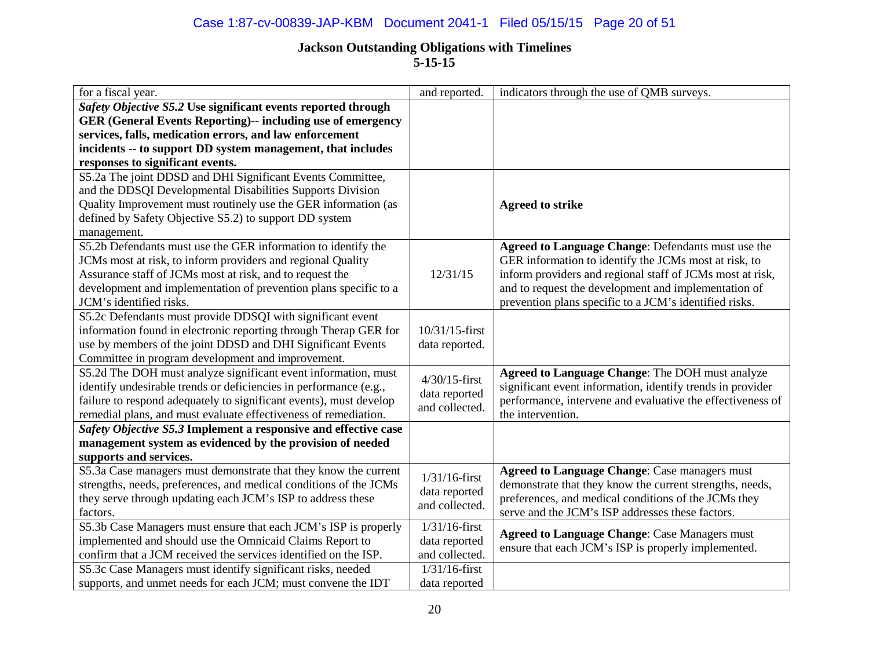## Case 1:87-cv-00839-JAP-KBM Document 2041-1 Filed 05/15/15 Page 20 of 51

| for a fiscal year.                                                 | and reported.    | indicators through the use of QMB surveys.                 |
|--------------------------------------------------------------------|------------------|------------------------------------------------------------|
| Safety Objective S5.2 Use significant events reported through      |                  |                                                            |
| <b>GER (General Events Reporting)-- including use of emergency</b> |                  |                                                            |
| services, falls, medication errors, and law enforcement            |                  |                                                            |
| incidents -- to support DD system management, that includes        |                  |                                                            |
| responses to significant events.                                   |                  |                                                            |
| S5.2a The joint DDSD and DHI Significant Events Committee,         |                  |                                                            |
| and the DDSQI Developmental Disabilities Supports Division         |                  |                                                            |
| Quality Improvement must routinely use the GER information (as     |                  | <b>Agreed to strike</b>                                    |
| defined by Safety Objective S5.2) to support DD system             |                  |                                                            |
| management.                                                        |                  |                                                            |
| S5.2b Defendants must use the GER information to identify the      |                  | Agreed to Language Change: Defendants must use the         |
| JCMs most at risk, to inform providers and regional Quality        |                  | GER information to identify the JCMs most at risk, to      |
| Assurance staff of JCMs most at risk, and to request the           | 12/31/15         | inform providers and regional staff of JCMs most at risk,  |
| development and implementation of prevention plans specific to a   |                  | and to request the development and implementation of       |
| JCM's identified risks.                                            |                  | prevention plans specific to a JCM's identified risks.     |
| S5.2c Defendants must provide DDSQI with significant event         |                  |                                                            |
| information found in electronic reporting through Therap GER for   | 10/31/15-first   |                                                            |
| use by members of the joint DDSD and DHI Significant Events        | data reported.   |                                                            |
| Committee in program development and improvement.                  |                  |                                                            |
| S5.2d The DOH must analyze significant event information, must     | $4/30/15$ -first | Agreed to Language Change: The DOH must analyze            |
| identify undesirable trends or deficiencies in performance (e.g.,  | data reported    | significant event information, identify trends in provider |
| failure to respond adequately to significant events), must develop | and collected.   | performance, intervene and evaluative the effectiveness of |
| remedial plans, and must evaluate effectiveness of remediation.    |                  | the intervention.                                          |
| Safety Objective S5.3 Implement a responsive and effective case    |                  |                                                            |
| management system as evidenced by the provision of needed          |                  |                                                            |
| supports and services.                                             |                  |                                                            |
| S5.3a Case managers must demonstrate that they know the current    | $1/31/16$ -first | <b>Agreed to Language Change: Case managers must</b>       |
| strengths, needs, preferences, and medical conditions of the JCMs  | data reported    | demonstrate that they know the current strengths, needs,   |
| they serve through updating each JCM's ISP to address these        | and collected.   | preferences, and medical conditions of the JCMs they       |
| factors.                                                           |                  | serve and the JCM's ISP addresses these factors.           |
| S5.3b Case Managers must ensure that each JCM's ISP is properly    | $1/31/16$ -first | <b>Agreed to Language Change: Case Managers must</b>       |
| implemented and should use the Omnicaid Claims Report to           | data reported    | ensure that each JCM's ISP is properly implemented.        |
| confirm that a JCM received the services identified on the ISP.    | and collected.   |                                                            |
| S5.3c Case Managers must identify significant risks, needed        | $1/31/16$ -first |                                                            |
| supports, and unmet needs for each JCM; must convene the IDT       | data reported    |                                                            |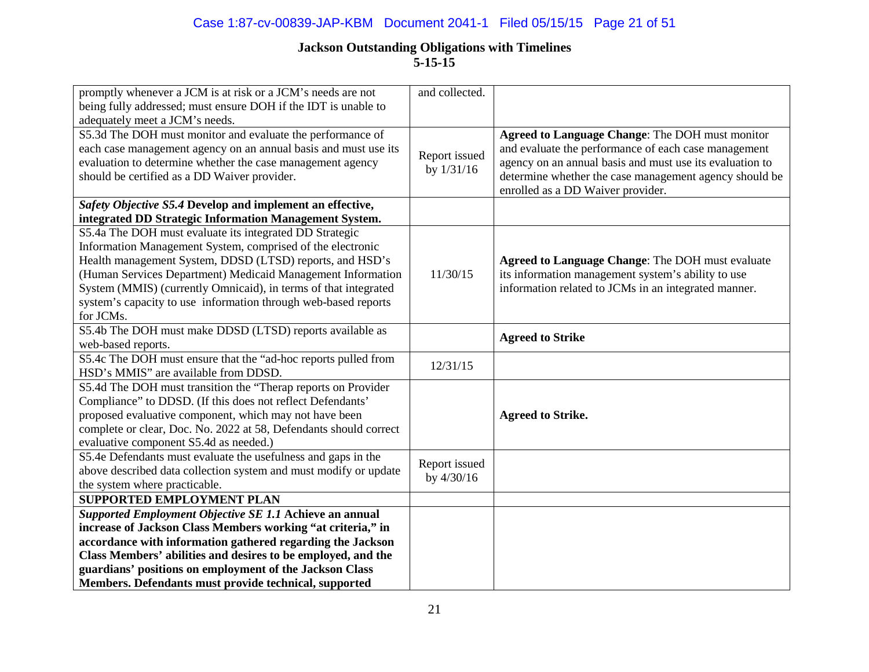## Case 1:87-cv-00839-JAP-KBM Document 2041-1 Filed 05/15/15 Page 21 of 51

| promptly whenever a JCM is at risk or a JCM's needs are not       | and collected. |                                                          |
|-------------------------------------------------------------------|----------------|----------------------------------------------------------|
| being fully addressed; must ensure DOH if the IDT is unable to    |                |                                                          |
| adequately meet a JCM's needs.                                    |                |                                                          |
| S5.3d The DOH must monitor and evaluate the performance of        |                | Agreed to Language Change: The DOH must monitor          |
| each case management agency on an annual basis and must use its   |                | and evaluate the performance of each case management     |
| evaluation to determine whether the case management agency        | Report issued  | agency on an annual basis and must use its evaluation to |
| should be certified as a DD Waiver provider.                      | by $1/31/16$   | determine whether the case management agency should be   |
|                                                                   |                | enrolled as a DD Waiver provider.                        |
| Safety Objective S5.4 Develop and implement an effective,         |                |                                                          |
| integrated DD Strategic Information Management System.            |                |                                                          |
| S5.4a The DOH must evaluate its integrated DD Strategic           |                |                                                          |
| Information Management System, comprised of the electronic        |                |                                                          |
| Health management System, DDSD (LTSD) reports, and HSD's          |                | Agreed to Language Change: The DOH must evaluate         |
| (Human Services Department) Medicaid Management Information       | 11/30/15       | its information management system's ability to use       |
| System (MMIS) (currently Omnicaid), in terms of that integrated   |                | information related to JCMs in an integrated manner.     |
| system's capacity to use information through web-based reports    |                |                                                          |
| for JCMs.                                                         |                |                                                          |
| S5.4b The DOH must make DDSD (LTSD) reports available as          |                |                                                          |
| web-based reports.                                                |                | <b>Agreed to Strike</b>                                  |
| S5.4c The DOH must ensure that the "ad-hoc reports pulled from    | 12/31/15       |                                                          |
| HSD's MMIS" are available from DDSD.                              |                |                                                          |
| S5.4d The DOH must transition the "Therap reports on Provider     |                |                                                          |
| Compliance" to DDSD. (If this does not reflect Defendants'        |                |                                                          |
| proposed evaluative component, which may not have been            |                | <b>Agreed to Strike.</b>                                 |
| complete or clear, Doc. No. 2022 at 58, Defendants should correct |                |                                                          |
| evaluative component S5.4d as needed.)                            |                |                                                          |
| S5.4e Defendants must evaluate the usefulness and gaps in the     | Report issued  |                                                          |
| above described data collection system and must modify or update  | by 4/30/16     |                                                          |
| the system where practicable.                                     |                |                                                          |
| <b>SUPPORTED EMPLOYMENT PLAN</b>                                  |                |                                                          |
| Supported Employment Objective SE 1.1 Achieve an annual           |                |                                                          |
| increase of Jackson Class Members working "at criteria," in       |                |                                                          |
| accordance with information gathered regarding the Jackson        |                |                                                          |
| Class Members' abilities and desires to be employed, and the      |                |                                                          |
| guardians' positions on employment of the Jackson Class           |                |                                                          |
| Members. Defendants must provide technical, supported             |                |                                                          |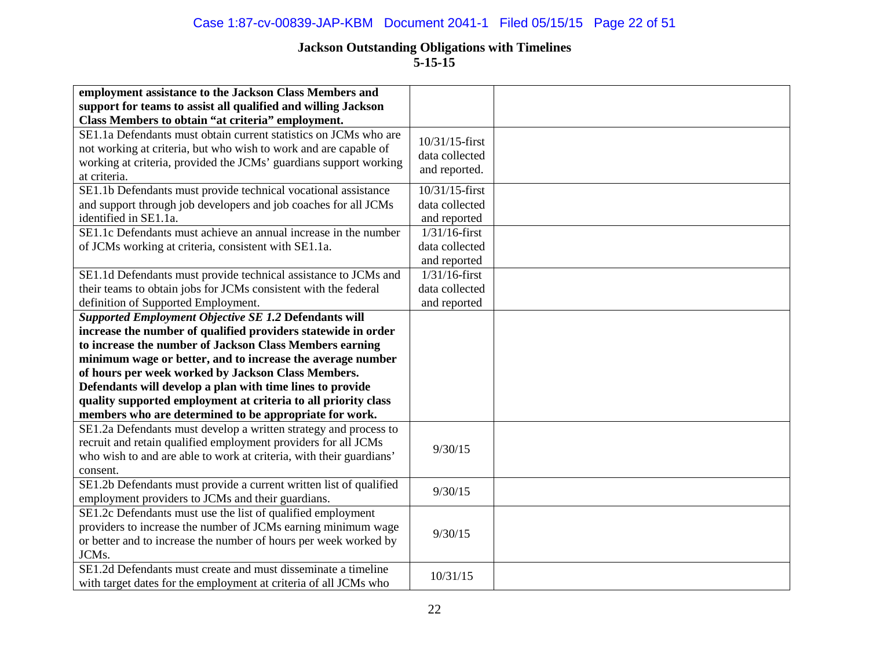## Case 1:87-cv-00839-JAP-KBM Document 2041-1 Filed 05/15/15 Page 22 of 51

| employment assistance to the Jackson Class Members and                                                                                                                                                                                                                                                                                                                                                                               |                                                    |  |
|--------------------------------------------------------------------------------------------------------------------------------------------------------------------------------------------------------------------------------------------------------------------------------------------------------------------------------------------------------------------------------------------------------------------------------------|----------------------------------------------------|--|
| support for teams to assist all qualified and willing Jackson<br>Class Members to obtain "at criteria" employment.                                                                                                                                                                                                                                                                                                                   |                                                    |  |
| SE1.1a Defendants must obtain current statistics on JCMs who are<br>not working at criteria, but who wish to work and are capable of<br>working at criteria, provided the JCMs' guardians support working<br>at criteria.                                                                                                                                                                                                            | 10/31/15-first<br>data collected<br>and reported.  |  |
| SE1.1b Defendants must provide technical vocational assistance<br>and support through job developers and job coaches for all JCMs<br>identified in SE1.1a.                                                                                                                                                                                                                                                                           | 10/31/15-first<br>data collected<br>and reported   |  |
| SE1.1c Defendants must achieve an annual increase in the number<br>of JCMs working at criteria, consistent with SE1.1a.                                                                                                                                                                                                                                                                                                              | $1/31/16$ -first<br>data collected<br>and reported |  |
| SE1.1d Defendants must provide technical assistance to JCMs and<br>their teams to obtain jobs for JCMs consistent with the federal<br>definition of Supported Employment.                                                                                                                                                                                                                                                            | $1/31/16$ -first<br>data collected<br>and reported |  |
| Supported Employment Objective SE 1.2 Defendants will<br>increase the number of qualified providers statewide in order<br>to increase the number of Jackson Class Members earning<br>minimum wage or better, and to increase the average number<br>of hours per week worked by Jackson Class Members.<br>Defendants will develop a plan with time lines to provide<br>quality supported employment at criteria to all priority class |                                                    |  |
| members who are determined to be appropriate for work.<br>SE1.2a Defendants must develop a written strategy and process to<br>recruit and retain qualified employment providers for all JCMs<br>who wish to and are able to work at criteria, with their guardians'<br>consent.                                                                                                                                                      | 9/30/15                                            |  |
| SE1.2b Defendants must provide a current written list of qualified<br>employment providers to JCMs and their guardians.                                                                                                                                                                                                                                                                                                              | 9/30/15                                            |  |
| SE1.2c Defendants must use the list of qualified employment<br>providers to increase the number of JCMs earning minimum wage<br>or better and to increase the number of hours per week worked by<br>JCMs.                                                                                                                                                                                                                            | 9/30/15                                            |  |
| SE1.2d Defendants must create and must disseminate a timeline<br>with target dates for the employment at criteria of all JCMs who                                                                                                                                                                                                                                                                                                    | 10/31/15                                           |  |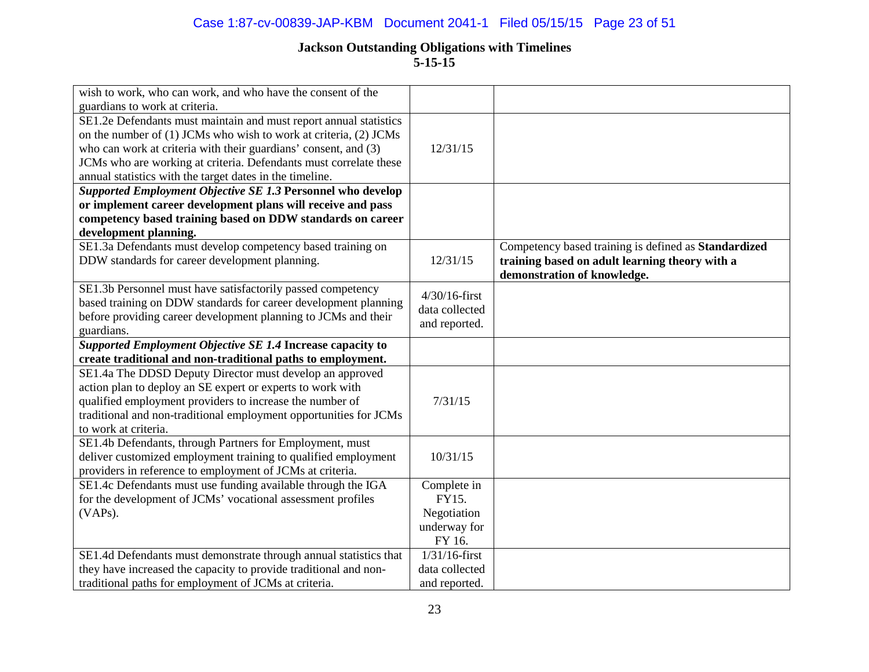### Case 1:87-cv-00839-JAP-KBM Document 2041-1 Filed 05/15/15 Page 23 of 51

| wish to work, who can work, and who have the consent of the       |                  |                                                      |
|-------------------------------------------------------------------|------------------|------------------------------------------------------|
| guardians to work at criteria.                                    |                  |                                                      |
| SE1.2e Defendants must maintain and must report annual statistics |                  |                                                      |
| on the number of (1) JCMs who wish to work at criteria, (2) JCMs  |                  |                                                      |
| who can work at criteria with their guardians' consent, and (3)   | 12/31/15         |                                                      |
| JCMs who are working at criteria. Defendants must correlate these |                  |                                                      |
| annual statistics with the target dates in the timeline.          |                  |                                                      |
| Supported Employment Objective SE 1.3 Personnel who develop       |                  |                                                      |
| or implement career development plans will receive and pass       |                  |                                                      |
| competency based training based on DDW standards on career        |                  |                                                      |
| development planning.                                             |                  |                                                      |
| SE1.3a Defendants must develop competency based training on       |                  | Competency based training is defined as Standardized |
| DDW standards for career development planning.                    | 12/31/15         | training based on adult learning theory with a       |
|                                                                   |                  | demonstration of knowledge.                          |
| SE1.3b Personnel must have satisfactorily passed competency       | $4/30/16$ -first |                                                      |
| based training on DDW standards for career development planning   | data collected   |                                                      |
| before providing career development planning to JCMs and their    | and reported.    |                                                      |
| guardians.                                                        |                  |                                                      |
| Supported Employment Objective SE 1.4 Increase capacity to        |                  |                                                      |
| create traditional and non-traditional paths to employment.       |                  |                                                      |
| SE1.4a The DDSD Deputy Director must develop an approved          |                  |                                                      |
| action plan to deploy an SE expert or experts to work with        |                  |                                                      |
| qualified employment providers to increase the number of          | 7/31/15          |                                                      |
| traditional and non-traditional employment opportunities for JCMs |                  |                                                      |
| to work at criteria.                                              |                  |                                                      |
| SE1.4b Defendants, through Partners for Employment, must          |                  |                                                      |
| deliver customized employment training to qualified employment    | 10/31/15         |                                                      |
| providers in reference to employment of JCMs at criteria.         |                  |                                                      |
| SE1.4c Defendants must use funding available through the IGA      | Complete in      |                                                      |
| for the development of JCMs' vocational assessment profiles       | FY15.            |                                                      |
| (VAPs).                                                           | Negotiation      |                                                      |
|                                                                   | underway for     |                                                      |
|                                                                   | FY 16.           |                                                      |
| SE1.4d Defendants must demonstrate through annual statistics that | $1/31/16$ -first |                                                      |
| they have increased the capacity to provide traditional and non-  | data collected   |                                                      |
| traditional paths for employment of JCMs at criteria.             | and reported.    |                                                      |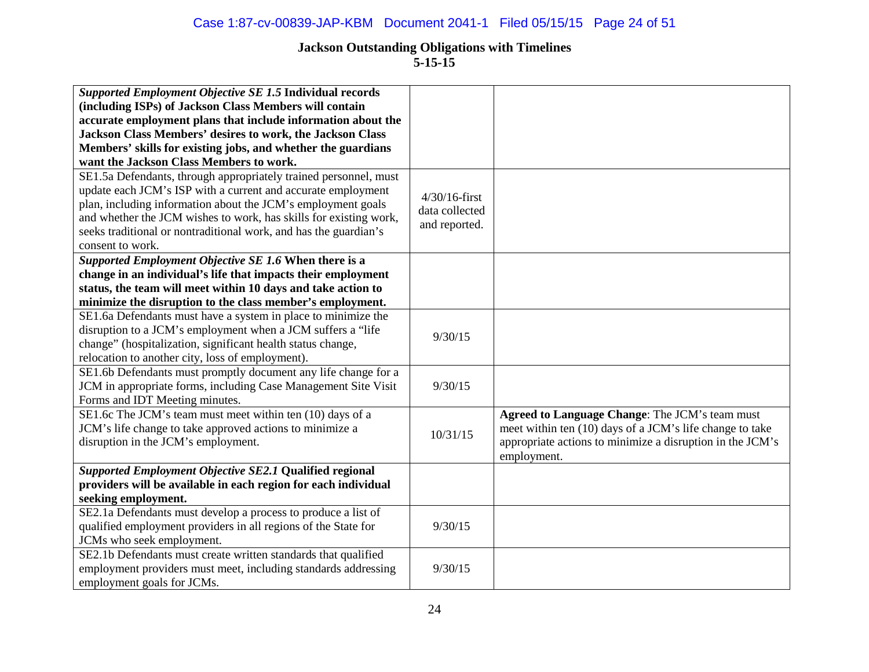**5-15-15**

| Supported Employment Objective SE 1.5 Individual records          |                  |                                                           |
|-------------------------------------------------------------------|------------------|-----------------------------------------------------------|
| (including ISPs) of Jackson Class Members will contain            |                  |                                                           |
| accurate employment plans that include information about the      |                  |                                                           |
| Jackson Class Members' desires to work, the Jackson Class         |                  |                                                           |
| Members' skills for existing jobs, and whether the guardians      |                  |                                                           |
| want the Jackson Class Members to work.                           |                  |                                                           |
| SE1.5a Defendants, through appropriately trained personnel, must  |                  |                                                           |
| update each JCM's ISP with a current and accurate employment      | $4/30/16$ -first |                                                           |
| plan, including information about the JCM's employment goals      | data collected   |                                                           |
| and whether the JCM wishes to work, has skills for existing work, | and reported.    |                                                           |
| seeks traditional or nontraditional work, and has the guardian's  |                  |                                                           |
| consent to work.                                                  |                  |                                                           |
| Supported Employment Objective SE 1.6 When there is a             |                  |                                                           |
| change in an individual's life that impacts their employment      |                  |                                                           |
| status, the team will meet within 10 days and take action to      |                  |                                                           |
| minimize the disruption to the class member's employment.         |                  |                                                           |
| SE1.6a Defendants must have a system in place to minimize the     |                  |                                                           |
| disruption to a JCM's employment when a JCM suffers a "life       | 9/30/15          |                                                           |
| change" (hospitalization, significant health status change,       |                  |                                                           |
| relocation to another city, loss of employment).                  |                  |                                                           |
| SE1.6b Defendants must promptly document any life change for a    |                  |                                                           |
| JCM in appropriate forms, including Case Management Site Visit    | 9/30/15          |                                                           |
| Forms and IDT Meeting minutes.                                    |                  |                                                           |
| SE1.6c The JCM's team must meet within ten (10) days of a         |                  | Agreed to Language Change: The JCM's team must            |
| JCM's life change to take approved actions to minimize a          |                  | meet within ten (10) days of a JCM's life change to take  |
| disruption in the JCM's employment.                               | 10/31/15         | appropriate actions to minimize a disruption in the JCM's |
|                                                                   |                  | employment.                                               |
| Supported Employment Objective SE2.1 Qualified regional           |                  |                                                           |
| providers will be available in each region for each individual    |                  |                                                           |
| seeking employment.                                               |                  |                                                           |
| SE2.1a Defendants must develop a process to produce a list of     |                  |                                                           |
| qualified employment providers in all regions of the State for    | 9/30/15          |                                                           |
| JCMs who seek employment.                                         |                  |                                                           |
| SE2.1b Defendants must create written standards that qualified    |                  |                                                           |
| employment providers must meet, including standards addressing    | 9/30/15          |                                                           |
| employment goals for JCMs.                                        |                  |                                                           |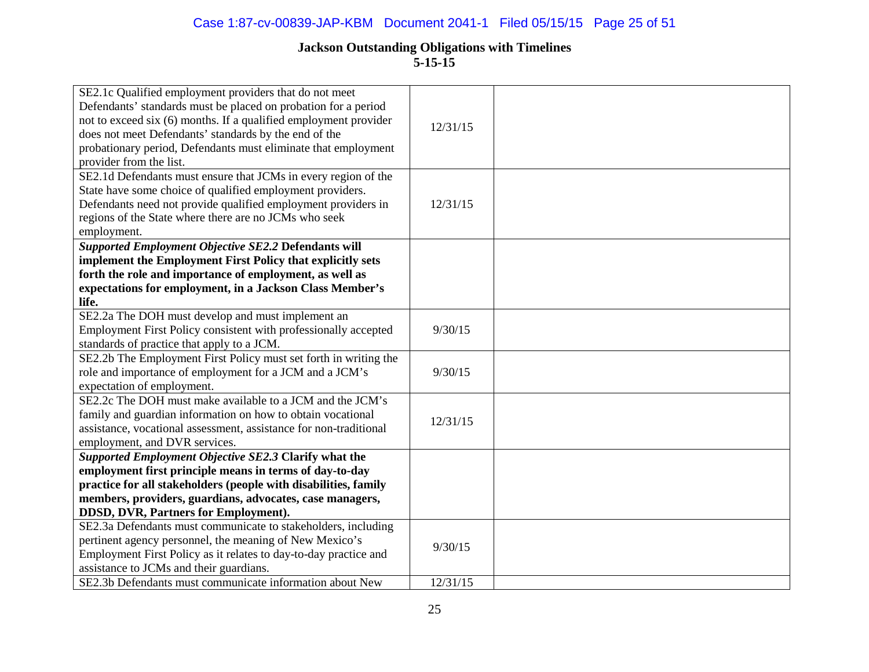| SE2.1c Qualified employment providers that do not meet<br>Defendants' standards must be placed on probation for a period<br>not to exceed six (6) months. If a qualified employment provider<br>does not meet Defendants' standards by the end of the<br>probationary period, Defendants must eliminate that employment<br>provider from the list. | 12/31/15 |  |
|----------------------------------------------------------------------------------------------------------------------------------------------------------------------------------------------------------------------------------------------------------------------------------------------------------------------------------------------------|----------|--|
| SE2.1d Defendants must ensure that JCMs in every region of the<br>State have some choice of qualified employment providers.<br>Defendants need not provide qualified employment providers in<br>regions of the State where there are no JCMs who seek<br>employment.                                                                               | 12/31/15 |  |
| Supported Employment Objective SE2.2 Defendants will                                                                                                                                                                                                                                                                                               |          |  |
| implement the Employment First Policy that explicitly sets<br>forth the role and importance of employment, as well as                                                                                                                                                                                                                              |          |  |
| expectations for employment, in a Jackson Class Member's                                                                                                                                                                                                                                                                                           |          |  |
| life.                                                                                                                                                                                                                                                                                                                                              |          |  |
| SE2.2a The DOH must develop and must implement an<br>Employment First Policy consistent with professionally accepted<br>standards of practice that apply to a JCM.                                                                                                                                                                                 | 9/30/15  |  |
| SE2.2b The Employment First Policy must set forth in writing the<br>role and importance of employment for a JCM and a JCM's<br>expectation of employment.                                                                                                                                                                                          | 9/30/15  |  |
| SE2.2c The DOH must make available to a JCM and the JCM's<br>family and guardian information on how to obtain vocational<br>assistance, vocational assessment, assistance for non-traditional<br>employment, and DVR services.                                                                                                                     | 12/31/15 |  |
| Supported Employment Objective SE2.3 Clarify what the                                                                                                                                                                                                                                                                                              |          |  |
| employment first principle means in terms of day-to-day                                                                                                                                                                                                                                                                                            |          |  |
| practice for all stakeholders (people with disabilities, family                                                                                                                                                                                                                                                                                    |          |  |
| members, providers, guardians, advocates, case managers,                                                                                                                                                                                                                                                                                           |          |  |
| DDSD, DVR, Partners for Employment).                                                                                                                                                                                                                                                                                                               |          |  |
| SE2.3a Defendants must communicate to stakeholders, including<br>pertinent agency personnel, the meaning of New Mexico's                                                                                                                                                                                                                           |          |  |
| Employment First Policy as it relates to day-to-day practice and                                                                                                                                                                                                                                                                                   | 9/30/15  |  |
| assistance to JCMs and their guardians.                                                                                                                                                                                                                                                                                                            |          |  |
| SE2.3b Defendants must communicate information about New                                                                                                                                                                                                                                                                                           | 12/31/15 |  |
|                                                                                                                                                                                                                                                                                                                                                    |          |  |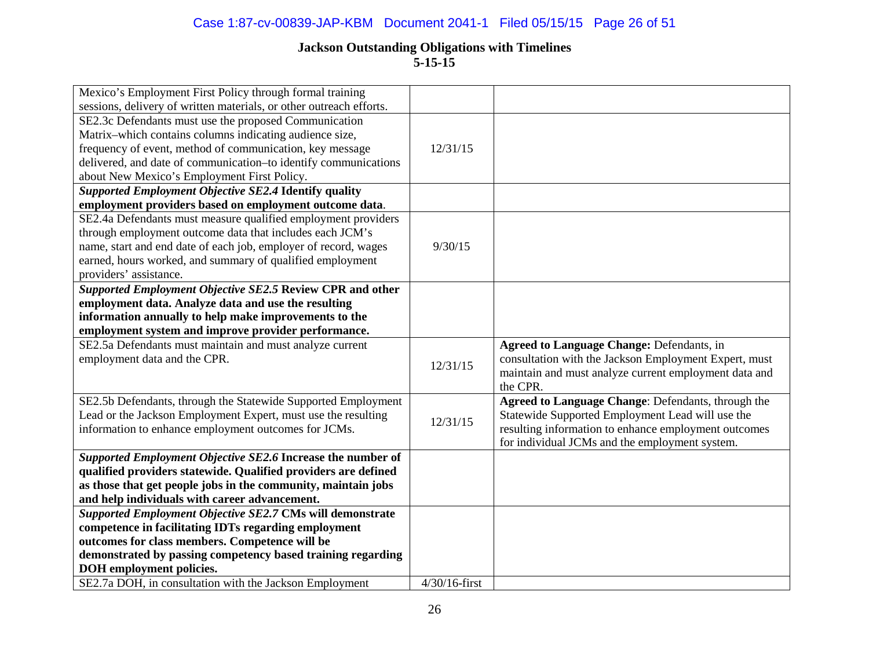## Case 1:87-cv-00839-JAP-KBM Document 2041-1 Filed 05/15/15 Page 26 of 51

| Mexico's Employment First Policy through formal training                                   |                  |                                                       |
|--------------------------------------------------------------------------------------------|------------------|-------------------------------------------------------|
| sessions, delivery of written materials, or other outreach efforts.                        |                  |                                                       |
| SE2.3c Defendants must use the proposed Communication                                      |                  |                                                       |
| Matrix-which contains columns indicating audience size,                                    |                  |                                                       |
| frequency of event, method of communication, key message                                   | 12/31/15         |                                                       |
| delivered, and date of communication-to identify communications                            |                  |                                                       |
| about New Mexico's Employment First Policy.                                                |                  |                                                       |
| Supported Employment Objective SE2.4 Identify quality                                      |                  |                                                       |
| employment providers based on employment outcome data.                                     |                  |                                                       |
| SE2.4a Defendants must measure qualified employment providers                              |                  |                                                       |
| through employment outcome data that includes each JCM's                                   |                  |                                                       |
| name, start and end date of each job, employer of record, wages                            | 9/30/15          |                                                       |
| earned, hours worked, and summary of qualified employment                                  |                  |                                                       |
| providers' assistance.                                                                     |                  |                                                       |
| Supported Employment Objective SE2.5 Review CPR and other                                  |                  |                                                       |
| employment data. Analyze data and use the resulting                                        |                  |                                                       |
| information annually to help make improvements to the                                      |                  |                                                       |
| employment system and improve provider performance.                                        |                  |                                                       |
|                                                                                            |                  |                                                       |
| SE2.5a Defendants must maintain and must analyze current                                   |                  | <b>Agreed to Language Change: Defendants, in</b>      |
| employment data and the CPR.                                                               |                  | consultation with the Jackson Employment Expert, must |
|                                                                                            | 12/31/15         | maintain and must analyze current employment data and |
|                                                                                            |                  | the CPR.                                              |
| SE2.5b Defendants, through the Statewide Supported Employment                              |                  | Agreed to Language Change: Defendants, through the    |
| Lead or the Jackson Employment Expert, must use the resulting                              |                  | Statewide Supported Employment Lead will use the      |
| information to enhance employment outcomes for JCMs.                                       | 12/31/15         | resulting information to enhance employment outcomes  |
|                                                                                            |                  | for individual JCMs and the employment system.        |
| Supported Employment Objective SE2.6 Increase the number of                                |                  |                                                       |
| qualified providers statewide. Qualified providers are defined                             |                  |                                                       |
| as those that get people jobs in the community, maintain jobs                              |                  |                                                       |
| and help individuals with career advancement.                                              |                  |                                                       |
| Supported Employment Objective SE2.7 CMs will demonstrate                                  |                  |                                                       |
| competence in facilitating IDTs regarding employment                                       |                  |                                                       |
| outcomes for class members. Competence will be                                             |                  |                                                       |
| demonstrated by passing competency based training regarding                                |                  |                                                       |
| <b>DOH</b> employment policies.<br>SE2.7a DOH, in consultation with the Jackson Employment | $4/30/16$ -first |                                                       |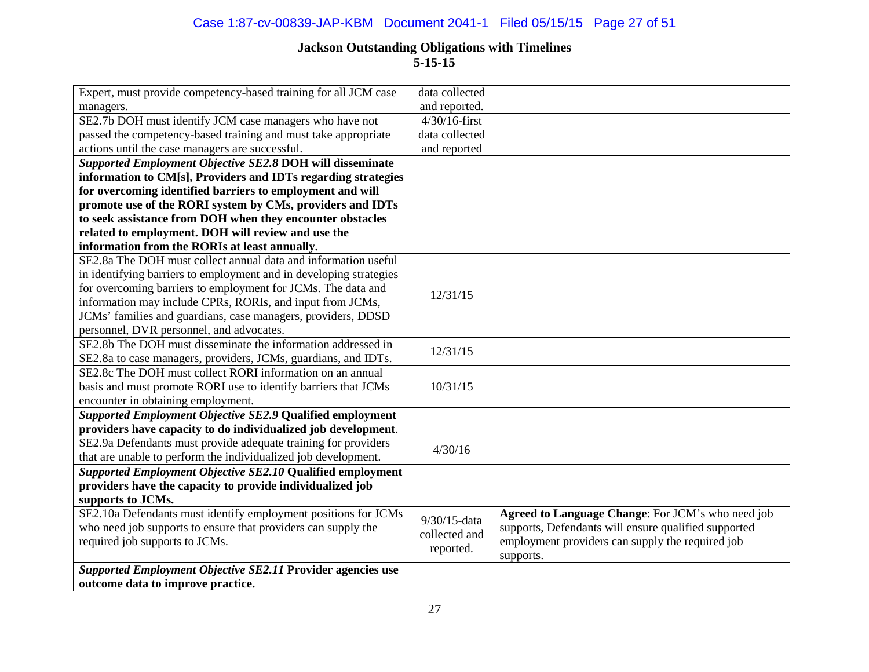## Case 1:87-cv-00839-JAP-KBM Document 2041-1 Filed 05/15/15 Page 27 of 51

| Expert, must provide competency-based training for all JCM case    | data collected   |                                                      |
|--------------------------------------------------------------------|------------------|------------------------------------------------------|
| managers.                                                          | and reported.    |                                                      |
| SE2.7b DOH must identify JCM case managers who have not            | $4/30/16$ -first |                                                      |
| passed the competency-based training and must take appropriate     | data collected   |                                                      |
| actions until the case managers are successful.                    | and reported     |                                                      |
| Supported Employment Objective SE2.8 DOH will disseminate          |                  |                                                      |
| information to CM[s], Providers and IDTs regarding strategies      |                  |                                                      |
| for overcoming identified barriers to employment and will          |                  |                                                      |
| promote use of the RORI system by CMs, providers and IDTs          |                  |                                                      |
| to seek assistance from DOH when they encounter obstacles          |                  |                                                      |
| related to employment. DOH will review and use the                 |                  |                                                      |
| information from the RORIs at least annually.                      |                  |                                                      |
| SE2.8a The DOH must collect annual data and information useful     |                  |                                                      |
| in identifying barriers to employment and in developing strategies |                  |                                                      |
| for overcoming barriers to employment for JCMs. The data and       | 12/31/15         |                                                      |
| information may include CPRs, RORIs, and input from JCMs,          |                  |                                                      |
| JCMs' families and guardians, case managers, providers, DDSD       |                  |                                                      |
| personnel, DVR personnel, and advocates.                           |                  |                                                      |
| SE2.8b The DOH must disseminate the information addressed in       | 12/31/15         |                                                      |
| SE2.8a to case managers, providers, JCMs, guardians, and IDTs.     |                  |                                                      |
| SE2.8c The DOH must collect RORI information on an annual          |                  |                                                      |
| basis and must promote RORI use to identify barriers that JCMs     | 10/31/15         |                                                      |
| encounter in obtaining employment.                                 |                  |                                                      |
| Supported Employment Objective SE2.9 Qualified employment          |                  |                                                      |
| providers have capacity to do individualized job development.      |                  |                                                      |
| SE2.9a Defendants must provide adequate training for providers     | 4/30/16          |                                                      |
| that are unable to perform the individualized job development.     |                  |                                                      |
| Supported Employment Objective SE2.10 Qualified employment         |                  |                                                      |
| providers have the capacity to provide individualized job          |                  |                                                      |
| supports to JCMs.                                                  |                  |                                                      |
| SE2.10a Defendants must identify employment positions for JCMs     | 9/30/15-data     | Agreed to Language Change: For JCM's who need job    |
| who need job supports to ensure that providers can supply the      | collected and    | supports, Defendants will ensure qualified supported |
| required job supports to JCMs.                                     | reported.        | employment providers can supply the required job     |
|                                                                    |                  | supports.                                            |
| Supported Employment Objective SE2.11 Provider agencies use        |                  |                                                      |
| outcome data to improve practice.                                  |                  |                                                      |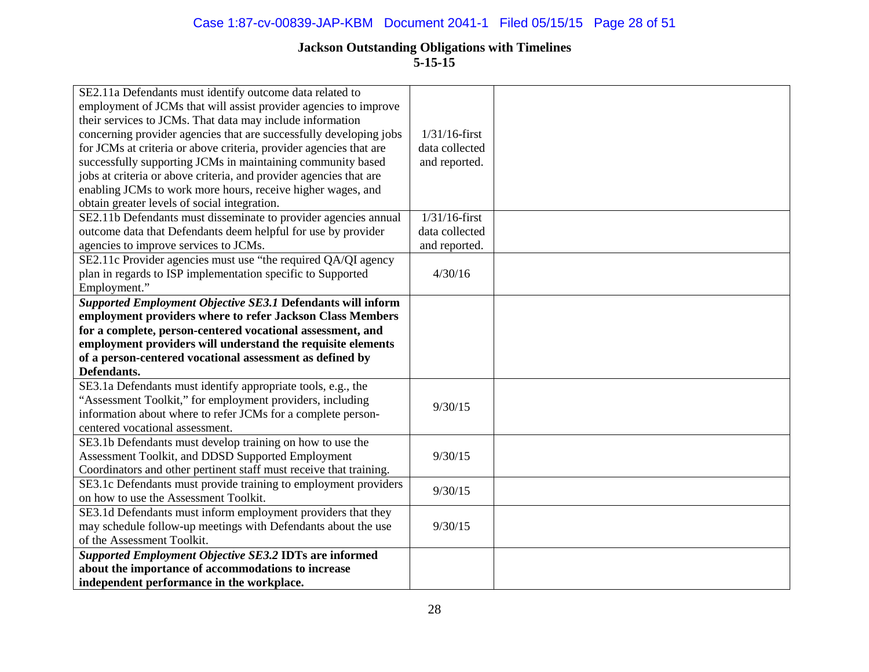| SE2.11a Defendants must identify outcome data related to           |                  |  |
|--------------------------------------------------------------------|------------------|--|
| employment of JCMs that will assist provider agencies to improve   |                  |  |
| their services to JCMs. That data may include information          |                  |  |
| concerning provider agencies that are successfully developing jobs | $1/31/16$ -first |  |
| for JCMs at criteria or above criteria, provider agencies that are | data collected   |  |
| successfully supporting JCMs in maintaining community based        | and reported.    |  |
| jobs at criteria or above criteria, and provider agencies that are |                  |  |
| enabling JCMs to work more hours, receive higher wages, and        |                  |  |
| obtain greater levels of social integration.                       |                  |  |
| SE2.11b Defendants must disseminate to provider agencies annual    | $1/31/16$ -first |  |
| outcome data that Defendants deem helpful for use by provider      | data collected   |  |
| agencies to improve services to JCMs.                              | and reported.    |  |
| SE2.11c Provider agencies must use "the required QA/QI agency      |                  |  |
| plan in regards to ISP implementation specific to Supported        | 4/30/16          |  |
| Employment."                                                       |                  |  |
| Supported Employment Objective SE3.1 Defendants will inform        |                  |  |
| employment providers where to refer Jackson Class Members          |                  |  |
| for a complete, person-centered vocational assessment, and         |                  |  |
| employment providers will understand the requisite elements        |                  |  |
| of a person-centered vocational assessment as defined by           |                  |  |
| Defendants.                                                        |                  |  |
| SE3.1a Defendants must identify appropriate tools, e.g., the       |                  |  |
| "Assessment Toolkit," for employment providers, including          | 9/30/15          |  |
| information about where to refer JCMs for a complete person-       |                  |  |
|                                                                    |                  |  |
| centered vocational assessment.                                    |                  |  |
| SE3.1b Defendants must develop training on how to use the          |                  |  |
| Assessment Toolkit, and DDSD Supported Employment                  | 9/30/15          |  |
| Coordinators and other pertinent staff must receive that training. |                  |  |
| SE3.1c Defendants must provide training to employment providers    |                  |  |
| on how to use the Assessment Toolkit.                              | 9/30/15          |  |
| SE3.1d Defendants must inform employment providers that they       |                  |  |
| may schedule follow-up meetings with Defendants about the use      | 9/30/15          |  |
| of the Assessment Toolkit.                                         |                  |  |
| Supported Employment Objective SE3.2 IDTs are informed             |                  |  |
| about the importance of accommodations to increase                 |                  |  |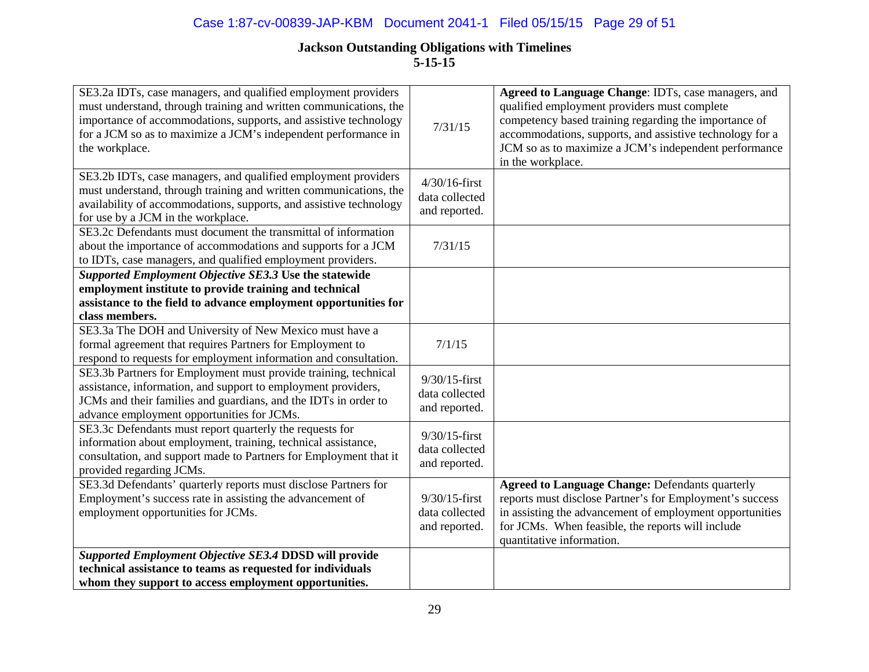| SE3.2a IDTs, case managers, and qualified employment providers<br>must understand, through training and written communications, the<br>importance of accommodations, supports, and assistive technology<br>for a JCM so as to maximize a JCM's independent performance in<br>the workplace. | 7/31/15                                             | Agreed to Language Change: IDTs, case managers, and<br>qualified employment providers must complete<br>competency based training regarding the importance of<br>accommodations, supports, and assistive technology for a<br>JCM so as to maximize a JCM's independent performance<br>in the workplace. |
|---------------------------------------------------------------------------------------------------------------------------------------------------------------------------------------------------------------------------------------------------------------------------------------------|-----------------------------------------------------|--------------------------------------------------------------------------------------------------------------------------------------------------------------------------------------------------------------------------------------------------------------------------------------------------------|
| SE3.2b IDTs, case managers, and qualified employment providers<br>must understand, through training and written communications, the<br>availability of accommodations, supports, and assistive technology<br>for use by a JCM in the workplace.                                             | $4/30/16$ -first<br>data collected<br>and reported. |                                                                                                                                                                                                                                                                                                        |
| SE3.2c Defendants must document the transmittal of information<br>about the importance of accommodations and supports for a JCM<br>to IDTs, case managers, and qualified employment providers.                                                                                              | 7/31/15                                             |                                                                                                                                                                                                                                                                                                        |
| Supported Employment Objective SE3.3 Use the statewide<br>employment institute to provide training and technical                                                                                                                                                                            |                                                     |                                                                                                                                                                                                                                                                                                        |
| assistance to the field to advance employment opportunities for<br>class members.                                                                                                                                                                                                           |                                                     |                                                                                                                                                                                                                                                                                                        |
| SE3.3a The DOH and University of New Mexico must have a<br>formal agreement that requires Partners for Employment to<br>respond to requests for employment information and consultation.                                                                                                    | 7/1/15                                              |                                                                                                                                                                                                                                                                                                        |
| SE3.3b Partners for Employment must provide training, technical<br>assistance, information, and support to employment providers,<br>JCMs and their families and guardians, and the IDTs in order to<br>advance employment opportunities for JCMs.                                           | $9/30/15$ -first<br>data collected<br>and reported. |                                                                                                                                                                                                                                                                                                        |
| SE3.3c Defendants must report quarterly the requests for<br>information about employment, training, technical assistance,<br>consultation, and support made to Partners for Employment that it<br>provided regarding JCMs.                                                                  | $9/30/15$ -first<br>data collected<br>and reported. |                                                                                                                                                                                                                                                                                                        |
| SE3.3d Defendants' quarterly reports must disclose Partners for<br>Employment's success rate in assisting the advancement of<br>employment opportunities for JCMs.                                                                                                                          | $9/30/15$ -first<br>data collected<br>and reported. | <b>Agreed to Language Change: Defendants quarterly</b><br>reports must disclose Partner's for Employment's success<br>in assisting the advancement of employment opportunities<br>for JCMs. When feasible, the reports will include<br>quantitative information.                                       |
| Supported Employment Objective SE3.4 DDSD will provide<br>technical assistance to teams as requested for individuals<br>whom they support to access employment opportunities.                                                                                                               |                                                     |                                                                                                                                                                                                                                                                                                        |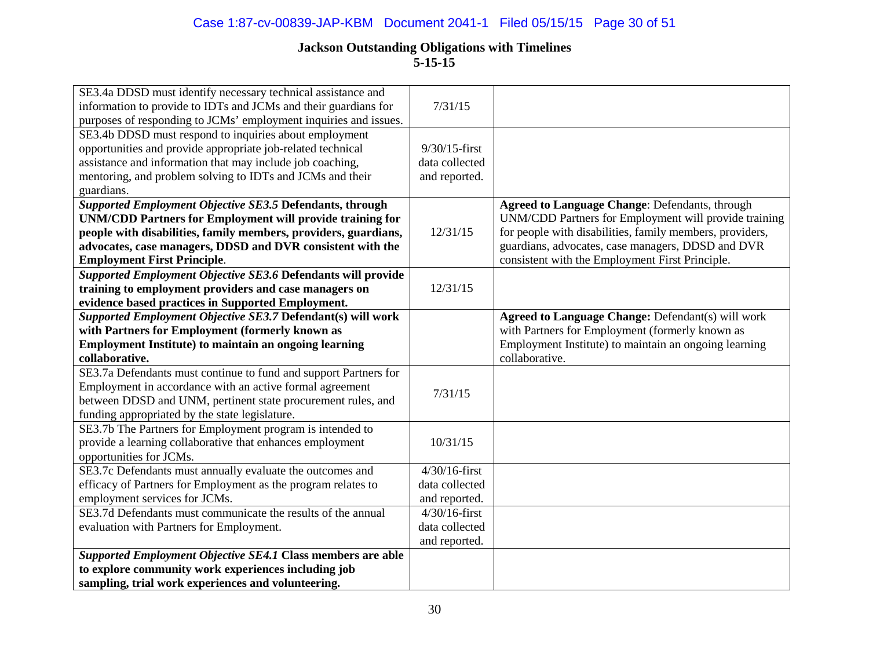## Case 1:87-cv-00839-JAP-KBM Document 2041-1 Filed 05/15/15 Page 30 of 51

| SE3.4b DDSD must respond to inquiries about employment<br>opportunities and provide appropriate job-related technical<br>$9/30/15$ -first<br>assistance and information that may include job coaching,<br>data collected<br>mentoring, and problem solving to IDTs and JCMs and their<br>and reported.<br>guardians.<br>Supported Employment Objective SE3.5 Defendants, through<br>Agreed to Language Change: Defendants, through<br>UNM/CDD Partners for Employment will provide training<br><b>UNM/CDD Partners for Employment will provide training for</b><br>for people with disabilities, family members, providers,<br>people with disabilities, family members, providers, guardians,<br>12/31/15<br>advocates, case managers, DDSD and DVR consistent with the<br>guardians, advocates, case managers, DDSD and DVR<br>consistent with the Employment First Principle.<br><b>Employment First Principle.</b><br>Supported Employment Objective SE3.6 Defendants will provide<br>training to employment providers and case managers on<br>12/31/15<br>evidence based practices in Supported Employment.<br>Supported Employment Objective SE3.7 Defendant(s) will work<br><b>Agreed to Language Change: Defendant(s) will work</b><br>with Partners for Employment (formerly known as<br>with Partners for Employment (formerly known as<br><b>Employment Institute) to maintain an ongoing learning</b><br>Employment Institute) to maintain an ongoing learning<br>collaborative.<br>collaborative.<br>SE3.7a Defendants must continue to fund and support Partners for<br>Employment in accordance with an active formal agreement<br>7/31/15<br>between DDSD and UNM, pertinent state procurement rules, and<br>funding appropriated by the state legislature.<br>SE3.7b The Partners for Employment program is intended to<br>provide a learning collaborative that enhances employment<br>10/31/15<br>opportunities for JCMs.<br>SE3.7c Defendants must annually evaluate the outcomes and<br>$4/30/16$ -first<br>efficacy of Partners for Employment as the program relates to<br>data collected<br>employment services for JCMs.<br>and reported.<br>SE3.7d Defendants must communicate the results of the annual<br>$4/30/16$ -first<br>evaluation with Partners for Employment.<br>data collected<br>and reported.<br>Supported Employment Objective SE4.1 Class members are able<br>to explore community work experiences including job<br>sampling, trial work experiences and volunteering. | SE3.4a DDSD must identify necessary technical assistance and<br>information to provide to IDTs and JCMs and their guardians for | 7/31/15 |  |
|-------------------------------------------------------------------------------------------------------------------------------------------------------------------------------------------------------------------------------------------------------------------------------------------------------------------------------------------------------------------------------------------------------------------------------------------------------------------------------------------------------------------------------------------------------------------------------------------------------------------------------------------------------------------------------------------------------------------------------------------------------------------------------------------------------------------------------------------------------------------------------------------------------------------------------------------------------------------------------------------------------------------------------------------------------------------------------------------------------------------------------------------------------------------------------------------------------------------------------------------------------------------------------------------------------------------------------------------------------------------------------------------------------------------------------------------------------------------------------------------------------------------------------------------------------------------------------------------------------------------------------------------------------------------------------------------------------------------------------------------------------------------------------------------------------------------------------------------------------------------------------------------------------------------------------------------------------------------------------------------------------------------------------------------------------------------------------------------------------------------------------------------------------------------------------------------------------------------------------------------------------------------------------------------------------------------------------------------------------------------------------------------------------------------------------------------------------------------------------------------------------------------|---------------------------------------------------------------------------------------------------------------------------------|---------|--|
|                                                                                                                                                                                                                                                                                                                                                                                                                                                                                                                                                                                                                                                                                                                                                                                                                                                                                                                                                                                                                                                                                                                                                                                                                                                                                                                                                                                                                                                                                                                                                                                                                                                                                                                                                                                                                                                                                                                                                                                                                                                                                                                                                                                                                                                                                                                                                                                                                                                                                                                   | purposes of responding to JCMs' employment inquiries and issues.                                                                |         |  |
|                                                                                                                                                                                                                                                                                                                                                                                                                                                                                                                                                                                                                                                                                                                                                                                                                                                                                                                                                                                                                                                                                                                                                                                                                                                                                                                                                                                                                                                                                                                                                                                                                                                                                                                                                                                                                                                                                                                                                                                                                                                                                                                                                                                                                                                                                                                                                                                                                                                                                                                   |                                                                                                                                 |         |  |
|                                                                                                                                                                                                                                                                                                                                                                                                                                                                                                                                                                                                                                                                                                                                                                                                                                                                                                                                                                                                                                                                                                                                                                                                                                                                                                                                                                                                                                                                                                                                                                                                                                                                                                                                                                                                                                                                                                                                                                                                                                                                                                                                                                                                                                                                                                                                                                                                                                                                                                                   |                                                                                                                                 |         |  |
|                                                                                                                                                                                                                                                                                                                                                                                                                                                                                                                                                                                                                                                                                                                                                                                                                                                                                                                                                                                                                                                                                                                                                                                                                                                                                                                                                                                                                                                                                                                                                                                                                                                                                                                                                                                                                                                                                                                                                                                                                                                                                                                                                                                                                                                                                                                                                                                                                                                                                                                   |                                                                                                                                 |         |  |
|                                                                                                                                                                                                                                                                                                                                                                                                                                                                                                                                                                                                                                                                                                                                                                                                                                                                                                                                                                                                                                                                                                                                                                                                                                                                                                                                                                                                                                                                                                                                                                                                                                                                                                                                                                                                                                                                                                                                                                                                                                                                                                                                                                                                                                                                                                                                                                                                                                                                                                                   |                                                                                                                                 |         |  |
|                                                                                                                                                                                                                                                                                                                                                                                                                                                                                                                                                                                                                                                                                                                                                                                                                                                                                                                                                                                                                                                                                                                                                                                                                                                                                                                                                                                                                                                                                                                                                                                                                                                                                                                                                                                                                                                                                                                                                                                                                                                                                                                                                                                                                                                                                                                                                                                                                                                                                                                   |                                                                                                                                 |         |  |
|                                                                                                                                                                                                                                                                                                                                                                                                                                                                                                                                                                                                                                                                                                                                                                                                                                                                                                                                                                                                                                                                                                                                                                                                                                                                                                                                                                                                                                                                                                                                                                                                                                                                                                                                                                                                                                                                                                                                                                                                                                                                                                                                                                                                                                                                                                                                                                                                                                                                                                                   |                                                                                                                                 |         |  |
|                                                                                                                                                                                                                                                                                                                                                                                                                                                                                                                                                                                                                                                                                                                                                                                                                                                                                                                                                                                                                                                                                                                                                                                                                                                                                                                                                                                                                                                                                                                                                                                                                                                                                                                                                                                                                                                                                                                                                                                                                                                                                                                                                                                                                                                                                                                                                                                                                                                                                                                   |                                                                                                                                 |         |  |
|                                                                                                                                                                                                                                                                                                                                                                                                                                                                                                                                                                                                                                                                                                                                                                                                                                                                                                                                                                                                                                                                                                                                                                                                                                                                                                                                                                                                                                                                                                                                                                                                                                                                                                                                                                                                                                                                                                                                                                                                                                                                                                                                                                                                                                                                                                                                                                                                                                                                                                                   |                                                                                                                                 |         |  |
|                                                                                                                                                                                                                                                                                                                                                                                                                                                                                                                                                                                                                                                                                                                                                                                                                                                                                                                                                                                                                                                                                                                                                                                                                                                                                                                                                                                                                                                                                                                                                                                                                                                                                                                                                                                                                                                                                                                                                                                                                                                                                                                                                                                                                                                                                                                                                                                                                                                                                                                   |                                                                                                                                 |         |  |
|                                                                                                                                                                                                                                                                                                                                                                                                                                                                                                                                                                                                                                                                                                                                                                                                                                                                                                                                                                                                                                                                                                                                                                                                                                                                                                                                                                                                                                                                                                                                                                                                                                                                                                                                                                                                                                                                                                                                                                                                                                                                                                                                                                                                                                                                                                                                                                                                                                                                                                                   |                                                                                                                                 |         |  |
|                                                                                                                                                                                                                                                                                                                                                                                                                                                                                                                                                                                                                                                                                                                                                                                                                                                                                                                                                                                                                                                                                                                                                                                                                                                                                                                                                                                                                                                                                                                                                                                                                                                                                                                                                                                                                                                                                                                                                                                                                                                                                                                                                                                                                                                                                                                                                                                                                                                                                                                   |                                                                                                                                 |         |  |
|                                                                                                                                                                                                                                                                                                                                                                                                                                                                                                                                                                                                                                                                                                                                                                                                                                                                                                                                                                                                                                                                                                                                                                                                                                                                                                                                                                                                                                                                                                                                                                                                                                                                                                                                                                                                                                                                                                                                                                                                                                                                                                                                                                                                                                                                                                                                                                                                                                                                                                                   |                                                                                                                                 |         |  |
|                                                                                                                                                                                                                                                                                                                                                                                                                                                                                                                                                                                                                                                                                                                                                                                                                                                                                                                                                                                                                                                                                                                                                                                                                                                                                                                                                                                                                                                                                                                                                                                                                                                                                                                                                                                                                                                                                                                                                                                                                                                                                                                                                                                                                                                                                                                                                                                                                                                                                                                   |                                                                                                                                 |         |  |
|                                                                                                                                                                                                                                                                                                                                                                                                                                                                                                                                                                                                                                                                                                                                                                                                                                                                                                                                                                                                                                                                                                                                                                                                                                                                                                                                                                                                                                                                                                                                                                                                                                                                                                                                                                                                                                                                                                                                                                                                                                                                                                                                                                                                                                                                                                                                                                                                                                                                                                                   |                                                                                                                                 |         |  |
|                                                                                                                                                                                                                                                                                                                                                                                                                                                                                                                                                                                                                                                                                                                                                                                                                                                                                                                                                                                                                                                                                                                                                                                                                                                                                                                                                                                                                                                                                                                                                                                                                                                                                                                                                                                                                                                                                                                                                                                                                                                                                                                                                                                                                                                                                                                                                                                                                                                                                                                   |                                                                                                                                 |         |  |
|                                                                                                                                                                                                                                                                                                                                                                                                                                                                                                                                                                                                                                                                                                                                                                                                                                                                                                                                                                                                                                                                                                                                                                                                                                                                                                                                                                                                                                                                                                                                                                                                                                                                                                                                                                                                                                                                                                                                                                                                                                                                                                                                                                                                                                                                                                                                                                                                                                                                                                                   |                                                                                                                                 |         |  |
|                                                                                                                                                                                                                                                                                                                                                                                                                                                                                                                                                                                                                                                                                                                                                                                                                                                                                                                                                                                                                                                                                                                                                                                                                                                                                                                                                                                                                                                                                                                                                                                                                                                                                                                                                                                                                                                                                                                                                                                                                                                                                                                                                                                                                                                                                                                                                                                                                                                                                                                   |                                                                                                                                 |         |  |
|                                                                                                                                                                                                                                                                                                                                                                                                                                                                                                                                                                                                                                                                                                                                                                                                                                                                                                                                                                                                                                                                                                                                                                                                                                                                                                                                                                                                                                                                                                                                                                                                                                                                                                                                                                                                                                                                                                                                                                                                                                                                                                                                                                                                                                                                                                                                                                                                                                                                                                                   |                                                                                                                                 |         |  |
|                                                                                                                                                                                                                                                                                                                                                                                                                                                                                                                                                                                                                                                                                                                                                                                                                                                                                                                                                                                                                                                                                                                                                                                                                                                                                                                                                                                                                                                                                                                                                                                                                                                                                                                                                                                                                                                                                                                                                                                                                                                                                                                                                                                                                                                                                                                                                                                                                                                                                                                   |                                                                                                                                 |         |  |
|                                                                                                                                                                                                                                                                                                                                                                                                                                                                                                                                                                                                                                                                                                                                                                                                                                                                                                                                                                                                                                                                                                                                                                                                                                                                                                                                                                                                                                                                                                                                                                                                                                                                                                                                                                                                                                                                                                                                                                                                                                                                                                                                                                                                                                                                                                                                                                                                                                                                                                                   |                                                                                                                                 |         |  |
|                                                                                                                                                                                                                                                                                                                                                                                                                                                                                                                                                                                                                                                                                                                                                                                                                                                                                                                                                                                                                                                                                                                                                                                                                                                                                                                                                                                                                                                                                                                                                                                                                                                                                                                                                                                                                                                                                                                                                                                                                                                                                                                                                                                                                                                                                                                                                                                                                                                                                                                   |                                                                                                                                 |         |  |
|                                                                                                                                                                                                                                                                                                                                                                                                                                                                                                                                                                                                                                                                                                                                                                                                                                                                                                                                                                                                                                                                                                                                                                                                                                                                                                                                                                                                                                                                                                                                                                                                                                                                                                                                                                                                                                                                                                                                                                                                                                                                                                                                                                                                                                                                                                                                                                                                                                                                                                                   |                                                                                                                                 |         |  |
|                                                                                                                                                                                                                                                                                                                                                                                                                                                                                                                                                                                                                                                                                                                                                                                                                                                                                                                                                                                                                                                                                                                                                                                                                                                                                                                                                                                                                                                                                                                                                                                                                                                                                                                                                                                                                                                                                                                                                                                                                                                                                                                                                                                                                                                                                                                                                                                                                                                                                                                   |                                                                                                                                 |         |  |
|                                                                                                                                                                                                                                                                                                                                                                                                                                                                                                                                                                                                                                                                                                                                                                                                                                                                                                                                                                                                                                                                                                                                                                                                                                                                                                                                                                                                                                                                                                                                                                                                                                                                                                                                                                                                                                                                                                                                                                                                                                                                                                                                                                                                                                                                                                                                                                                                                                                                                                                   |                                                                                                                                 |         |  |
|                                                                                                                                                                                                                                                                                                                                                                                                                                                                                                                                                                                                                                                                                                                                                                                                                                                                                                                                                                                                                                                                                                                                                                                                                                                                                                                                                                                                                                                                                                                                                                                                                                                                                                                                                                                                                                                                                                                                                                                                                                                                                                                                                                                                                                                                                                                                                                                                                                                                                                                   |                                                                                                                                 |         |  |
|                                                                                                                                                                                                                                                                                                                                                                                                                                                                                                                                                                                                                                                                                                                                                                                                                                                                                                                                                                                                                                                                                                                                                                                                                                                                                                                                                                                                                                                                                                                                                                                                                                                                                                                                                                                                                                                                                                                                                                                                                                                                                                                                                                                                                                                                                                                                                                                                                                                                                                                   |                                                                                                                                 |         |  |
|                                                                                                                                                                                                                                                                                                                                                                                                                                                                                                                                                                                                                                                                                                                                                                                                                                                                                                                                                                                                                                                                                                                                                                                                                                                                                                                                                                                                                                                                                                                                                                                                                                                                                                                                                                                                                                                                                                                                                                                                                                                                                                                                                                                                                                                                                                                                                                                                                                                                                                                   |                                                                                                                                 |         |  |
|                                                                                                                                                                                                                                                                                                                                                                                                                                                                                                                                                                                                                                                                                                                                                                                                                                                                                                                                                                                                                                                                                                                                                                                                                                                                                                                                                                                                                                                                                                                                                                                                                                                                                                                                                                                                                                                                                                                                                                                                                                                                                                                                                                                                                                                                                                                                                                                                                                                                                                                   |                                                                                                                                 |         |  |
|                                                                                                                                                                                                                                                                                                                                                                                                                                                                                                                                                                                                                                                                                                                                                                                                                                                                                                                                                                                                                                                                                                                                                                                                                                                                                                                                                                                                                                                                                                                                                                                                                                                                                                                                                                                                                                                                                                                                                                                                                                                                                                                                                                                                                                                                                                                                                                                                                                                                                                                   |                                                                                                                                 |         |  |
|                                                                                                                                                                                                                                                                                                                                                                                                                                                                                                                                                                                                                                                                                                                                                                                                                                                                                                                                                                                                                                                                                                                                                                                                                                                                                                                                                                                                                                                                                                                                                                                                                                                                                                                                                                                                                                                                                                                                                                                                                                                                                                                                                                                                                                                                                                                                                                                                                                                                                                                   |                                                                                                                                 |         |  |
|                                                                                                                                                                                                                                                                                                                                                                                                                                                                                                                                                                                                                                                                                                                                                                                                                                                                                                                                                                                                                                                                                                                                                                                                                                                                                                                                                                                                                                                                                                                                                                                                                                                                                                                                                                                                                                                                                                                                                                                                                                                                                                                                                                                                                                                                                                                                                                                                                                                                                                                   |                                                                                                                                 |         |  |
|                                                                                                                                                                                                                                                                                                                                                                                                                                                                                                                                                                                                                                                                                                                                                                                                                                                                                                                                                                                                                                                                                                                                                                                                                                                                                                                                                                                                                                                                                                                                                                                                                                                                                                                                                                                                                                                                                                                                                                                                                                                                                                                                                                                                                                                                                                                                                                                                                                                                                                                   |                                                                                                                                 |         |  |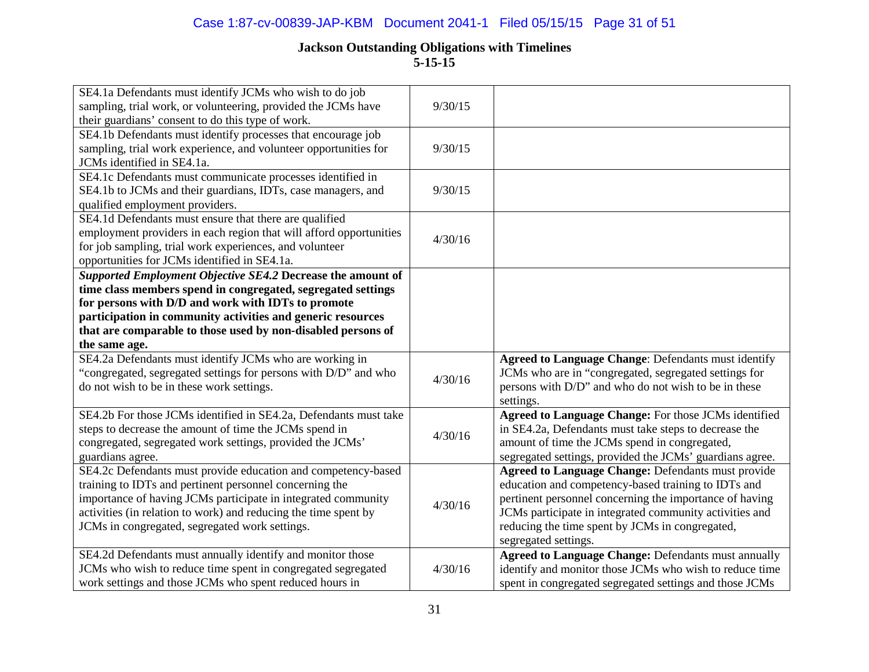| SE4.1a Defendants must identify JCMs who wish to do job<br>sampling, trial work, or volunteering, provided the JCMs have | 9/30/15 |                                                            |
|--------------------------------------------------------------------------------------------------------------------------|---------|------------------------------------------------------------|
| their guardians' consent to do this type of work.                                                                        |         |                                                            |
| SE4.1b Defendants must identify processes that encourage job                                                             |         |                                                            |
| sampling, trial work experience, and volunteer opportunities for                                                         | 9/30/15 |                                                            |
| JCMs identified in SE4.1a.                                                                                               |         |                                                            |
| SE4.1c Defendants must communicate processes identified in                                                               |         |                                                            |
| SE4.1b to JCMs and their guardians, IDTs, case managers, and                                                             | 9/30/15 |                                                            |
| qualified employment providers.                                                                                          |         |                                                            |
| SE4.1d Defendants must ensure that there are qualified                                                                   |         |                                                            |
| employment providers in each region that will afford opportunities                                                       | 4/30/16 |                                                            |
| for job sampling, trial work experiences, and volunteer                                                                  |         |                                                            |
| opportunities for JCMs identified in SE4.1a.                                                                             |         |                                                            |
| Supported Employment Objective SE4.2 Decrease the amount of                                                              |         |                                                            |
| time class members spend in congregated, segregated settings                                                             |         |                                                            |
| for persons with D/D and work with IDTs to promote                                                                       |         |                                                            |
| participation in community activities and generic resources                                                              |         |                                                            |
| that are comparable to those used by non-disabled persons of                                                             |         |                                                            |
| the same age.                                                                                                            |         |                                                            |
| SE4.2a Defendants must identify JCMs who are working in                                                                  |         | <b>Agreed to Language Change: Defendants must identify</b> |
| "congregated, segregated settings for persons with D/D" and who                                                          | 4/30/16 | JCMs who are in "congregated, segregated settings for      |
| do not wish to be in these work settings.                                                                                |         | persons with D/D" and who do not wish to be in these       |
|                                                                                                                          |         | settings.                                                  |
| SE4.2b For those JCMs identified in SE4.2a, Defendants must take                                                         |         | Agreed to Language Change: For those JCMs identified       |
| steps to decrease the amount of time the JCMs spend in                                                                   | 4/30/16 | in SE4.2a, Defendants must take steps to decrease the      |
| congregated, segregated work settings, provided the JCMs'                                                                |         | amount of time the JCMs spend in congregated,              |
| guardians agree.                                                                                                         |         | segregated settings, provided the JCMs' guardians agree.   |
| SE4.2c Defendants must provide education and competency-based                                                            |         | <b>Agreed to Language Change: Defendants must provide</b>  |
| training to IDTs and pertinent personnel concerning the                                                                  |         | education and competency-based training to IDTs and        |
| importance of having JCMs participate in integrated community                                                            | 4/30/16 | pertinent personnel concerning the importance of having    |
| activities (in relation to work) and reducing the time spent by                                                          |         | JCMs participate in integrated community activities and    |
| JCMs in congregated, segregated work settings.                                                                           |         | reducing the time spent by JCMs in congregated,            |
|                                                                                                                          |         | segregated settings.                                       |
|                                                                                                                          |         |                                                            |
| SE4.2d Defendants must annually identify and monitor those                                                               |         | <b>Agreed to Language Change: Defendants must annually</b> |
| JCMs who wish to reduce time spent in congregated segregated                                                             | 4/30/16 | identify and monitor those JCMs who wish to reduce time    |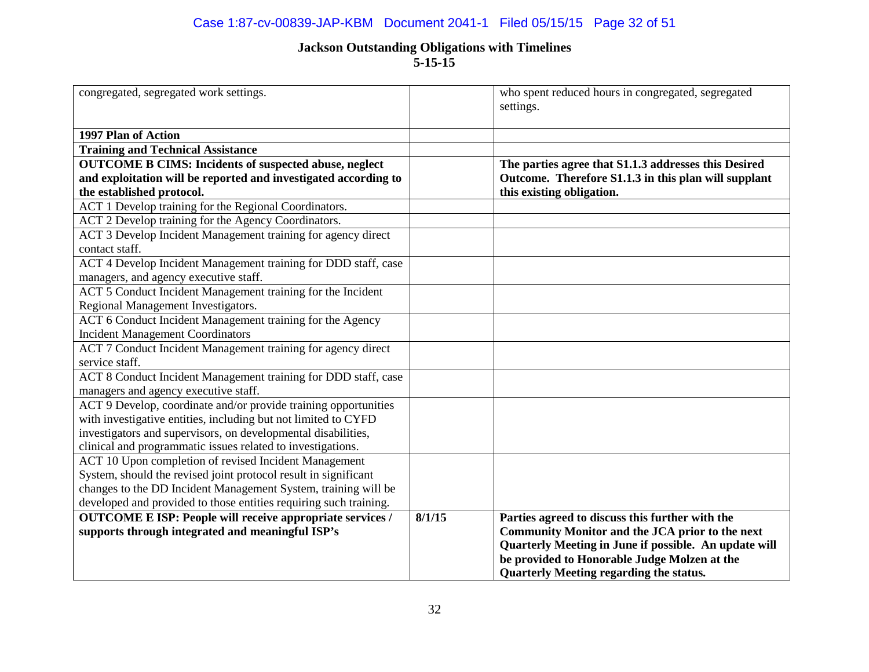## Case 1:87-cv-00839-JAP-KBM Document 2041-1 Filed 05/15/15 Page 32 of 51

| congregated, segregated work settings.                            |        | who spent reduced hours in congregated, segregated<br>settings.                                |
|-------------------------------------------------------------------|--------|------------------------------------------------------------------------------------------------|
| 1997 Plan of Action                                               |        |                                                                                                |
| <b>Training and Technical Assistance</b>                          |        |                                                                                                |
| <b>OUTCOME B CIMS: Incidents of suspected abuse, neglect</b>      |        | The parties agree that S1.1.3 addresses this Desired                                           |
| and exploitation will be reported and investigated according to   |        | Outcome. Therefore S1.1.3 in this plan will supplant                                           |
| the established protocol.                                         |        | this existing obligation.                                                                      |
| ACT 1 Develop training for the Regional Coordinators.             |        |                                                                                                |
| ACT 2 Develop training for the Agency Coordinators.               |        |                                                                                                |
| ACT 3 Develop Incident Management training for agency direct      |        |                                                                                                |
| contact staff.                                                    |        |                                                                                                |
| ACT 4 Develop Incident Management training for DDD staff, case    |        |                                                                                                |
| managers, and agency executive staff.                             |        |                                                                                                |
| ACT 5 Conduct Incident Management training for the Incident       |        |                                                                                                |
| Regional Management Investigators.                                |        |                                                                                                |
| ACT 6 Conduct Incident Management training for the Agency         |        |                                                                                                |
| <b>Incident Management Coordinators</b>                           |        |                                                                                                |
| ACT 7 Conduct Incident Management training for agency direct      |        |                                                                                                |
| service staff.                                                    |        |                                                                                                |
| ACT 8 Conduct Incident Management training for DDD staff, case    |        |                                                                                                |
| managers and agency executive staff.                              |        |                                                                                                |
| ACT 9 Develop, coordinate and/or provide training opportunities   |        |                                                                                                |
| with investigative entities, including but not limited to CYFD    |        |                                                                                                |
| investigators and supervisors, on developmental disabilities,     |        |                                                                                                |
| clinical and programmatic issues related to investigations.       |        |                                                                                                |
| ACT 10 Upon completion of revised Incident Management             |        |                                                                                                |
| System, should the revised joint protocol result in significant   |        |                                                                                                |
| changes to the DD Incident Management System, training will be    |        |                                                                                                |
| developed and provided to those entities requiring such training. |        |                                                                                                |
| <b>OUTCOME E ISP: People will receive appropriate services /</b>  | 8/1/15 | Parties agreed to discuss this further with the                                                |
| supports through integrated and meaningful ISP's                  |        | Community Monitor and the JCA prior to the next                                                |
|                                                                   |        | Quarterly Meeting in June if possible. An update will                                          |
|                                                                   |        | be provided to Honorable Judge Molzen at the<br><b>Quarterly Meeting regarding the status.</b> |
|                                                                   |        |                                                                                                |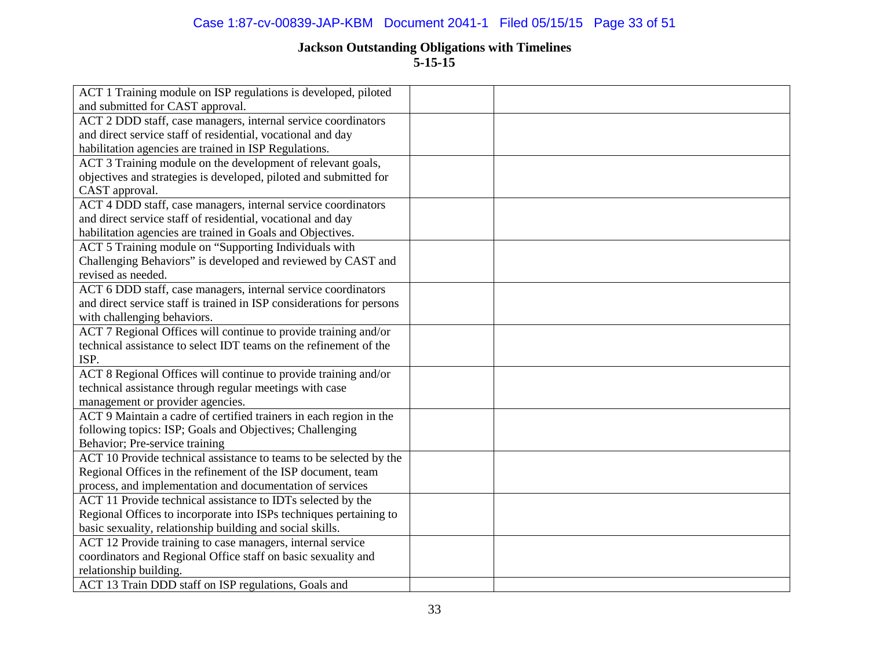## Case 1:87-cv-00839-JAP-KBM Document 2041-1 Filed 05/15/15 Page 33 of 51

| ACT 1 Training module on ISP regulations is developed, piloted        |  |
|-----------------------------------------------------------------------|--|
| and submitted for CAST approval.                                      |  |
| ACT 2 DDD staff, case managers, internal service coordinators         |  |
| and direct service staff of residential, vocational and day           |  |
| habilitation agencies are trained in ISP Regulations.                 |  |
| ACT 3 Training module on the development of relevant goals,           |  |
| objectives and strategies is developed, piloted and submitted for     |  |
| CAST approval.                                                        |  |
| ACT 4 DDD staff, case managers, internal service coordinators         |  |
| and direct service staff of residential, vocational and day           |  |
| habilitation agencies are trained in Goals and Objectives.            |  |
| ACT 5 Training module on "Supporting Individuals with                 |  |
| Challenging Behaviors" is developed and reviewed by CAST and          |  |
| revised as needed.                                                    |  |
| ACT 6 DDD staff, case managers, internal service coordinators         |  |
| and direct service staff is trained in ISP considerations for persons |  |
| with challenging behaviors.                                           |  |
| ACT 7 Regional Offices will continue to provide training and/or       |  |
| technical assistance to select IDT teams on the refinement of the     |  |
| ISP.                                                                  |  |
| ACT 8 Regional Offices will continue to provide training and/or       |  |
| technical assistance through regular meetings with case               |  |
| management or provider agencies.                                      |  |
| ACT 9 Maintain a cadre of certified trainers in each region in the    |  |
| following topics: ISP; Goals and Objectives; Challenging              |  |
| Behavior; Pre-service training                                        |  |
| ACT 10 Provide technical assistance to teams to be selected by the    |  |
| Regional Offices in the refinement of the ISP document, team          |  |
| process, and implementation and documentation of services             |  |
| ACT 11 Provide technical assistance to IDTs selected by the           |  |
| Regional Offices to incorporate into ISPs techniques pertaining to    |  |
| basic sexuality, relationship building and social skills.             |  |
| ACT 12 Provide training to case managers, internal service            |  |
| coordinators and Regional Office staff on basic sexuality and         |  |
| relationship building.                                                |  |
| ACT 13 Train DDD staff on ISP regulations, Goals and                  |  |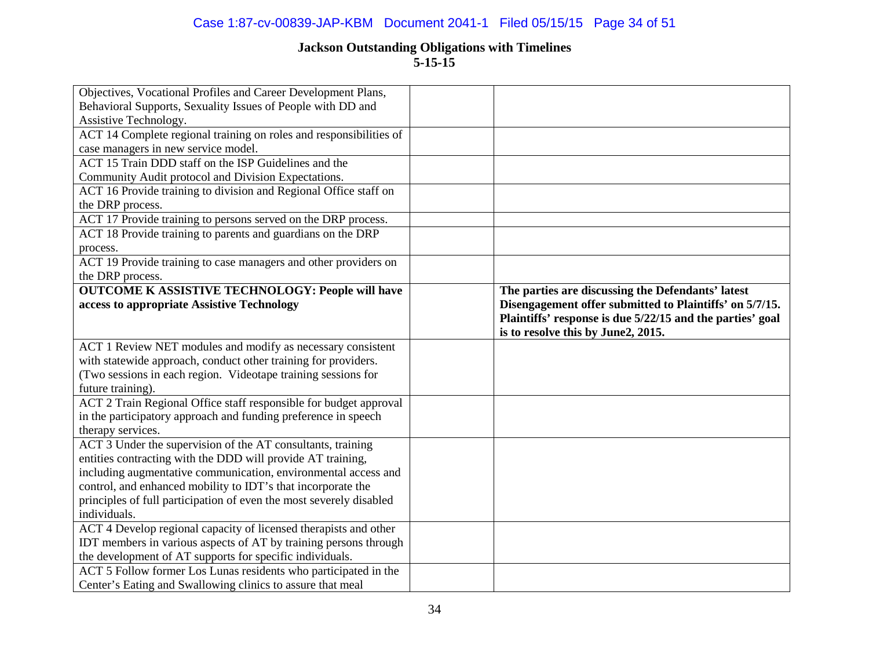### Case 1:87-cv-00839-JAP-KBM Document 2041-1 Filed 05/15/15 Page 34 of 51

| Objectives, Vocational Profiles and Career Development Plans,                                                                 |                                                           |
|-------------------------------------------------------------------------------------------------------------------------------|-----------------------------------------------------------|
| Behavioral Supports, Sexuality Issues of People with DD and                                                                   |                                                           |
| Assistive Technology.                                                                                                         |                                                           |
| ACT 14 Complete regional training on roles and responsibilities of                                                            |                                                           |
| case managers in new service model.                                                                                           |                                                           |
| ACT 15 Train DDD staff on the ISP Guidelines and the                                                                          |                                                           |
| Community Audit protocol and Division Expectations.                                                                           |                                                           |
| ACT 16 Provide training to division and Regional Office staff on                                                              |                                                           |
| the DRP process.                                                                                                              |                                                           |
| ACT 17 Provide training to persons served on the DRP process.                                                                 |                                                           |
| ACT 18 Provide training to parents and guardians on the DRP                                                                   |                                                           |
| process.                                                                                                                      |                                                           |
| ACT 19 Provide training to case managers and other providers on                                                               |                                                           |
| the DRP process.                                                                                                              |                                                           |
| <b>OUTCOME K ASSISTIVE TECHNOLOGY: People will have</b>                                                                       | The parties are discussing the Defendants' latest         |
| access to appropriate Assistive Technology                                                                                    | Disengagement offer submitted to Plaintiffs' on 5/7/15.   |
|                                                                                                                               | Plaintiffs' response is due 5/22/15 and the parties' goal |
|                                                                                                                               | is to resolve this by June2, 2015.                        |
| ACT 1 Review NET modules and modify as necessary consistent                                                                   |                                                           |
| with statewide approach, conduct other training for providers.                                                                |                                                           |
| (Two sessions in each region. Videotape training sessions for                                                                 |                                                           |
| future training).                                                                                                             |                                                           |
| ACT 2 Train Regional Office staff responsible for budget approval                                                             |                                                           |
| in the participatory approach and funding preference in speech                                                                |                                                           |
| therapy services.                                                                                                             |                                                           |
| ACT 3 Under the supervision of the AT consultants, training                                                                   |                                                           |
| entities contracting with the DDD will provide AT training,                                                                   |                                                           |
| including augmentative communication, environmental access and                                                                |                                                           |
|                                                                                                                               |                                                           |
| control, and enhanced mobility to IDT's that incorporate the                                                                  |                                                           |
| principles of full participation of even the most severely disabled                                                           |                                                           |
| individuals.                                                                                                                  |                                                           |
| ACT 4 Develop regional capacity of licensed therapists and other                                                              |                                                           |
| IDT members in various aspects of AT by training persons through                                                              |                                                           |
| the development of AT supports for specific individuals.                                                                      |                                                           |
| ACT 5 Follow former Los Lunas residents who participated in the<br>Center's Eating and Swallowing clinics to assure that meal |                                                           |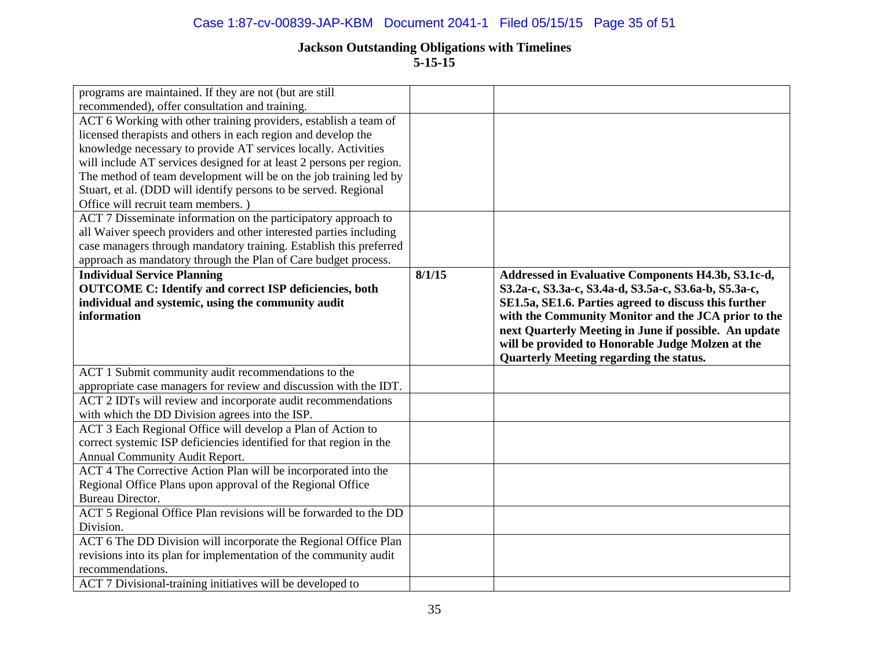## Case 1:87-cv-00839-JAP-KBM Document 2041-1 Filed 05/15/15 Page 35 of 51

# **Jackson Outstanding Obligations with Timelines**

**5-15-15**

| programs are maintained. If they are not (but are still                        |        |                                                       |
|--------------------------------------------------------------------------------|--------|-------------------------------------------------------|
| recommended), offer consultation and training.                                 |        |                                                       |
| ACT 6 Working with other training providers, establish a team of               |        |                                                       |
| licensed therapists and others in each region and develop the                  |        |                                                       |
| knowledge necessary to provide AT services locally. Activities                 |        |                                                       |
| will include AT services designed for at least 2 persons per region.           |        |                                                       |
| The method of team development will be on the job training led by              |        |                                                       |
| Stuart, et al. (DDD will identify persons to be served. Regional               |        |                                                       |
| Office will recruit team members.)                                             |        |                                                       |
| ACT 7 Disseminate information on the participatory approach to                 |        |                                                       |
| all Waiver speech providers and other interested parties including             |        |                                                       |
| case managers through mandatory training. Establish this preferred             |        |                                                       |
| approach as mandatory through the Plan of Care budget process.                 |        |                                                       |
| <b>Individual Service Planning</b>                                             | 8/1/15 | Addressed in Evaluative Components H4.3b, S3.1c-d,    |
| <b>OUTCOME C: Identify and correct ISP deficiencies, both</b>                  |        | S3.2a-c, S3.3a-c, S3.4a-d, S3.5a-c, S3.6a-b, S5.3a-c, |
| individual and systemic, using the community audit                             |        | SE1.5a, SE1.6. Parties agreed to discuss this further |
| information                                                                    |        | with the Community Monitor and the JCA prior to the   |
|                                                                                |        | next Quarterly Meeting in June if possible. An update |
|                                                                                |        | will be provided to Honorable Judge Molzen at the     |
|                                                                                |        | Quarterly Meeting regarding the status.               |
| ACT 1 Submit community audit recommendations to the                            |        |                                                       |
| appropriate case managers for review and discussion with the IDT.              |        |                                                       |
| ACT 2 IDTs will review and incorporate audit recommendations                   |        |                                                       |
| with which the DD Division agrees into the ISP.                                |        |                                                       |
| ACT 3 Each Regional Office will develop a Plan of Action to                    |        |                                                       |
| correct systemic ISP deficiencies identified for that region in the            |        |                                                       |
| Annual Community Audit Report.                                                 |        |                                                       |
| ACT 4 The Corrective Action Plan will be incorporated into the                 |        |                                                       |
| Regional Office Plans upon approval of the Regional Office                     |        |                                                       |
| <b>Bureau Director.</b>                                                        |        |                                                       |
| ACT 5 Regional Office Plan revisions will be forwarded to the DD               |        |                                                       |
| Division.                                                                      |        |                                                       |
| ACT 6 The DD Division will incorporate the Regional Office Plan                |        |                                                       |
| revisions into its plan for implementation of the community audit              |        |                                                       |
|                                                                                |        |                                                       |
| recommendations.<br>ACT 7 Divisional-training initiatives will be developed to |        |                                                       |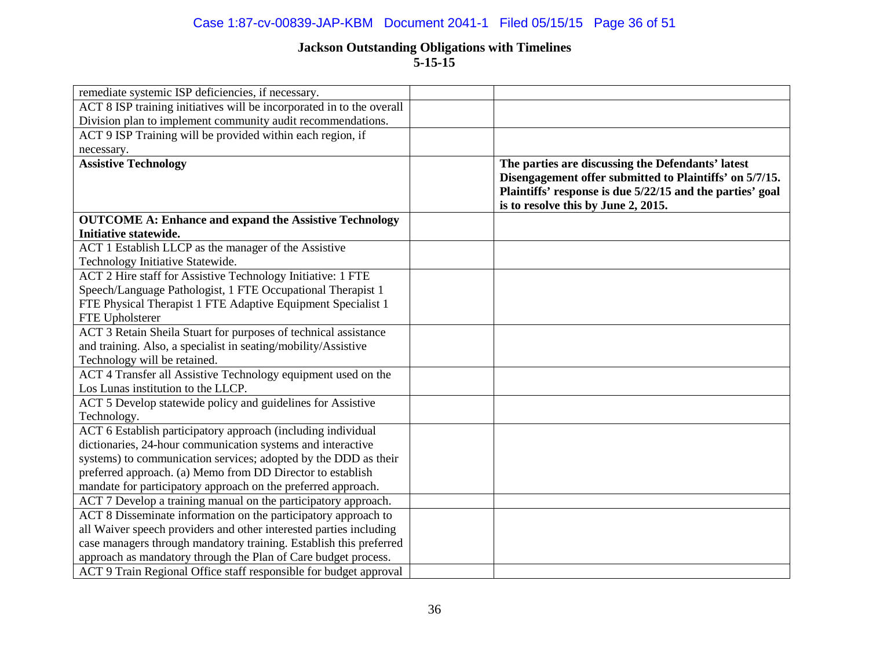### Case 1:87-cv-00839-JAP-KBM Document 2041-1 Filed 05/15/15 Page 36 of 51

| remediate systemic ISP deficiencies, if necessary.                    |                                                                                                                                                                                                                  |
|-----------------------------------------------------------------------|------------------------------------------------------------------------------------------------------------------------------------------------------------------------------------------------------------------|
| ACT 8 ISP training initiatives will be incorporated in to the overall |                                                                                                                                                                                                                  |
| Division plan to implement community audit recommendations.           |                                                                                                                                                                                                                  |
| ACT 9 ISP Training will be provided within each region, if            |                                                                                                                                                                                                                  |
| necessary.                                                            |                                                                                                                                                                                                                  |
| <b>Assistive Technology</b>                                           | The parties are discussing the Defendants' latest<br>Disengagement offer submitted to Plaintiffs' on 5/7/15.<br>Plaintiffs' response is due 5/22/15 and the parties' goal<br>is to resolve this by June 2, 2015. |
| <b>OUTCOME A: Enhance and expand the Assistive Technology</b>         |                                                                                                                                                                                                                  |
| Initiative statewide.                                                 |                                                                                                                                                                                                                  |
| ACT 1 Establish LLCP as the manager of the Assistive                  |                                                                                                                                                                                                                  |
| Technology Initiative Statewide.                                      |                                                                                                                                                                                                                  |
| ACT 2 Hire staff for Assistive Technology Initiative: 1 FTE           |                                                                                                                                                                                                                  |
| Speech/Language Pathologist, 1 FTE Occupational Therapist 1           |                                                                                                                                                                                                                  |
| FTE Physical Therapist 1 FTE Adaptive Equipment Specialist 1          |                                                                                                                                                                                                                  |
| FTE Upholsterer                                                       |                                                                                                                                                                                                                  |
| ACT 3 Retain Sheila Stuart for purposes of technical assistance       |                                                                                                                                                                                                                  |
| and training. Also, a specialist in seating/mobility/Assistive        |                                                                                                                                                                                                                  |
| Technology will be retained.                                          |                                                                                                                                                                                                                  |
| ACT 4 Transfer all Assistive Technology equipment used on the         |                                                                                                                                                                                                                  |
| Los Lunas institution to the LLCP.                                    |                                                                                                                                                                                                                  |
| ACT 5 Develop statewide policy and guidelines for Assistive           |                                                                                                                                                                                                                  |
| Technology.                                                           |                                                                                                                                                                                                                  |
| ACT 6 Establish participatory approach (including individual          |                                                                                                                                                                                                                  |
| dictionaries, 24-hour communication systems and interactive           |                                                                                                                                                                                                                  |
| systems) to communication services; adopted by the DDD as their       |                                                                                                                                                                                                                  |
| preferred approach. (a) Memo from DD Director to establish            |                                                                                                                                                                                                                  |
| mandate for participatory approach on the preferred approach.         |                                                                                                                                                                                                                  |
| ACT 7 Develop a training manual on the participatory approach.        |                                                                                                                                                                                                                  |
| ACT 8 Disseminate information on the participatory approach to        |                                                                                                                                                                                                                  |
| all Waiver speech providers and other interested parties including    |                                                                                                                                                                                                                  |
| case managers through mandatory training. Establish this preferred    |                                                                                                                                                                                                                  |
| approach as mandatory through the Plan of Care budget process.        |                                                                                                                                                                                                                  |
| ACT 9 Train Regional Office staff responsible for budget approval     |                                                                                                                                                                                                                  |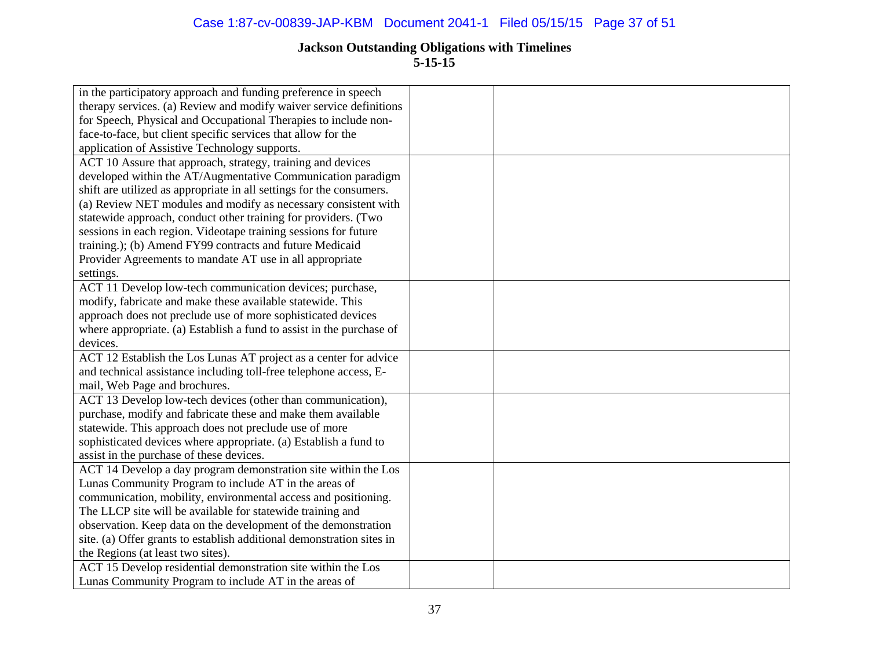| in the participatory approach and funding preference in speech        |  |
|-----------------------------------------------------------------------|--|
| therapy services. (a) Review and modify waiver service definitions    |  |
| for Speech, Physical and Occupational Therapies to include non-       |  |
| face-to-face, but client specific services that allow for the         |  |
| application of Assistive Technology supports.                         |  |
| ACT 10 Assure that approach, strategy, training and devices           |  |
| developed within the AT/Augmentative Communication paradigm           |  |
| shift are utilized as appropriate in all settings for the consumers.  |  |
| (a) Review NET modules and modify as necessary consistent with        |  |
| statewide approach, conduct other training for providers. (Two        |  |
| sessions in each region. Videotape training sessions for future       |  |
| training.); (b) Amend FY99 contracts and future Medicaid              |  |
| Provider Agreements to mandate AT use in all appropriate              |  |
| settings.                                                             |  |
| ACT 11 Develop low-tech communication devices; purchase,              |  |
| modify, fabricate and make these available statewide. This            |  |
| approach does not preclude use of more sophisticated devices          |  |
| where appropriate. (a) Establish a fund to assist in the purchase of  |  |
| devices.                                                              |  |
| ACT 12 Establish the Los Lunas AT project as a center for advice      |  |
| and technical assistance including toll-free telephone access, E-     |  |
| mail, Web Page and brochures.                                         |  |
| ACT 13 Develop low-tech devices (other than communication),           |  |
| purchase, modify and fabricate these and make them available          |  |
| statewide. This approach does not preclude use of more                |  |
| sophisticated devices where appropriate. (a) Establish a fund to      |  |
| assist in the purchase of these devices.                              |  |
| ACT 14 Develop a day program demonstration site within the Los        |  |
| Lunas Community Program to include AT in the areas of                 |  |
| communication, mobility, environmental access and positioning.        |  |
| The LLCP site will be available for statewide training and            |  |
| observation. Keep data on the development of the demonstration        |  |
| site. (a) Offer grants to establish additional demonstration sites in |  |
| the Regions (at least two sites).                                     |  |
| ACT 15 Develop residential demonstration site within the Los          |  |
| Lunas Community Program to include AT in the areas of                 |  |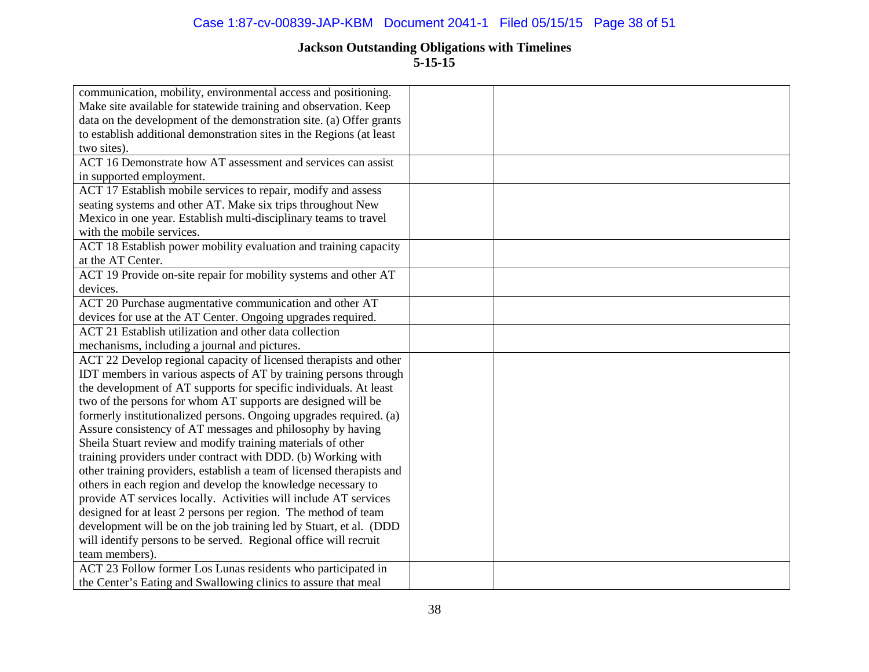| communication, mobility, environmental access and positioning.        |  |
|-----------------------------------------------------------------------|--|
| Make site available for statewide training and observation. Keep      |  |
| data on the development of the demonstration site. (a) Offer grants   |  |
| to establish additional demonstration sites in the Regions (at least  |  |
| two sites).                                                           |  |
| ACT 16 Demonstrate how AT assessment and services can assist          |  |
| in supported employment.                                              |  |
| ACT 17 Establish mobile services to repair, modify and assess         |  |
| seating systems and other AT. Make six trips throughout New           |  |
| Mexico in one year. Establish multi-disciplinary teams to travel      |  |
| with the mobile services.                                             |  |
| ACT 18 Establish power mobility evaluation and training capacity      |  |
| at the AT Center.                                                     |  |
| ACT 19 Provide on-site repair for mobility systems and other AT       |  |
| devices.                                                              |  |
| ACT 20 Purchase augmentative communication and other AT               |  |
| devices for use at the AT Center. Ongoing upgrades required.          |  |
| ACT 21 Establish utilization and other data collection                |  |
| mechanisms, including a journal and pictures.                         |  |
| ACT 22 Develop regional capacity of licensed therapists and other     |  |
| IDT members in various aspects of AT by training persons through      |  |
| the development of AT supports for specific individuals. At least     |  |
| two of the persons for whom AT supports are designed will be          |  |
| formerly institutionalized persons. Ongoing upgrades required. (a)    |  |
| Assure consistency of AT messages and philosophy by having            |  |
| Sheila Stuart review and modify training materials of other           |  |
| training providers under contract with DDD. (b) Working with          |  |
| other training providers, establish a team of licensed therapists and |  |
| others in each region and develop the knowledge necessary to          |  |
| provide AT services locally. Activities will include AT services      |  |
| designed for at least 2 persons per region. The method of team        |  |
| development will be on the job training led by Stuart, et al. (DDD    |  |
| will identify persons to be served. Regional office will recruit      |  |
| team members).                                                        |  |
| ACT 23 Follow former Los Lunas residents who participated in          |  |
| the Center's Eating and Swallowing clinics to assure that meal        |  |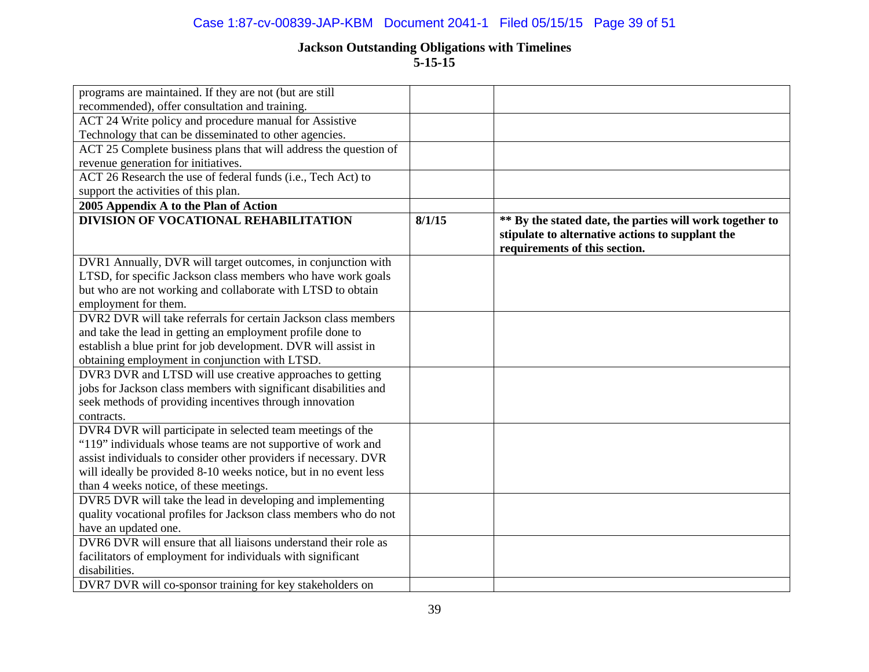## Case 1:87-cv-00839-JAP-KBM Document 2041-1 Filed 05/15/15 Page 39 of 51

| programs are maintained. If they are not (but are still          |        |                                                                                                                                               |
|------------------------------------------------------------------|--------|-----------------------------------------------------------------------------------------------------------------------------------------------|
| recommended), offer consultation and training.                   |        |                                                                                                                                               |
| ACT 24 Write policy and procedure manual for Assistive           |        |                                                                                                                                               |
| Technology that can be disseminated to other agencies.           |        |                                                                                                                                               |
| ACT 25 Complete business plans that will address the question of |        |                                                                                                                                               |
| revenue generation for initiatives.                              |        |                                                                                                                                               |
| ACT 26 Research the use of federal funds (i.e., Tech Act) to     |        |                                                                                                                                               |
| support the activities of this plan.                             |        |                                                                                                                                               |
| 2005 Appendix A to the Plan of Action                            |        |                                                                                                                                               |
| <b>DIVISION OF VOCATIONAL REHABILITATION</b>                     | 8/1/15 | ** By the stated date, the parties will work together to<br>stipulate to alternative actions to supplant the<br>requirements of this section. |
| DVR1 Annually, DVR will target outcomes, in conjunction with     |        |                                                                                                                                               |
| LTSD, for specific Jackson class members who have work goals     |        |                                                                                                                                               |
| but who are not working and collaborate with LTSD to obtain      |        |                                                                                                                                               |
| employment for them.                                             |        |                                                                                                                                               |
| DVR2 DVR will take referrals for certain Jackson class members   |        |                                                                                                                                               |
| and take the lead in getting an employment profile done to       |        |                                                                                                                                               |
| establish a blue print for job development. DVR will assist in   |        |                                                                                                                                               |
| obtaining employment in conjunction with LTSD.                   |        |                                                                                                                                               |
| DVR3 DVR and LTSD will use creative approaches to getting        |        |                                                                                                                                               |
| jobs for Jackson class members with significant disabilities and |        |                                                                                                                                               |
| seek methods of providing incentives through innovation          |        |                                                                                                                                               |
| contracts.                                                       |        |                                                                                                                                               |
| DVR4 DVR will participate in selected team meetings of the       |        |                                                                                                                                               |
| "119" individuals whose teams are not supportive of work and     |        |                                                                                                                                               |
| assist individuals to consider other providers if necessary. DVR |        |                                                                                                                                               |
| will ideally be provided 8-10 weeks notice, but in no event less |        |                                                                                                                                               |
| than 4 weeks notice, of these meetings.                          |        |                                                                                                                                               |
| DVR5 DVR will take the lead in developing and implementing       |        |                                                                                                                                               |
| quality vocational profiles for Jackson class members who do not |        |                                                                                                                                               |
| have an updated one.                                             |        |                                                                                                                                               |
| DVR6 DVR will ensure that all liaisons understand their role as  |        |                                                                                                                                               |
| facilitators of employment for individuals with significant      |        |                                                                                                                                               |
| disabilities.                                                    |        |                                                                                                                                               |
| DVR7 DVR will co-sponsor training for key stakeholders on        |        |                                                                                                                                               |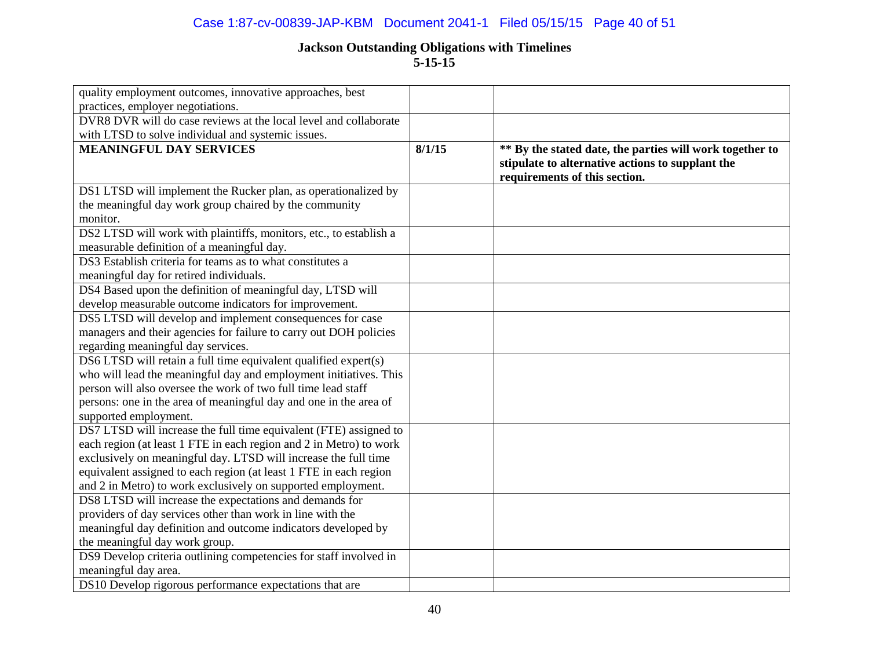## Case 1:87-cv-00839-JAP-KBM Document 2041-1 Filed 05/15/15 Page 40 of 51

| quality employment outcomes, innovative approaches, best           |        |                                                                                                                                               |
|--------------------------------------------------------------------|--------|-----------------------------------------------------------------------------------------------------------------------------------------------|
| practices, employer negotiations.                                  |        |                                                                                                                                               |
| DVR8 DVR will do case reviews at the local level and collaborate   |        |                                                                                                                                               |
| with LTSD to solve individual and systemic issues.                 |        |                                                                                                                                               |
| <b>MEANINGFUL DAY SERVICES</b>                                     | 8/1/15 | ** By the stated date, the parties will work together to<br>stipulate to alternative actions to supplant the<br>requirements of this section. |
| DS1 LTSD will implement the Rucker plan, as operationalized by     |        |                                                                                                                                               |
| the meaningful day work group chaired by the community             |        |                                                                                                                                               |
| monitor.                                                           |        |                                                                                                                                               |
| DS2 LTSD will work with plaintiffs, monitors, etc., to establish a |        |                                                                                                                                               |
| measurable definition of a meaningful day.                         |        |                                                                                                                                               |
| DS3 Establish criteria for teams as to what constitutes a          |        |                                                                                                                                               |
| meaningful day for retired individuals.                            |        |                                                                                                                                               |
| DS4 Based upon the definition of meaningful day, LTSD will         |        |                                                                                                                                               |
| develop measurable outcome indicators for improvement.             |        |                                                                                                                                               |
| DS5 LTSD will develop and implement consequences for case          |        |                                                                                                                                               |
| managers and their agencies for failure to carry out DOH policies  |        |                                                                                                                                               |
| regarding meaningful day services.                                 |        |                                                                                                                                               |
| DS6 LTSD will retain a full time equivalent qualified expert(s)    |        |                                                                                                                                               |
| who will lead the meaningful day and employment initiatives. This  |        |                                                                                                                                               |
| person will also oversee the work of two full time lead staff      |        |                                                                                                                                               |
| persons: one in the area of meaningful day and one in the area of  |        |                                                                                                                                               |
| supported employment.                                              |        |                                                                                                                                               |
| DS7 LTSD will increase the full time equivalent (FTE) assigned to  |        |                                                                                                                                               |
| each region (at least 1 FTE in each region and 2 in Metro) to work |        |                                                                                                                                               |
| exclusively on meaningful day. LTSD will increase the full time    |        |                                                                                                                                               |
| equivalent assigned to each region (at least 1 FTE in each region  |        |                                                                                                                                               |
| and 2 in Metro) to work exclusively on supported employment.       |        |                                                                                                                                               |
| DS8 LTSD will increase the expectations and demands for            |        |                                                                                                                                               |
| providers of day services other than work in line with the         |        |                                                                                                                                               |
| meaningful day definition and outcome indicators developed by      |        |                                                                                                                                               |
| the meaningful day work group.                                     |        |                                                                                                                                               |
| DS9 Develop criteria outlining competencies for staff involved in  |        |                                                                                                                                               |
| meaningful day area.                                               |        |                                                                                                                                               |
| DS10 Develop rigorous performance expectations that are            |        |                                                                                                                                               |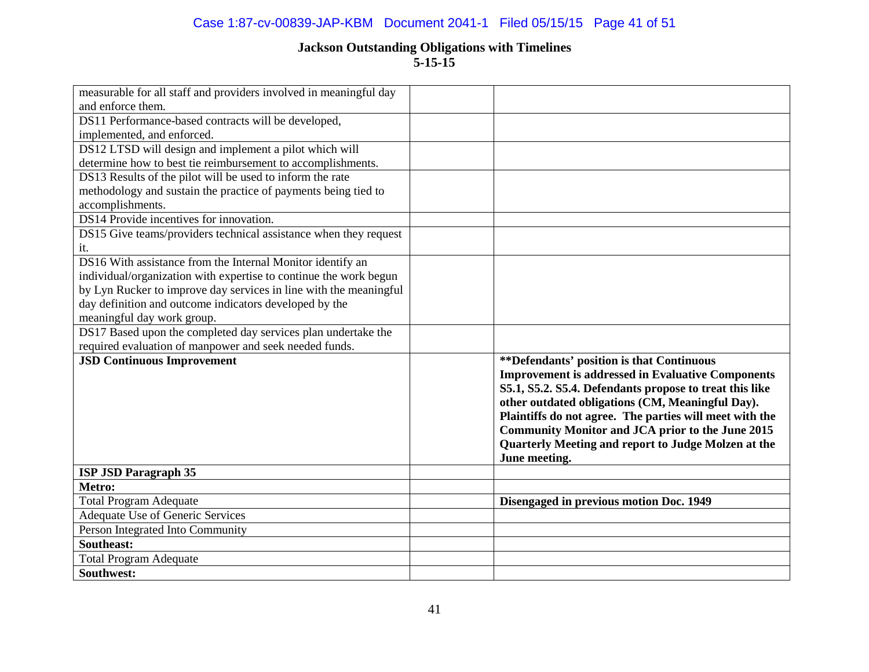## Case 1:87-cv-00839-JAP-KBM Document 2041-1 Filed 05/15/15 Page 41 of 51

| measurable for all staff and providers involved in meaningful day |                                                          |
|-------------------------------------------------------------------|----------------------------------------------------------|
| and enforce them.                                                 |                                                          |
| DS11 Performance-based contracts will be developed,               |                                                          |
| implemented, and enforced.                                        |                                                          |
| DS12 LTSD will design and implement a pilot which will            |                                                          |
| determine how to best tie reimbursement to accomplishments.       |                                                          |
| DS13 Results of the pilot will be used to inform the rate         |                                                          |
| methodology and sustain the practice of payments being tied to    |                                                          |
| accomplishments.                                                  |                                                          |
| DS14 Provide incentives for innovation.                           |                                                          |
| DS15 Give teams/providers technical assistance when they request  |                                                          |
| it.                                                               |                                                          |
| DS16 With assistance from the Internal Monitor identify an        |                                                          |
| individual/organization with expertise to continue the work begun |                                                          |
| by Lyn Rucker to improve day services in line with the meaningful |                                                          |
| day definition and outcome indicators developed by the            |                                                          |
| meaningful day work group.                                        |                                                          |
| DS17 Based upon the completed day services plan undertake the     |                                                          |
| required evaluation of manpower and seek needed funds.            |                                                          |
| <b>JSD Continuous Improvement</b>                                 | **Defendants' position is that Continuous                |
|                                                                   | <b>Improvement is addressed in Evaluative Components</b> |
|                                                                   | S5.1, S5.2. S5.4. Defendants propose to treat this like  |
|                                                                   | other outdated obligations (CM, Meaningful Day).         |
|                                                                   | Plaintiffs do not agree. The parties will meet with the  |
|                                                                   | <b>Community Monitor and JCA prior to the June 2015</b>  |
|                                                                   | Quarterly Meeting and report to Judge Molzen at the      |
|                                                                   | June meeting.                                            |
| <b>ISP JSD Paragraph 35</b>                                       |                                                          |
| Metro:                                                            |                                                          |
| <b>Total Program Adequate</b>                                     | Disengaged in previous motion Doc. 1949                  |
| Adequate Use of Generic Services                                  |                                                          |
| Person Integrated Into Community                                  |                                                          |
| Southeast:                                                        |                                                          |
| <b>Total Program Adequate</b>                                     |                                                          |
| Southwest:                                                        |                                                          |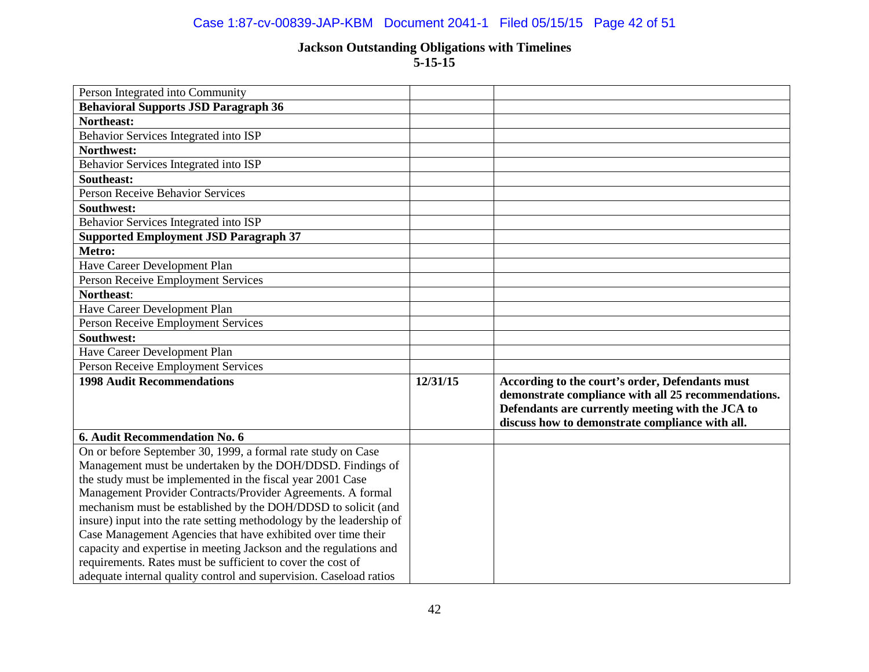## Case 1:87-cv-00839-JAP-KBM Document 2041-1 Filed 05/15/15 Page 42 of 51

| Person Integrated into Community                                     |          |                                                                                                                                                                                                               |
|----------------------------------------------------------------------|----------|---------------------------------------------------------------------------------------------------------------------------------------------------------------------------------------------------------------|
| <b>Behavioral Supports JSD Paragraph 36</b>                          |          |                                                                                                                                                                                                               |
| Northeast:                                                           |          |                                                                                                                                                                                                               |
| Behavior Services Integrated into ISP                                |          |                                                                                                                                                                                                               |
| Northwest:                                                           |          |                                                                                                                                                                                                               |
| Behavior Services Integrated into ISP                                |          |                                                                                                                                                                                                               |
| <b>Southeast:</b>                                                    |          |                                                                                                                                                                                                               |
| <b>Person Receive Behavior Services</b>                              |          |                                                                                                                                                                                                               |
| <b>Southwest:</b>                                                    |          |                                                                                                                                                                                                               |
| Behavior Services Integrated into ISP                                |          |                                                                                                                                                                                                               |
| <b>Supported Employment JSD Paragraph 37</b>                         |          |                                                                                                                                                                                                               |
| Metro:                                                               |          |                                                                                                                                                                                                               |
| Have Career Development Plan                                         |          |                                                                                                                                                                                                               |
| Person Receive Employment Services                                   |          |                                                                                                                                                                                                               |
| Northeast:                                                           |          |                                                                                                                                                                                                               |
| Have Career Development Plan                                         |          |                                                                                                                                                                                                               |
| <b>Person Receive Employment Services</b>                            |          |                                                                                                                                                                                                               |
| Southwest:                                                           |          |                                                                                                                                                                                                               |
| Have Career Development Plan                                         |          |                                                                                                                                                                                                               |
| Person Receive Employment Services                                   |          |                                                                                                                                                                                                               |
| <b>1998 Audit Recommendations</b>                                    | 12/31/15 | According to the court's order, Defendants must<br>demonstrate compliance with all 25 recommendations.<br>Defendants are currently meeting with the JCA to<br>discuss how to demonstrate compliance with all. |
| 6. Audit Recommendation No. 6                                        |          |                                                                                                                                                                                                               |
| On or before September 30, 1999, a formal rate study on Case         |          |                                                                                                                                                                                                               |
| Management must be undertaken by the DOH/DDSD. Findings of           |          |                                                                                                                                                                                                               |
| the study must be implemented in the fiscal year 2001 Case           |          |                                                                                                                                                                                                               |
| Management Provider Contracts/Provider Agreements. A formal          |          |                                                                                                                                                                                                               |
| mechanism must be established by the DOH/DDSD to solicit (and        |          |                                                                                                                                                                                                               |
| insure) input into the rate setting methodology by the leadership of |          |                                                                                                                                                                                                               |
| Case Management Agencies that have exhibited over time their         |          |                                                                                                                                                                                                               |
| capacity and expertise in meeting Jackson and the regulations and    |          |                                                                                                                                                                                                               |
| requirements. Rates must be sufficient to cover the cost of          |          |                                                                                                                                                                                                               |
| adequate internal quality control and supervision. Caseload ratios   |          |                                                                                                                                                                                                               |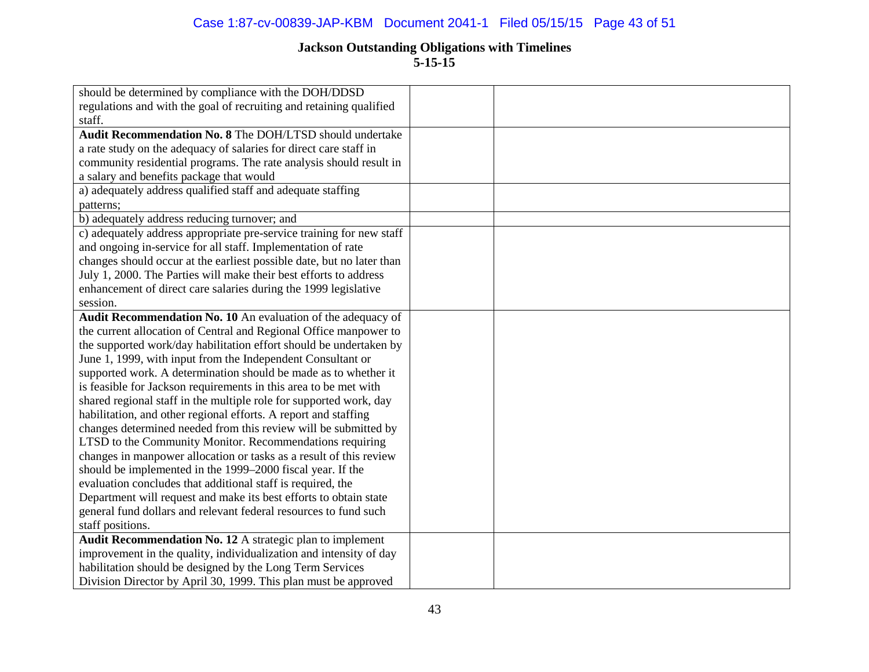## Case 1:87-cv-00839-JAP-KBM Document 2041-1 Filed 05/15/15 Page 43 of 51

| should be determined by compliance with the DOH/DDSD                  |  |
|-----------------------------------------------------------------------|--|
| regulations and with the goal of recruiting and retaining qualified   |  |
| staff.                                                                |  |
| Audit Recommendation No. 8 The DOH/LTSD should undertake              |  |
| a rate study on the adequacy of salaries for direct care staff in     |  |
| community residential programs. The rate analysis should result in    |  |
| a salary and benefits package that would                              |  |
| a) adequately address qualified staff and adequate staffing           |  |
| patterns;                                                             |  |
| b) adequately address reducing turnover; and                          |  |
| c) adequately address appropriate pre-service training for new staff  |  |
| and ongoing in-service for all staff. Implementation of rate          |  |
| changes should occur at the earliest possible date, but no later than |  |
| July 1, 2000. The Parties will make their best efforts to address     |  |
| enhancement of direct care salaries during the 1999 legislative       |  |
| session.                                                              |  |
| Audit Recommendation No. 10 An evaluation of the adequacy of          |  |
| the current allocation of Central and Regional Office manpower to     |  |
| the supported work/day habilitation effort should be undertaken by    |  |
| June 1, 1999, with input from the Independent Consultant or           |  |
| supported work. A determination should be made as to whether it       |  |
| is feasible for Jackson requirements in this area to be met with      |  |
| shared regional staff in the multiple role for supported work, day    |  |
| habilitation, and other regional efforts. A report and staffing       |  |
| changes determined needed from this review will be submitted by       |  |
| LTSD to the Community Monitor. Recommendations requiring              |  |
| changes in manpower allocation or tasks as a result of this review    |  |
| should be implemented in the 1999–2000 fiscal year. If the            |  |
| evaluation concludes that additional staff is required, the           |  |
| Department will request and make its best efforts to obtain state     |  |
| general fund dollars and relevant federal resources to fund such      |  |
| staff positions.                                                      |  |
| Audit Recommendation No. 12 A strategic plan to implement             |  |
| improvement in the quality, individualization and intensity of day    |  |
| habilitation should be designed by the Long Term Services             |  |
| Division Director by April 30, 1999. This plan must be approved       |  |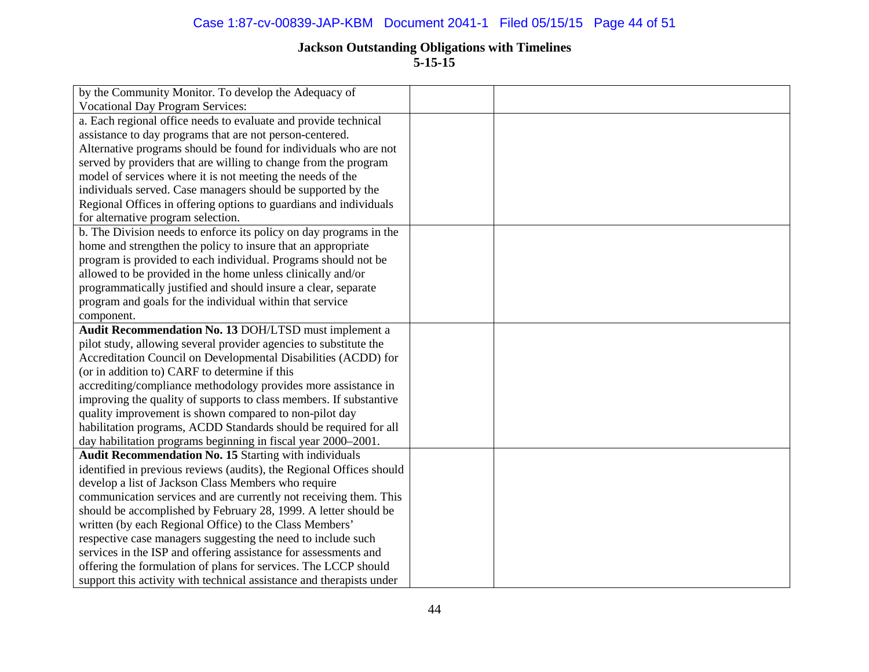## Case 1:87-cv-00839-JAP-KBM Document 2041-1 Filed 05/15/15 Page 44 of 51

| by the Community Monitor. To develop the Adequacy of                 |  |
|----------------------------------------------------------------------|--|
| <b>Vocational Day Program Services:</b>                              |  |
| a. Each regional office needs to evaluate and provide technical      |  |
| assistance to day programs that are not person-centered.             |  |
| Alternative programs should be found for individuals who are not     |  |
| served by providers that are willing to change from the program      |  |
| model of services where it is not meeting the needs of the           |  |
| individuals served. Case managers should be supported by the         |  |
| Regional Offices in offering options to guardians and individuals    |  |
| for alternative program selection.                                   |  |
| b. The Division needs to enforce its policy on day programs in the   |  |
| home and strengthen the policy to insure that an appropriate         |  |
| program is provided to each individual. Programs should not be       |  |
| allowed to be provided in the home unless clinically and/or          |  |
| programmatically justified and should insure a clear, separate       |  |
| program and goals for the individual within that service             |  |
| component.                                                           |  |
| Audit Recommendation No. 13 DOH/LTSD must implement a                |  |
| pilot study, allowing several provider agencies to substitute the    |  |
| Accreditation Council on Developmental Disabilities (ACDD) for       |  |
| (or in addition to) CARF to determine if this                        |  |
| accrediting/compliance methodology provides more assistance in       |  |
| improving the quality of supports to class members. If substantive   |  |
| quality improvement is shown compared to non-pilot day               |  |
| habilitation programs, ACDD Standards should be required for all     |  |
| day habilitation programs beginning in fiscal year 2000–2001.        |  |
| <b>Audit Recommendation No. 15 Starting with individuals</b>         |  |
| identified in previous reviews (audits), the Regional Offices should |  |
| develop a list of Jackson Class Members who require                  |  |
| communication services and are currently not receiving them. This    |  |
| should be accomplished by February 28, 1999. A letter should be      |  |
| written (by each Regional Office) to the Class Members'              |  |
| respective case managers suggesting the need to include such         |  |
| services in the ISP and offering assistance for assessments and      |  |
| offering the formulation of plans for services. The LCCP should      |  |
| support this activity with technical assistance and therapists under |  |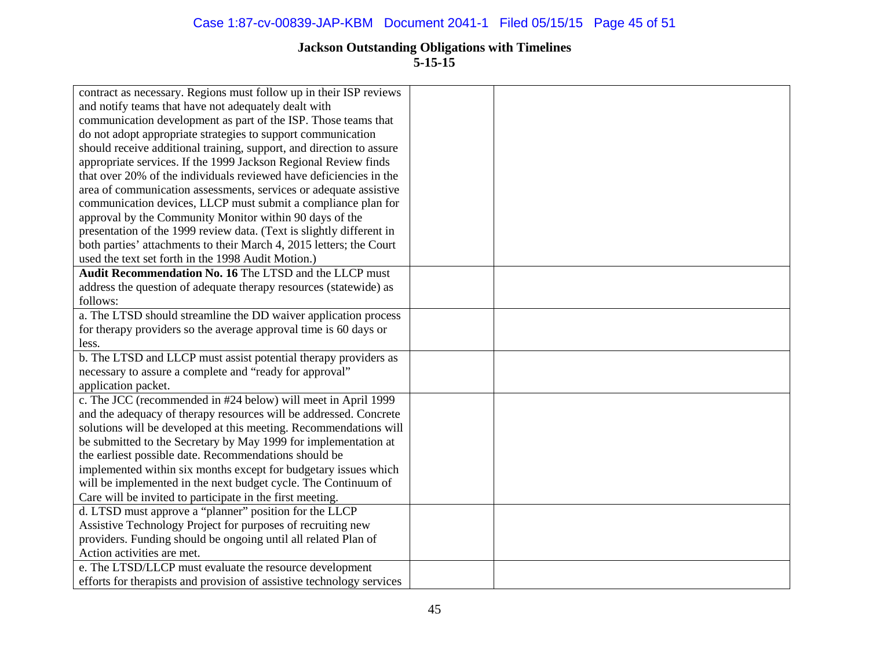| contract as necessary. Regions must follow up in their ISP reviews    |  |
|-----------------------------------------------------------------------|--|
| and notify teams that have not adequately dealt with                  |  |
| communication development as part of the ISP. Those teams that        |  |
| do not adopt appropriate strategies to support communication          |  |
| should receive additional training, support, and direction to assure  |  |
| appropriate services. If the 1999 Jackson Regional Review finds       |  |
| that over 20% of the individuals reviewed have deficiencies in the    |  |
| area of communication assessments, services or adequate assistive     |  |
| communication devices, LLCP must submit a compliance plan for         |  |
| approval by the Community Monitor within 90 days of the               |  |
| presentation of the 1999 review data. (Text is slightly different in  |  |
| both parties' attachments to their March 4, 2015 letters; the Court   |  |
| used the text set forth in the 1998 Audit Motion.)                    |  |
| <b>Audit Recommendation No. 16 The LTSD and the LLCP must</b>         |  |
| address the question of adequate therapy resources (statewide) as     |  |
| follows:                                                              |  |
| a. The LTSD should streamline the DD waiver application process       |  |
| for therapy providers so the average approval time is 60 days or      |  |
| less.                                                                 |  |
| b. The LTSD and LLCP must assist potential therapy providers as       |  |
| necessary to assure a complete and "ready for approval"               |  |
| application packet.                                                   |  |
| c. The JCC (recommended in #24 below) will meet in April 1999         |  |
| and the adequacy of therapy resources will be addressed. Concrete     |  |
| solutions will be developed at this meeting. Recommendations will     |  |
| be submitted to the Secretary by May 1999 for implementation at       |  |
| the earliest possible date. Recommendations should be                 |  |
| implemented within six months except for budgetary issues which       |  |
| will be implemented in the next budget cycle. The Continuum of        |  |
| Care will be invited to participate in the first meeting.             |  |
| d. LTSD must approve a "planner" position for the LLCP                |  |
| Assistive Technology Project for purposes of recruiting new           |  |
| providers. Funding should be ongoing until all related Plan of        |  |
| Action activities are met.                                            |  |
| e. The LTSD/LLCP must evaluate the resource development               |  |
| efforts for therapists and provision of assistive technology services |  |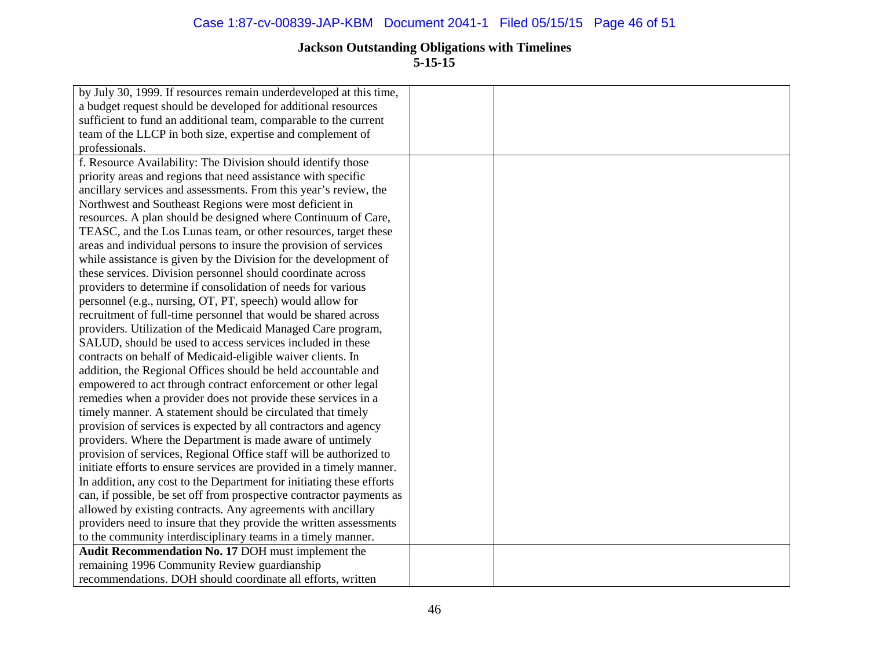| by July 30, 1999. If resources remain underdeveloped at this time,   |  |
|----------------------------------------------------------------------|--|
| a budget request should be developed for additional resources        |  |
| sufficient to fund an additional team, comparable to the current     |  |
| team of the LLCP in both size, expertise and complement of           |  |
| professionals.                                                       |  |
| f. Resource Availability: The Division should identify those         |  |
| priority areas and regions that need assistance with specific        |  |
| ancillary services and assessments. From this year's review, the     |  |
| Northwest and Southeast Regions were most deficient in               |  |
| resources. A plan should be designed where Continuum of Care,        |  |
| TEASC, and the Los Lunas team, or other resources, target these      |  |
| areas and individual persons to insure the provision of services     |  |
| while assistance is given by the Division for the development of     |  |
| these services. Division personnel should coordinate across          |  |
| providers to determine if consolidation of needs for various         |  |
| personnel (e.g., nursing, OT, PT, speech) would allow for            |  |
| recruitment of full-time personnel that would be shared across       |  |
| providers. Utilization of the Medicaid Managed Care program,         |  |
| SALUD, should be used to access services included in these           |  |
| contracts on behalf of Medicaid-eligible waiver clients. In          |  |
| addition, the Regional Offices should be held accountable and        |  |
| empowered to act through contract enforcement or other legal         |  |
| remedies when a provider does not provide these services in a        |  |
| timely manner. A statement should be circulated that timely          |  |
| provision of services is expected by all contractors and agency      |  |
| providers. Where the Department is made aware of untimely            |  |
| provision of services, Regional Office staff will be authorized to   |  |
| initiate efforts to ensure services are provided in a timely manner. |  |
| In addition, any cost to the Department for initiating these efforts |  |
| can, if possible, be set off from prospective contractor payments as |  |
| allowed by existing contracts. Any agreements with ancillary         |  |
| providers need to insure that they provide the written assessments   |  |
| to the community interdisciplinary teams in a timely manner.         |  |
| Audit Recommendation No. 17 DOH must implement the                   |  |
| remaining 1996 Community Review guardianship                         |  |
| recommendations. DOH should coordinate all efforts, written          |  |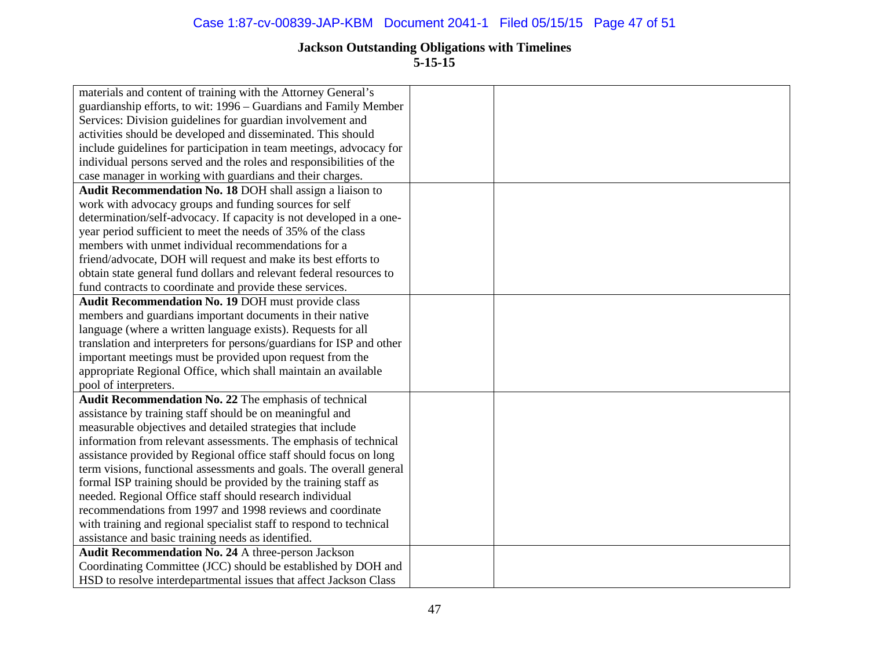| materials and content of training with the Attorney General's        |  |
|----------------------------------------------------------------------|--|
| guardianship efforts, to wit: 1996 – Guardians and Family Member     |  |
| Services: Division guidelines for guardian involvement and           |  |
| activities should be developed and disseminated. This should         |  |
| include guidelines for participation in team meetings, advocacy for  |  |
| individual persons served and the roles and responsibilities of the  |  |
| case manager in working with guardians and their charges.            |  |
| Audit Recommendation No. 18 DOH shall assign a liaison to            |  |
| work with advocacy groups and funding sources for self               |  |
| determination/self-advocacy. If capacity is not developed in a one-  |  |
| year period sufficient to meet the needs of 35% of the class         |  |
| members with unmet individual recommendations for a                  |  |
| friend/advocate, DOH will request and make its best efforts to       |  |
| obtain state general fund dollars and relevant federal resources to  |  |
| fund contracts to coordinate and provide these services.             |  |
| Audit Recommendation No. 19 DOH must provide class                   |  |
| members and guardians important documents in their native            |  |
| language (where a written language exists). Requests for all         |  |
| translation and interpreters for persons/guardians for ISP and other |  |
| important meetings must be provided upon request from the            |  |
| appropriate Regional Office, which shall maintain an available       |  |
| pool of interpreters.                                                |  |
| Audit Recommendation No. 22 The emphasis of technical                |  |
| assistance by training staff should be on meaningful and             |  |
| measurable objectives and detailed strategies that include           |  |
| information from relevant assessments. The emphasis of technical     |  |
| assistance provided by Regional office staff should focus on long    |  |
| term visions, functional assessments and goals. The overall general  |  |
| formal ISP training should be provided by the training staff as      |  |
| needed. Regional Office staff should research individual             |  |
| recommendations from 1997 and 1998 reviews and coordinate            |  |
| with training and regional specialist staff to respond to technical  |  |
| assistance and basic training needs as identified.                   |  |
| Audit Recommendation No. 24 A three-person Jackson                   |  |
| Coordinating Committee (JCC) should be established by DOH and        |  |
| HSD to resolve interdepartmental issues that affect Jackson Class    |  |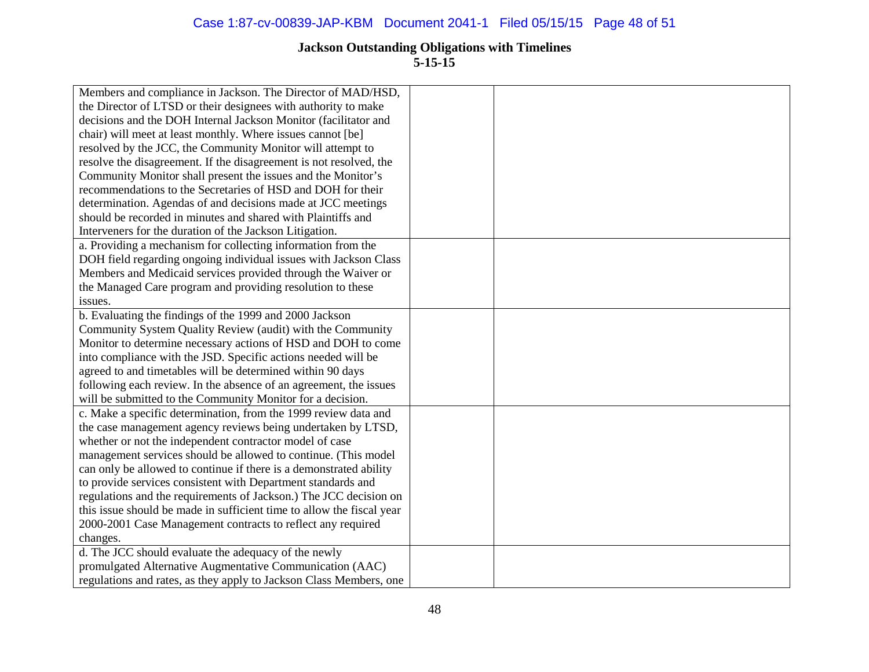| Members and compliance in Jackson. The Director of MAD/HSD,           |  |
|-----------------------------------------------------------------------|--|
| the Director of LTSD or their designees with authority to make        |  |
| decisions and the DOH Internal Jackson Monitor (facilitator and       |  |
| chair) will meet at least monthly. Where issues cannot [be]           |  |
| resolved by the JCC, the Community Monitor will attempt to            |  |
| resolve the disagreement. If the disagreement is not resolved, the    |  |
| Community Monitor shall present the issues and the Monitor's          |  |
| recommendations to the Secretaries of HSD and DOH for their           |  |
| determination. Agendas of and decisions made at JCC meetings          |  |
| should be recorded in minutes and shared with Plaintiffs and          |  |
| Interveners for the duration of the Jackson Litigation.               |  |
| a. Providing a mechanism for collecting information from the          |  |
| DOH field regarding ongoing individual issues with Jackson Class      |  |
| Members and Medicaid services provided through the Waiver or          |  |
| the Managed Care program and providing resolution to these            |  |
| issues.                                                               |  |
| b. Evaluating the findings of the 1999 and 2000 Jackson               |  |
| Community System Quality Review (audit) with the Community            |  |
| Monitor to determine necessary actions of HSD and DOH to come         |  |
| into compliance with the JSD. Specific actions needed will be         |  |
| agreed to and timetables will be determined within 90 days            |  |
| following each review. In the absence of an agreement, the issues     |  |
| will be submitted to the Community Monitor for a decision.            |  |
| c. Make a specific determination, from the 1999 review data and       |  |
| the case management agency reviews being undertaken by LTSD,          |  |
| whether or not the independent contractor model of case               |  |
| management services should be allowed to continue. (This model        |  |
| can only be allowed to continue if there is a demonstrated ability    |  |
| to provide services consistent with Department standards and          |  |
| regulations and the requirements of Jackson.) The JCC decision on     |  |
| this issue should be made in sufficient time to allow the fiscal year |  |
| 2000-2001 Case Management contracts to reflect any required           |  |
| changes.                                                              |  |
| d. The JCC should evaluate the adequacy of the newly                  |  |
| promulgated Alternative Augmentative Communication (AAC)              |  |
| regulations and rates, as they apply to Jackson Class Members, one    |  |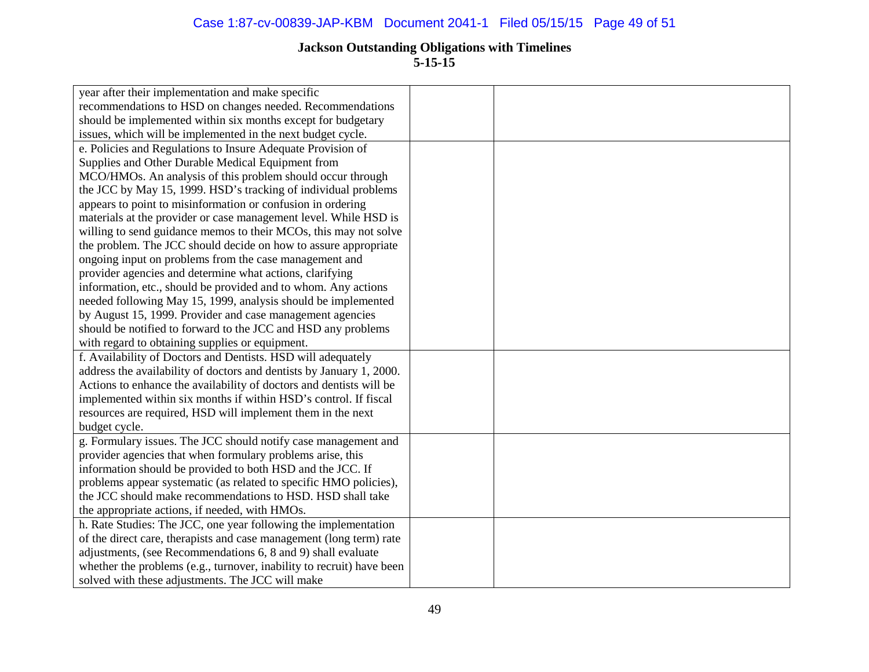**5-15-15**

| year after their implementation and make specific                     |  |
|-----------------------------------------------------------------------|--|
| recommendations to HSD on changes needed. Recommendations             |  |
| should be implemented within six months except for budgetary          |  |
| issues, which will be implemented in the next budget cycle.           |  |
| e. Policies and Regulations to Insure Adequate Provision of           |  |
| Supplies and Other Durable Medical Equipment from                     |  |
| MCO/HMOs. An analysis of this problem should occur through            |  |
| the JCC by May 15, 1999. HSD's tracking of individual problems        |  |
| appears to point to misinformation or confusion in ordering           |  |
| materials at the provider or case management level. While HSD is      |  |
| willing to send guidance memos to their MCOs, this may not solve      |  |
| the problem. The JCC should decide on how to assure appropriate       |  |
| ongoing input on problems from the case management and                |  |
| provider agencies and determine what actions, clarifying              |  |
| information, etc., should be provided and to whom. Any actions        |  |
| needed following May 15, 1999, analysis should be implemented         |  |
| by August 15, 1999. Provider and case management agencies             |  |
| should be notified to forward to the JCC and HSD any problems         |  |
| with regard to obtaining supplies or equipment.                       |  |
| f. Availability of Doctors and Dentists. HSD will adequately          |  |
| address the availability of doctors and dentists by January 1, 2000.  |  |
| Actions to enhance the availability of doctors and dentists will be   |  |
| implemented within six months if within HSD's control. If fiscal      |  |
| resources are required, HSD will implement them in the next           |  |
| budget cycle.                                                         |  |
| g. Formulary issues. The JCC should notify case management and        |  |
| provider agencies that when formulary problems arise, this            |  |
| information should be provided to both HSD and the JCC. If            |  |
| problems appear systematic (as related to specific HMO policies),     |  |
| the JCC should make recommendations to HSD. HSD shall take            |  |
| the appropriate actions, if needed, with HMOs.                        |  |
| h. Rate Studies: The JCC, one year following the implementation       |  |
| of the direct care, therapists and case management (long term) rate   |  |
| adjustments, (see Recommendations 6, 8 and 9) shall evaluate          |  |
| whether the problems (e.g., turnover, inability to recruit) have been |  |
| solved with these adjustments. The JCC will make                      |  |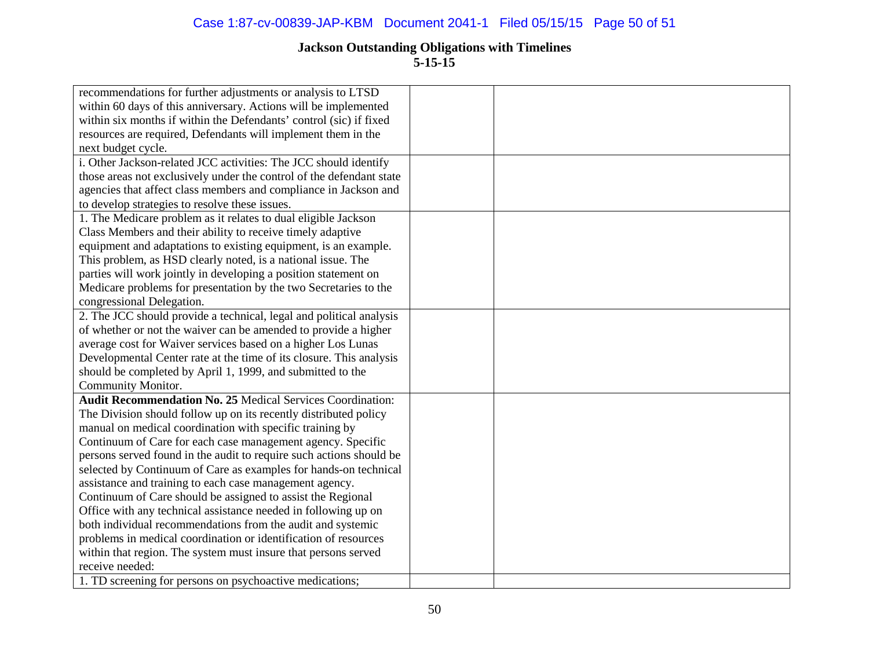| recommendations for further adjustments or analysis to LTSD          |  |
|----------------------------------------------------------------------|--|
| within 60 days of this anniversary. Actions will be implemented      |  |
| within six months if within the Defendants' control (sic) if fixed   |  |
| resources are required, Defendants will implement them in the        |  |
| next budget cycle.                                                   |  |
| i. Other Jackson-related JCC activities: The JCC should identify     |  |
| those areas not exclusively under the control of the defendant state |  |
| agencies that affect class members and compliance in Jackson and     |  |
| to develop strategies to resolve these issues.                       |  |
| 1. The Medicare problem as it relates to dual eligible Jackson       |  |
| Class Members and their ability to receive timely adaptive           |  |
| equipment and adaptations to existing equipment, is an example.      |  |
| This problem, as HSD clearly noted, is a national issue. The         |  |
| parties will work jointly in developing a position statement on      |  |
| Medicare problems for presentation by the two Secretaries to the     |  |
| congressional Delegation.                                            |  |
| 2. The JCC should provide a technical, legal and political analysis  |  |
| of whether or not the waiver can be amended to provide a higher      |  |
| average cost for Waiver services based on a higher Los Lunas         |  |
| Developmental Center rate at the time of its closure. This analysis  |  |
| should be completed by April 1, 1999, and submitted to the           |  |
| Community Monitor.                                                   |  |
| <b>Audit Recommendation No. 25 Medical Services Coordination:</b>    |  |
| The Division should follow up on its recently distributed policy     |  |
| manual on medical coordination with specific training by             |  |
| Continuum of Care for each case management agency. Specific          |  |
| persons served found in the audit to require such actions should be  |  |
| selected by Continuum of Care as examples for hands-on technical     |  |
| assistance and training to each case management agency.              |  |
| Continuum of Care should be assigned to assist the Regional          |  |
| Office with any technical assistance needed in following up on       |  |
| both individual recommendations from the audit and systemic          |  |
| problems in medical coordination or identification of resources      |  |
| within that region. The system must insure that persons served       |  |
| receive needed:                                                      |  |
| 1. TD screening for persons on psychoactive medications;             |  |